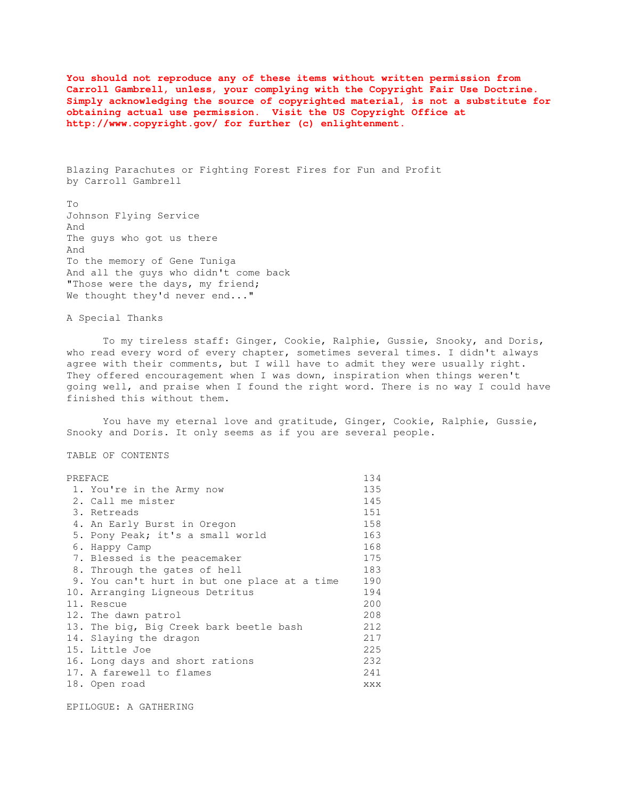**You should not reproduce any of these items without written permission from Carroll Gambrell, unless, your complying with the Copyright Fair Use Doctrine. Simply acknowledging the source of copyrighted material, is not a substitute for obtaining actual use permission. Visit the US Copyright Office at http://www.copyright.gov/ for further (c) enlightenment.** 

Blazing Parachutes or Fighting Forest Fires for Fun and Profit by Carroll Gambrell

To Johnson Flying Service And The guys who got us there And To the memory of Gene Tuniga And all the guys who didn't come back "Those were the days, my friend; We thought they'd never end..."

A Special Thanks

 To my tireless staff: Ginger, Cookie, Ralphie, Gussie, Snooky, and Doris, who read every word of every chapter, sometimes several times. I didn't always agree with their comments, but I will have to admit they were usually right. They offered encouragement when I was down, inspiration when things weren't going well, and praise when I found the right word. There is no way I could have finished this without them.

You have my eternal love and gratitude, Ginger, Cookie, Ralphie, Gussie, Snooky and Doris. It only seems as if you are several people.

TABLE OF CONTENTS

| PREFACE                                      | 134 |
|----------------------------------------------|-----|
| 1. You're in the Army now                    | 135 |
| 2. Call me mister                            | 145 |
| 3. Retreads                                  | 151 |
| 4. An Early Burst in Oregon                  | 158 |
| 5. Pony Peak; it's a small world             | 163 |
| 6. Happy Camp                                | 168 |
| 7. Blessed is the peacemaker                 | 175 |
| 8. Through the gates of hell                 | 183 |
| 9. You can't hurt in but one place at a time | 190 |
| 10. Arranging Ligneous Detritus              | 194 |
| 11. Rescue                                   | 200 |
| 12. The dawn patrol                          | 208 |
| 13. The big, Big Creek bark beetle bash      | 212 |
| 14. Slaying the dragon                       | 217 |
| 15. Little Joe                               | 225 |
| 16. Long days and short rations              | 232 |
| 17. A farewell to flames                     | 241 |
| 18. Open road                                | XXX |
|                                              |     |

EPILOGUE: A GATHERING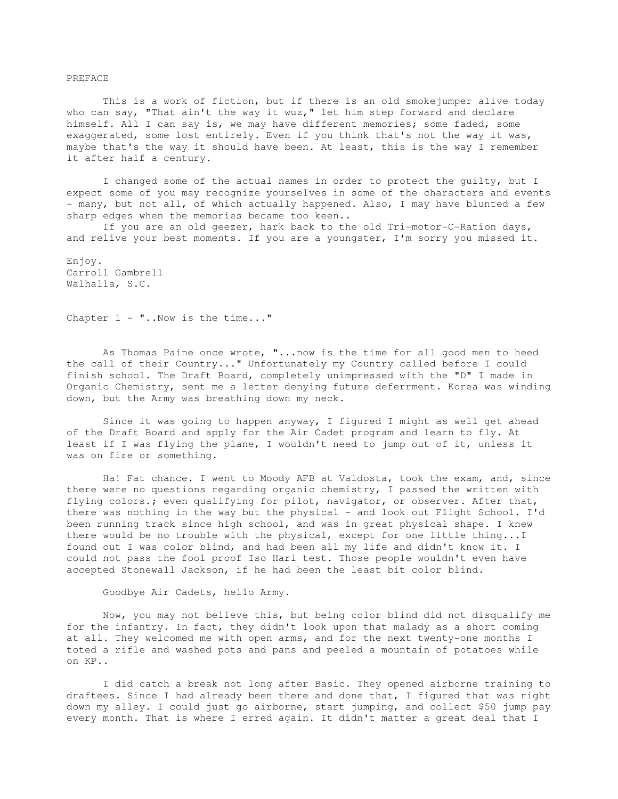## PREFACE

 This is a work of fiction, but if there is an old smokejumper alive today who can say, "That ain't the way it wuz," let him step forward and declare himself. All I can say is, we may have different memories; some faded, some exaggerated, some lost entirely. Even if you think that's not the way it was, maybe that's the way it should have been. At least, this is the way I remember it after half a century.

 I changed some of the actual names in order to protect the guilty, but I expect some of you may recognize yourselves in some of the characters and events - many, but not all, of which actually happened. Also, I may have blunted a few sharp edges when the memories became too keen..

 If you are an old geezer, hark back to the old Tri-motor-C-Ration days, and relive your best moments. If you are a youngster, I'm sorry you missed it.

Enjoy. Carroll Gambrell Walhalla, S.C.

Chapter  $1 -$  "... Now is the time..."

 As Thomas Paine once wrote, "...now is the time for all good men to heed the call of their Country..." Unfortunately my Country called before I could finish school. The Draft Board, completely unimpressed with the "D" I made in Organic Chemistry, sent me a letter denying future deferrment. Korea was winding down, but the Army was breathing down my neck.

 Since it was going to happen anyway, I figured I might as well get ahead of the Draft Board and apply for the Air Cadet program and learn to fly. At least if I was flying the plane, I wouldn't need to jump out of it, unless it was on fire or something.

 Ha! Fat chance. I went to Moody AFB at Valdosta, took the exam, and, since there were no questions regarding organic chemistry, I passed the written with flying colors.; even qualifying for pilot, navigator, or observer. After that, there was nothing in the way but the physical - and look out Flight School. I'd been running track since high school, and was in great physical shape. I knew there would be no trouble with the physical, except for one little thing...I found out I was color blind, and had been all my life and didn't know it. I could not pass the fool proof Iso Hari test. Those people wouldn't even have accepted Stonewall Jackson, if he had been the least bit color blind.

Goodbye Air Cadets, hello Army.

 Now, you may not believe this, but being color blind did not disqualify me for the infantry. In fact, they didn't look upon that malady as a short coming at all. They welcomed me with open arms, and for the next twenty-one months I toted a rifle and washed pots and pans and peeled a mountain of potatoes while on KP..

 I did catch a break not long after Basic. They opened airborne training to draftees. Since I had already been there and done that, I figured that was right down my alley. I could just go airborne, start jumping, and collect \$50 jump pay every month. That is where I erred again. It didn't matter a great deal that I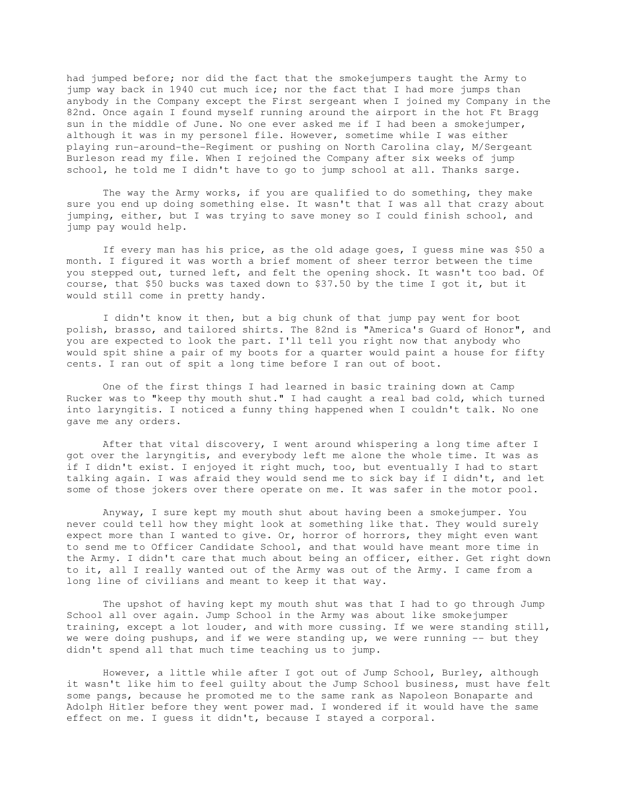had jumped before; nor did the fact that the smokejumpers taught the Army to jump way back in 1940 cut much ice; nor the fact that I had more jumps than anybody in the Company except the First sergeant when I joined my Company in the 82nd. Once again I found myself running around the airport in the hot Ft Bragg sun in the middle of June. No one ever asked me if I had been a smokejumper, although it was in my personel file. However, sometime while I was either playing run-around-the-Regiment or pushing on North Carolina clay, M/Sergeant Burleson read my file. When I rejoined the Company after six weeks of jump school, he told me I didn't have to go to jump school at all. Thanks sarge.

 The way the Army works, if you are qualified to do something, they make sure you end up doing something else. It wasn't that I was all that crazy about jumping, either, but I was trying to save money so I could finish school, and jump pay would help.

 If every man has his price, as the old adage goes, I guess mine was \$50 a month. I figured it was worth a brief moment of sheer terror between the time you stepped out, turned left, and felt the opening shock. It wasn't too bad. Of course, that \$50 bucks was taxed down to \$37.50 by the time I got it, but it would still come in pretty handy.

 I didn't know it then, but a big chunk of that jump pay went for boot polish, brasso, and tailored shirts. The 82nd is "America's Guard of Honor", and you are expected to look the part. I'll tell you right now that anybody who would spit shine a pair of my boots for a quarter would paint a house for fifty cents. I ran out of spit a long time before I ran out of boot.

 One of the first things I had learned in basic training down at Camp Rucker was to "keep thy mouth shut." I had caught a real bad cold, which turned into laryngitis. I noticed a funny thing happened when I couldn't talk. No one gave me any orders.

 After that vital discovery, I went around whispering a long time after I got over the laryngitis, and everybody left me alone the whole time. It was as if I didn't exist. I enjoyed it right much, too, but eventually I had to start talking again. I was afraid they would send me to sick bay if I didn't, and let some of those jokers over there operate on me. It was safer in the motor pool.

 Anyway, I sure kept my mouth shut about having been a smokejumper. You never could tell how they might look at something like that. They would surely expect more than I wanted to give. Or, horror of horrors, they might even want to send me to Officer Candidate School, and that would have meant more time in the Army. I didn't care that much about being an officer, either. Get right down to it, all I really wanted out of the Army was out of the Army. I came from a long line of civilians and meant to keep it that way.

 The upshot of having kept my mouth shut was that I had to go through Jump School all over again. Jump School in the Army was about like smokejumper training, except a lot louder, and with more cussing. If we were standing still, we were doing pushups, and if we were standing up, we were running -- but they didn't spend all that much time teaching us to jump.

 However, a little while after I got out of Jump School, Burley, although it wasn't like him to feel guilty about the Jump School business, must have felt some pangs, because he promoted me to the same rank as Napoleon Bonaparte and Adolph Hitler before they went power mad. I wondered if it would have the same effect on me. I guess it didn't, because I stayed a corporal.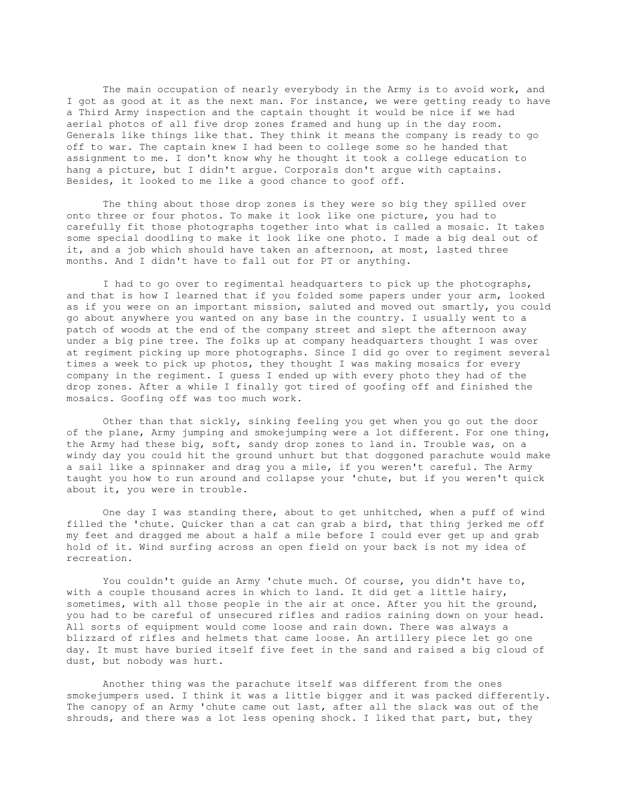The main occupation of nearly everybody in the Army is to avoid work, and I got as good at it as the next man. For instance, we were getting ready to have a Third Army inspection and the captain thought it would be nice if we had aerial photos of all five drop zones framed and hung up in the day room. Generals like things like that. They think it means the company is ready to go off to war. The captain knew I had been to college some so he handed that assignment to me. I don't know why he thought it took a college education to hang a picture, but I didn't argue. Corporals don't argue with captains. Besides, it looked to me like a good chance to goof off.

 The thing about those drop zones is they were so big they spilled over onto three or four photos. To make it look like one picture, you had to carefully fit those photographs together into what is called a mosaic. It takes some special doodling to make it look like one photo. I made a big deal out of it, and a job which should have taken an afternoon, at most, lasted three months. And I didn't have to fall out for PT or anything.

 I had to go over to regimental headquarters to pick up the photographs, and that is how I learned that if you folded some papers under your arm, looked as if you were on an important mission, saluted and moved out smartly, you could go about anywhere you wanted on any base in the country. I usually went to a patch of woods at the end of the company street and slept the afternoon away under a big pine tree. The folks up at company headquarters thought I was over at regiment picking up more photographs. Since I did go over to regiment several times a week to pick up photos, they thought I was making mosaics for every company in the regiment. I guess I ended up with every photo they had of the drop zones. After a while I finally got tired of goofing off and finished the mosaics. Goofing off was too much work.

 Other than that sickly, sinking feeling you get when you go out the door of the plane, Army jumping and smokejumping were a lot different. For one thing, the Army had these big, soft, sandy drop zones to land in. Trouble was, on a windy day you could hit the ground unhurt but that doggoned parachute would make a sail like a spinnaker and drag you a mile, if you weren't careful. The Army taught you how to run around and collapse your 'chute, but if you weren't quick about it, you were in trouble.

 One day I was standing there, about to get unhitched, when a puff of wind filled the 'chute. Quicker than a cat can grab a bird, that thing jerked me off my feet and dragged me about a half a mile before I could ever get up and grab hold of it. Wind surfing across an open field on your back is not my idea of recreation.

 You couldn't guide an Army 'chute much. Of course, you didn't have to, with a couple thousand acres in which to land. It did get a little hairy, sometimes, with all those people in the air at once. After you hit the ground, you had to be careful of unsecured rifles and radios raining down on your head. All sorts of equipment would come loose and rain down. There was always a blizzard of rifles and helmets that came loose. An artillery piece let go one day. It must have buried itself five feet in the sand and raised a big cloud of dust, but nobody was hurt.

 Another thing was the parachute itself was different from the ones smokejumpers used. I think it was a little bigger and it was packed differently. The canopy of an Army 'chute came out last, after all the slack was out of the shrouds, and there was a lot less opening shock. I liked that part, but, they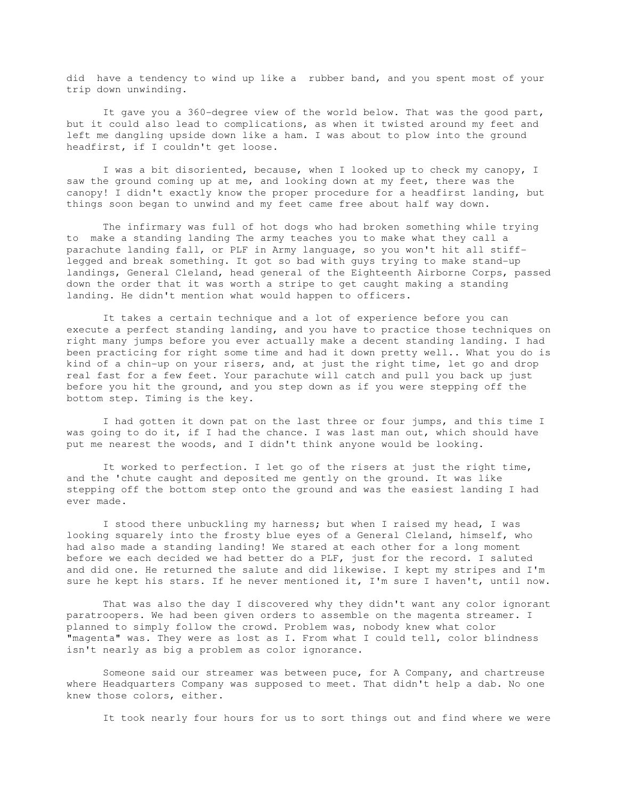did have a tendency to wind up like a rubber band, and you spent most of your trip down unwinding.

 It gave you a 360-degree view of the world below. That was the good part, but it could also lead to complications, as when it twisted around my feet and left me dangling upside down like a ham. I was about to plow into the ground headfirst, if I couldn't get loose.

 I was a bit disoriented, because, when I looked up to check my canopy, I saw the ground coming up at me, and looking down at my feet, there was the canopy! I didn't exactly know the proper procedure for a headfirst landing, but things soon began to unwind and my feet came free about half way down.

 The infirmary was full of hot dogs who had broken something while trying to make a standing landing The army teaches you to make what they call a parachute landing fall, or PLF in Army language, so you won't hit all stifflegged and break something. It got so bad with guys trying to make stand-up landings, General Cleland, head general of the Eighteenth Airborne Corps, passed down the order that it was worth a stripe to get caught making a standing landing. He didn't mention what would happen to officers.

 It takes a certain technique and a lot of experience before you can execute a perfect standing landing, and you have to practice those techniques on right many jumps before you ever actually make a decent standing landing. I had been practicing for right some time and had it down pretty well.. What you do is kind of a chin-up on your risers, and, at just the right time, let go and drop real fast for a few feet. Your parachute will catch and pull you back up just before you hit the ground, and you step down as if you were stepping off the bottom step. Timing is the key.

 I had gotten it down pat on the last three or four jumps, and this time I was going to do it, if I had the chance. I was last man out, which should have put me nearest the woods, and I didn't think anyone would be looking.

 It worked to perfection. I let go of the risers at just the right time, and the 'chute caught and deposited me gently on the ground. It was like stepping off the bottom step onto the ground and was the easiest landing I had ever made.

 I stood there unbuckling my harness; but when I raised my head, I was looking squarely into the frosty blue eyes of a General Cleland, himself, who had also made a standing landing! We stared at each other for a long moment before we each decided we had better do a PLF, just for the record. I saluted and did one. He returned the salute and did likewise. I kept my stripes and I'm sure he kept his stars. If he never mentioned it, I'm sure I haven't, until now.

 That was also the day I discovered why they didn't want any color ignorant paratroopers. We had been given orders to assemble on the magenta streamer. I planned to simply follow the crowd. Problem was, nobody knew what color "magenta" was. They were as lost as I. From what I could tell, color blindness isn't nearly as big a problem as color ignorance.

 Someone said our streamer was between puce, for A Company, and chartreuse where Headquarters Company was supposed to meet. That didn't help a dab. No one knew those colors, either.

It took nearly four hours for us to sort things out and find where we were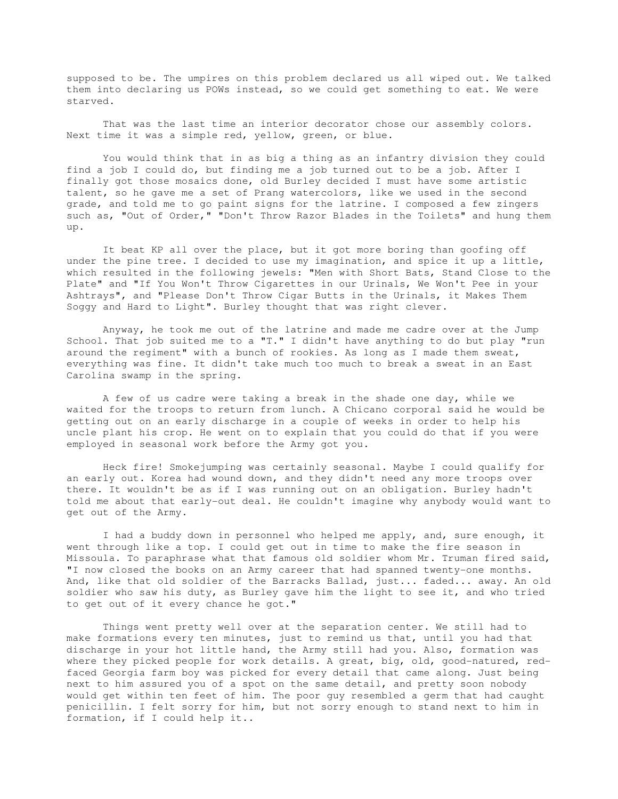supposed to be. The umpires on this problem declared us all wiped out. We talked them into declaring us POWs instead, so we could get something to eat. We were starved.

 That was the last time an interior decorator chose our assembly colors. Next time it was a simple red, yellow, green, or blue.

 You would think that in as big a thing as an infantry division they could find a job I could do, but finding me a job turned out to be a job. After I finally got those mosaics done, old Burley decided I must have some artistic talent, so he gave me a set of Prang watercolors, like we used in the second grade, and told me to go paint signs for the latrine. I composed a few zingers such as, "Out of Order," "Don't Throw Razor Blades in the Toilets" and hung them up.

 It beat KP all over the place, but it got more boring than goofing off under the pine tree. I decided to use my imagination, and spice it up a little, which resulted in the following jewels: "Men with Short Bats, Stand Close to the Plate" and "If You Won't Throw Cigarettes in our Urinals, We Won't Pee in your Ashtrays", and "Please Don't Throw Cigar Butts in the Urinals, it Makes Them Soggy and Hard to Light". Burley thought that was right clever.

 Anyway, he took me out of the latrine and made me cadre over at the Jump School. That job suited me to a "T." I didn't have anything to do but play "run around the regiment" with a bunch of rookies. As long as I made them sweat, everything was fine. It didn't take much too much to break a sweat in an East Carolina swamp in the spring.

 A few of us cadre were taking a break in the shade one day, while we waited for the troops to return from lunch. A Chicano corporal said he would be getting out on an early discharge in a couple of weeks in order to help his uncle plant his crop. He went on to explain that you could do that if you were employed in seasonal work before the Army got you.

 Heck fire! Smokejumping was certainly seasonal. Maybe I could qualify for an early out. Korea had wound down, and they didn't need any more troops over there. It wouldn't be as if I was running out on an obligation. Burley hadn't told me about that early-out deal. He couldn't imagine why anybody would want to get out of the Army.

 I had a buddy down in personnel who helped me apply, and, sure enough, it went through like a top. I could get out in time to make the fire season in Missoula. To paraphrase what that famous old soldier whom Mr. Truman fired said, "I now closed the books on an Army career that had spanned twenty-one months. And, like that old soldier of the Barracks Ballad, just... faded... away. An old soldier who saw his duty, as Burley gave him the light to see it, and who tried to get out of it every chance he got."

 Things went pretty well over at the separation center. We still had to make formations every ten minutes, just to remind us that, until you had that discharge in your hot little hand, the Army still had you. Also, formation was where they picked people for work details. A great, big, old, good-natured, redfaced Georgia farm boy was picked for every detail that came along. Just being next to him assured you of a spot on the same detail, and pretty soon nobody would get within ten feet of him. The poor guy resembled a germ that had caught penicillin. I felt sorry for him, but not sorry enough to stand next to him in formation, if I could help it..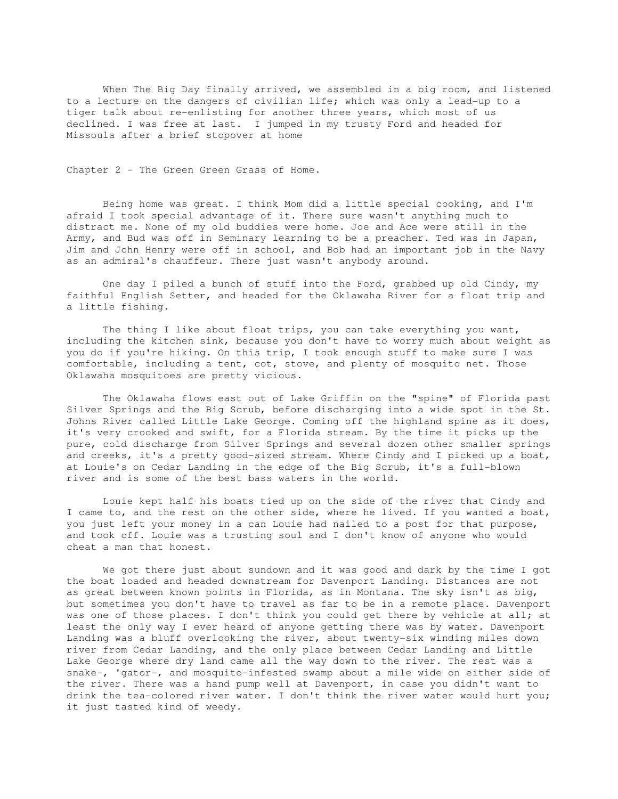When The Big Day finally arrived, we assembled in a big room, and listened to a lecture on the dangers of civilian life; which was only a lead-up to a tiger talk about re-enlisting for another three years, which most of us declined. I was free at last. I jumped in my trusty Ford and headed for Missoula after a brief stopover at home

Chapter 2 - The Green Green Grass of Home.

 Being home was great. I think Mom did a little special cooking, and I'm afraid I took special advantage of it. There sure wasn't anything much to distract me. None of my old buddies were home. Joe and Ace were still in the Army, and Bud was off in Seminary learning to be a preacher. Ted was in Japan, Jim and John Henry were off in school, and Bob had an important job in the Navy as an admiral's chauffeur. There just wasn't anybody around.

 One day I piled a bunch of stuff into the Ford, grabbed up old Cindy, my faithful English Setter, and headed for the Oklawaha River for a float trip and a little fishing.

 The thing I like about float trips, you can take everything you want, including the kitchen sink, because you don't have to worry much about weight as you do if you're hiking. On this trip, I took enough stuff to make sure I was comfortable, including a tent, cot, stove, and plenty of mosquito net. Those Oklawaha mosquitoes are pretty vicious.

 The Oklawaha flows east out of Lake Griffin on the "spine" of Florida past Silver Springs and the Big Scrub, before discharging into a wide spot in the St. Johns River called Little Lake George. Coming off the highland spine as it does, it's very crooked and swift, for a Florida stream. By the time it picks up the pure, cold discharge from Silver Springs and several dozen other smaller springs and creeks, it's a pretty good-sized stream. Where Cindy and I picked up a boat, at Louie's on Cedar Landing in the edge of the Big Scrub, it's a full-blown river and is some of the best bass waters in the world.

 Louie kept half his boats tied up on the side of the river that Cindy and I came to, and the rest on the other side, where he lived. If you wanted a boat, you just left your money in a can Louie had nailed to a post for that purpose, and took off. Louie was a trusting soul and I don't know of anyone who would cheat a man that honest.

 We got there just about sundown and it was good and dark by the time I got the boat loaded and headed downstream for Davenport Landing. Distances are not as great between known points in Florida, as in Montana. The sky isn't as big, but sometimes you don't have to travel as far to be in a remote place. Davenport was one of those places. I don't think you could get there by vehicle at all; at least the only way I ever heard of anyone getting there was by water. Davenport Landing was a bluff overlooking the river, about twenty-six winding miles down river from Cedar Landing, and the only place between Cedar Landing and Little Lake George where dry land came all the way down to the river. The rest was a snake-, 'gator-, and mosquito-infested swamp about a mile wide on either side of the river. There was a hand pump well at Davenport, in case you didn't want to drink the tea-colored river water. I don't think the river water would hurt you; it just tasted kind of weedy.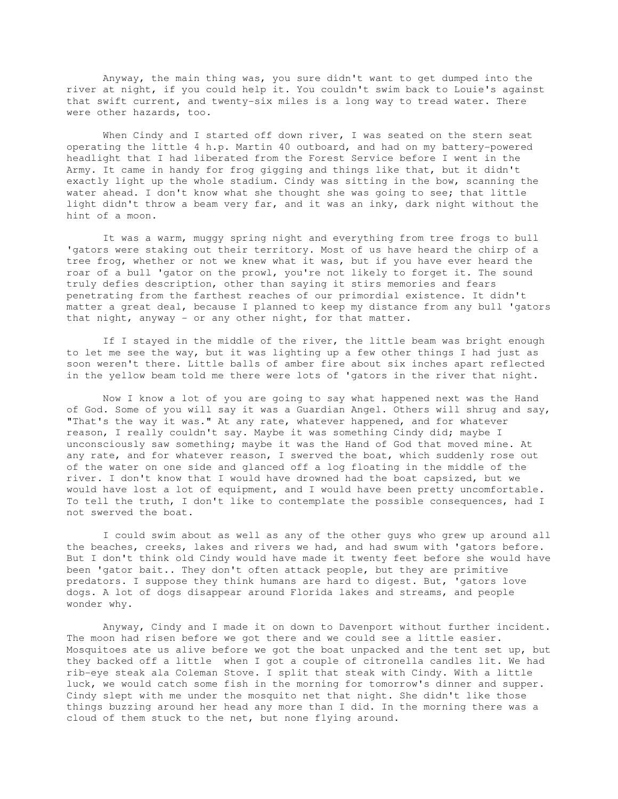Anyway, the main thing was, you sure didn't want to get dumped into the river at night, if you could help it. You couldn't swim back to Louie's against that swift current, and twenty-six miles is a long way to tread water. There were other hazards, too.

When Cindy and I started off down river, I was seated on the stern seat operating the little 4 h.p. Martin 40 outboard, and had on my battery-powered headlight that I had liberated from the Forest Service before I went in the Army. It came in handy for frog gigging and things like that, but it didn't exactly light up the whole stadium. Cindy was sitting in the bow, scanning the water ahead. I don't know what she thought she was going to see; that little light didn't throw a beam very far, and it was an inky, dark night without the hint of a moon.

 It was a warm, muggy spring night and everything from tree frogs to bull 'gators were staking out their territory. Most of us have heard the chirp of a tree frog, whether or not we knew what it was, but if you have ever heard the roar of a bull 'gator on the prowl, you're not likely to forget it. The sound truly defies description, other than saying it stirs memories and fears penetrating from the farthest reaches of our primordial existence. It didn't matter a great deal, because I planned to keep my distance from any bull 'gators that night, anyway - or any other night, for that matter.

 If I stayed in the middle of the river, the little beam was bright enough to let me see the way, but it was lighting up a few other things I had just as soon weren't there. Little balls of amber fire about six inches apart reflected in the yellow beam told me there were lots of 'gators in the river that night.

 Now I know a lot of you are going to say what happened next was the Hand of God. Some of you will say it was a Guardian Angel. Others will shrug and say, "That's the way it was." At any rate, whatever happened, and for whatever reason, I really couldn't say. Maybe it was something Cindy did; maybe I unconsciously saw something; maybe it was the Hand of God that moved mine. At any rate, and for whatever reason, I swerved the boat, which suddenly rose out of the water on one side and glanced off a log floating in the middle of the river. I don't know that I would have drowned had the boat capsized, but we would have lost a lot of equipment, and I would have been pretty uncomfortable. To tell the truth, I don't like to contemplate the possible consequences, had I not swerved the boat.

 I could swim about as well as any of the other guys who grew up around all the beaches, creeks, lakes and rivers we had, and had swum with 'gators before. But I don't think old Cindy would have made it twenty feet before she would have been 'gator bait.. They don't often attack people, but they are primitive predators. I suppose they think humans are hard to digest. But, 'gators love dogs. A lot of dogs disappear around Florida lakes and streams, and people wonder why.

 Anyway, Cindy and I made it on down to Davenport without further incident. The moon had risen before we got there and we could see a little easier. Mosquitoes ate us alive before we got the boat unpacked and the tent set up, but they backed off a little when I got a couple of citronella candles lit. We had rib-eye steak ala Coleman Stove. I split that steak with Cindy. With a little luck, we would catch some fish in the morning for tomorrow's dinner and supper. Cindy slept with me under the mosquito net that night. She didn't like those things buzzing around her head any more than I did. In the morning there was a cloud of them stuck to the net, but none flying around.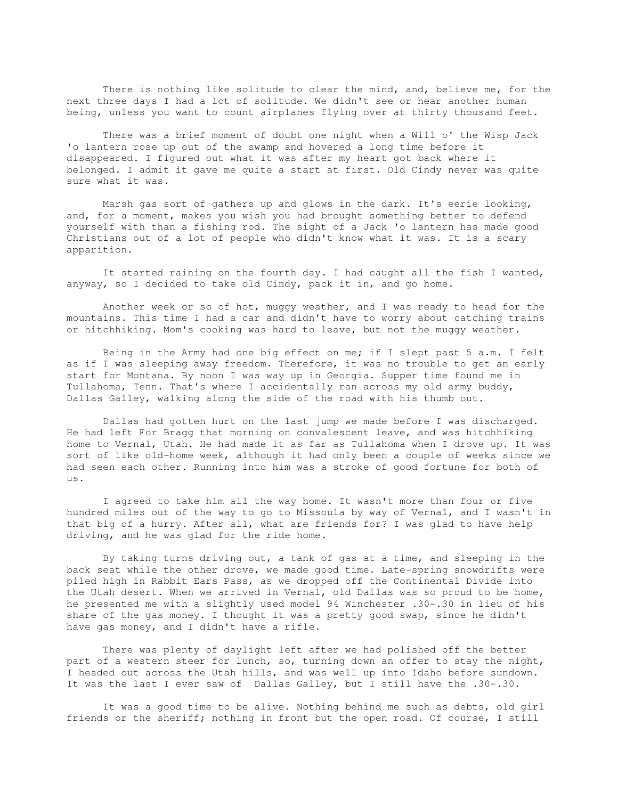There is nothing like solitude to clear the mind, and, believe me, for the next three days I had a lot of solitude. We didn't see or hear another human being, unless you want to count airplanes flying over at thirty thousand feet.

 There was a brief moment of doubt one night when a Will o' the Wisp Jack 'o lantern rose up out of the swamp and hovered a long time before it disappeared. I figured out what it was after my heart got back where it belonged. I admit it gave me quite a start at first. Old Cindy never was quite sure what it was.

 Marsh gas sort of gathers up and glows in the dark. It's eerie looking, and, for a moment, makes you wish you had brought something better to defend yourself with than a fishing rod. The sight of a Jack 'o lantern has made good Christians out of a lot of people who didn't know what it was. It is a scary apparition.

 It started raining on the fourth day. I had caught all the fish I wanted, anyway, so I decided to take old Cindy, pack it in, and go home.

 Another week or so of hot, muggy weather, and I was ready to head for the mountains. This time I had a car and didn't have to worry about catching trains or hitchhiking. Mom's cooking was hard to leave, but not the muggy weather.

 Being in the Army had one big effect on me; if I slept past 5 a.m. I felt as if I was sleeping away freedom. Therefore, it was no trouble to get an early start for Montana. By noon I was way up in Georgia. Supper time found me in Tullahoma, Tenn. That's where I accidentally ran across my old army buddy, Dallas Galley, walking along the side of the road with his thumb out.

 Dallas had gotten hurt on the last jump we made before I was discharged. He had left For Bragg that morning on convalescent leave, and was hitchhiking home to Vernal, Utah. He had made it as far as Tullahoma when I drove up. It was sort of like old-home week, although it had only been a couple of weeks since we had seen each other. Running into him was a stroke of good fortune for both of us.

 I agreed to take him all the way home. It wasn't more than four or five hundred miles out of the way to go to Missoula by way of Vernal, and I wasn't in that big of a hurry. After all, what are friends for? I was glad to have help driving, and he was glad for the ride home.

 By taking turns driving out, a tank of gas at a time, and sleeping in the back seat while the other drove, we made good time. Late-spring snowdrifts were piled high in Rabbit Ears Pass, as we dropped off the Continental Divide into the Utah desert. When we arrived in Vernal, old Dallas was so proud to be home, he presented me with a slightly used model 94 Winchester .30-.30 in lieu of his share of the gas money. I thought it was a pretty good swap, since he didn't have gas money, and I didn't have a rifle.

 There was plenty of daylight left after we had polished off the better part of a western steer for lunch, so, turning down an offer to stay the night, I headed out across the Utah hills, and was well up into Idaho before sundown. It was the last I ever saw of Dallas Galley, but I still have the .30-.30.

 It was a good time to be alive. Nothing behind me such as debts, old girl friends or the sheriff; nothing in front but the open road. Of course, I still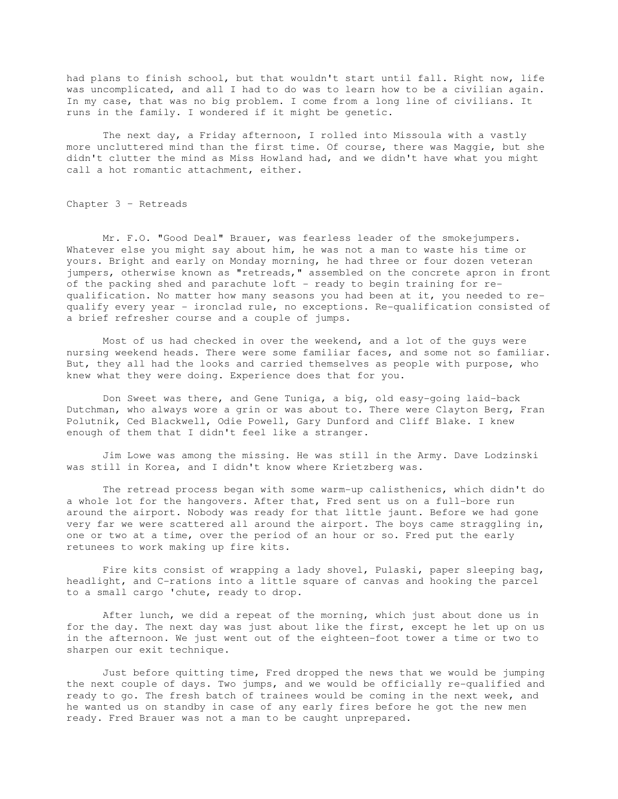had plans to finish school, but that wouldn't start until fall. Right now, life was uncomplicated, and all I had to do was to learn how to be a civilian again. In my case, that was no big problem. I come from a long line of civilians. It runs in the family. I wondered if it might be genetic.

 The next day, a Friday afternoon, I rolled into Missoula with a vastly more uncluttered mind than the first time. Of course, there was Maggie, but she didn't clutter the mind as Miss Howland had, and we didn't have what you might call a hot romantic attachment, either.

Chapter 3 – Retreads

 Mr. F.O. "Good Deal" Brauer, was fearless leader of the smokejumpers. Whatever else you might say about him, he was not a man to waste his time or yours. Bright and early on Monday morning, he had three or four dozen veteran jumpers, otherwise known as "retreads," assembled on the concrete apron in front of the packing shed and parachute loft - ready to begin training for requalification. No matter how many seasons you had been at it, you needed to requalify every year - ironclad rule, no exceptions. Re-qualification consisted of a brief refresher course and a couple of jumps.

 Most of us had checked in over the weekend, and a lot of the guys were nursing weekend heads. There were some familiar faces, and some not so familiar. But, they all had the looks and carried themselves as people with purpose, who knew what they were doing. Experience does that for you.

 Don Sweet was there, and Gene Tuniga, a big, old easy-going laid-back Dutchman, who always wore a grin or was about to. There were Clayton Berg, Fran Polutnik, Ced Blackwell, Odie Powell, Gary Dunford and Cliff Blake. I knew enough of them that I didn't feel like a stranger.

 Jim Lowe was among the missing. He was still in the Army. Dave Lodzinski was still in Korea, and I didn't know where Krietzberg was.

 The retread process began with some warm-up calisthenics, which didn't do a whole lot for the hangovers. After that, Fred sent us on a full-bore run around the airport. Nobody was ready for that little jaunt. Before we had gone very far we were scattered all around the airport. The boys came straggling in, one or two at a time, over the period of an hour or so. Fred put the early retunees to work making up fire kits.

 Fire kits consist of wrapping a lady shovel, Pulaski, paper sleeping bag, headlight, and C-rations into a little square of canvas and hooking the parcel to a small cargo 'chute, ready to drop.

 After lunch, we did a repeat of the morning, which just about done us in for the day. The next day was just about like the first, except he let up on us in the afternoon. We just went out of the eighteen-foot tower a time or two to sharpen our exit technique.

 Just before quitting time, Fred dropped the news that we would be jumping the next couple of days. Two jumps, and we would be officially re-qualified and ready to go. The fresh batch of trainees would be coming in the next week, and he wanted us on standby in case of any early fires before he got the new men ready. Fred Brauer was not a man to be caught unprepared.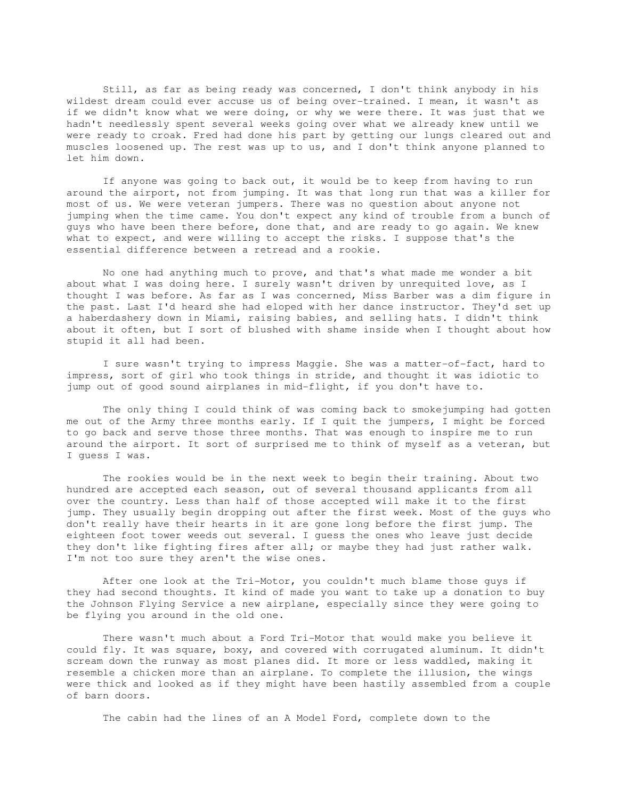Still, as far as being ready was concerned, I don't think anybody in his wildest dream could ever accuse us of being over-trained. I mean, it wasn't as if we didn't know what we were doing, or why we were there. It was just that we hadn't needlessly spent several weeks going over what we already knew until we were ready to croak. Fred had done his part by getting our lungs cleared out and muscles loosened up. The rest was up to us, and I don't think anyone planned to let him down.

 If anyone was going to back out, it would be to keep from having to run around the airport, not from jumping. It was that long run that was a killer for most of us. We were veteran jumpers. There was no question about anyone not jumping when the time came. You don't expect any kind of trouble from a bunch of guys who have been there before, done that, and are ready to go again. We knew what to expect, and were willing to accept the risks. I suppose that's the essential difference between a retread and a rookie.

 No one had anything much to prove, and that's what made me wonder a bit about what I was doing here. I surely wasn't driven by unrequited love, as I thought I was before. As far as I was concerned, Miss Barber was a dim figure in the past. Last I'd heard she had eloped with her dance instructor. They'd set up a haberdashery down in Miami, raising babies, and selling hats. I didn't think about it often, but I sort of blushed with shame inside when I thought about how stupid it all had been.

 I sure wasn't trying to impress Maggie. She was a matter-of-fact, hard to impress, sort of girl who took things in stride, and thought it was idiotic to jump out of good sound airplanes in mid-flight, if you don't have to.

 The only thing I could think of was coming back to smokejumping had gotten me out of the Army three months early. If I quit the jumpers, I might be forced to go back and serve those three months. That was enough to inspire me to run around the airport. It sort of surprised me to think of myself as a veteran, but I guess I was.

 The rookies would be in the next week to begin their training. About two hundred are accepted each season, out of several thousand applicants from all over the country. Less than half of those accepted will make it to the first jump. They usually begin dropping out after the first week. Most of the guys who don't really have their hearts in it are gone long before the first jump. The eighteen foot tower weeds out several. I guess the ones who leave just decide they don't like fighting fires after all; or maybe they had just rather walk. I'm not too sure they aren't the wise ones.

 After one look at the Tri-Motor, you couldn't much blame those guys if they had second thoughts. It kind of made you want to take up a donation to buy the Johnson Flying Service a new airplane, especially since they were going to be flying you around in the old one.

 There wasn't much about a Ford Tri-Motor that would make you believe it could fly. It was square, boxy, and covered with corrugated aluminum. It didn't scream down the runway as most planes did. It more or less waddled, making it resemble a chicken more than an airplane. To complete the illusion, the wings were thick and looked as if they might have been hastily assembled from a couple of barn doors.

The cabin had the lines of an A Model Ford, complete down to the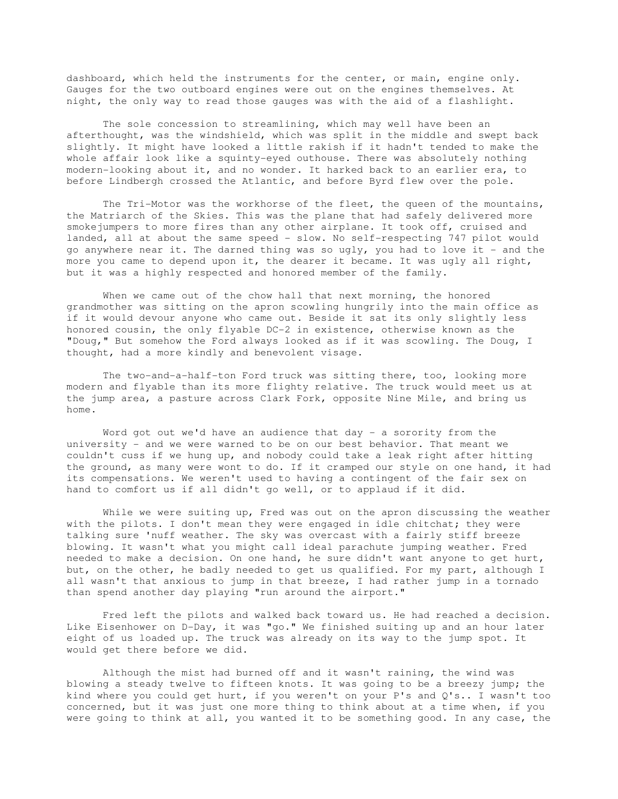dashboard, which held the instruments for the center, or main, engine only. Gauges for the two outboard engines were out on the engines themselves. At night, the only way to read those gauges was with the aid of a flashlight.

 The sole concession to streamlining, which may well have been an afterthought, was the windshield, which was split in the middle and swept back slightly. It might have looked a little rakish if it hadn't tended to make the whole affair look like a squinty-eyed outhouse. There was absolutely nothing modern-looking about it, and no wonder. It harked back to an earlier era, to before Lindbergh crossed the Atlantic, and before Byrd flew over the pole.

 The Tri-Motor was the workhorse of the fleet, the queen of the mountains, the Matriarch of the Skies. This was the plane that had safely delivered more smokejumpers to more fires than any other airplane. It took off, cruised and landed, all at about the same speed - slow. No self-respecting 747 pilot would go anywhere near it. The darned thing was so ugly, you had to love it - and the more you came to depend upon it, the dearer it became. It was ugly all right, but it was a highly respected and honored member of the family.

 When we came out of the chow hall that next morning, the honored grandmother was sitting on the apron scowling hungrily into the main office as if it would devour anyone who came out. Beside it sat its only slightly less honored cousin, the only flyable DC-2 in existence, otherwise known as the "Doug," But somehow the Ford always looked as if it was scowling. The Doug, I thought, had a more kindly and benevolent visage.

 The two-and-a-half-ton Ford truck was sitting there, too, looking more modern and flyable than its more flighty relative. The truck would meet us at the jump area, a pasture across Clark Fork, opposite Nine Mile, and bring us home.

Word got out we'd have an audience that day - a sorority from the university - and we were warned to be on our best behavior. That meant we couldn't cuss if we hung up, and nobody could take a leak right after hitting the ground, as many were wont to do. If it cramped our style on one hand, it had its compensations. We weren't used to having a contingent of the fair sex on hand to comfort us if all didn't go well, or to applaud if it did.

While we were suiting up, Fred was out on the apron discussing the weather with the pilots. I don't mean they were engaged in idle chitchat; they were talking sure 'nuff weather. The sky was overcast with a fairly stiff breeze blowing. It wasn't what you might call ideal parachute jumping weather. Fred needed to make a decision. On one hand, he sure didn't want anyone to get hurt, but, on the other, he badly needed to get us qualified. For my part, although I all wasn't that anxious to jump in that breeze, I had rather jump in a tornado than spend another day playing "run around the airport."

 Fred left the pilots and walked back toward us. He had reached a decision. Like Eisenhower on D-Day, it was "go." We finished suiting up and an hour later eight of us loaded up. The truck was already on its way to the jump spot. It would get there before we did.

 Although the mist had burned off and it wasn't raining, the wind was blowing a steady twelve to fifteen knots. It was going to be a breezy jump; the kind where you could get hurt, if you weren't on your P's and Q's.. I wasn't too concerned, but it was just one more thing to think about at a time when, if you were going to think at all, you wanted it to be something good. In any case, the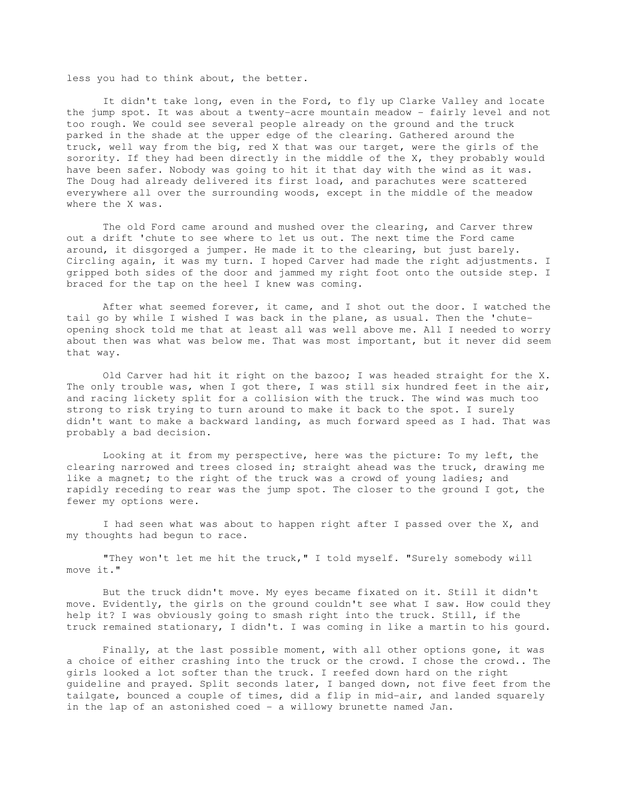less you had to think about, the better.

 It didn't take long, even in the Ford, to fly up Clarke Valley and locate the jump spot. It was about a twenty-acre mountain meadow - fairly level and not too rough. We could see several people already on the ground and the truck parked in the shade at the upper edge of the clearing. Gathered around the truck, well way from the big, red X that was our target, were the girls of the sorority. If they had been directly in the middle of the X, they probably would have been safer. Nobody was going to hit it that day with the wind as it was. The Doug had already delivered its first load, and parachutes were scattered everywhere all over the surrounding woods, except in the middle of the meadow where the X was.

 The old Ford came around and mushed over the clearing, and Carver threw out a drift 'chute to see where to let us out. The next time the Ford came around, it disgorged a jumper. He made it to the clearing, but just barely. Circling again, it was my turn. I hoped Carver had made the right adjustments. I gripped both sides of the door and jammed my right foot onto the outside step. I braced for the tap on the heel I knew was coming.

 After what seemed forever, it came, and I shot out the door. I watched the tail go by while I wished I was back in the plane, as usual. Then the 'chuteopening shock told me that at least all was well above me. All I needed to worry about then was what was below me. That was most important, but it never did seem that way.

 Old Carver had hit it right on the bazoo; I was headed straight for the X. The only trouble was, when I got there, I was still six hundred feet in the air, and racing lickety split for a collision with the truck. The wind was much too strong to risk trying to turn around to make it back to the spot. I surely didn't want to make a backward landing, as much forward speed as I had. That was probably a bad decision.

 Looking at it from my perspective, here was the picture: To my left, the clearing narrowed and trees closed in; straight ahead was the truck, drawing me like a magnet; to the right of the truck was a crowd of young ladies; and rapidly receding to rear was the jump spot. The closer to the ground I got, the fewer my options were.

 I had seen what was about to happen right after I passed over the X, and my thoughts had begun to race.

 "They won't let me hit the truck," I told myself. "Surely somebody will move it."

 But the truck didn't move. My eyes became fixated on it. Still it didn't move. Evidently, the girls on the ground couldn't see what I saw. How could they help it? I was obviously going to smash right into the truck. Still, if the truck remained stationary, I didn't. I was coming in like a martin to his gourd.

 Finally, at the last possible moment, with all other options gone, it was a choice of either crashing into the truck or the crowd. I chose the crowd.. The girls looked a lot softer than the truck. I reefed down hard on the right guideline and prayed. Split seconds later, I banged down, not five feet from the tailgate, bounced a couple of times, did a flip in mid-air, and landed squarely in the lap of an astonished coed - a willowy brunette named Jan.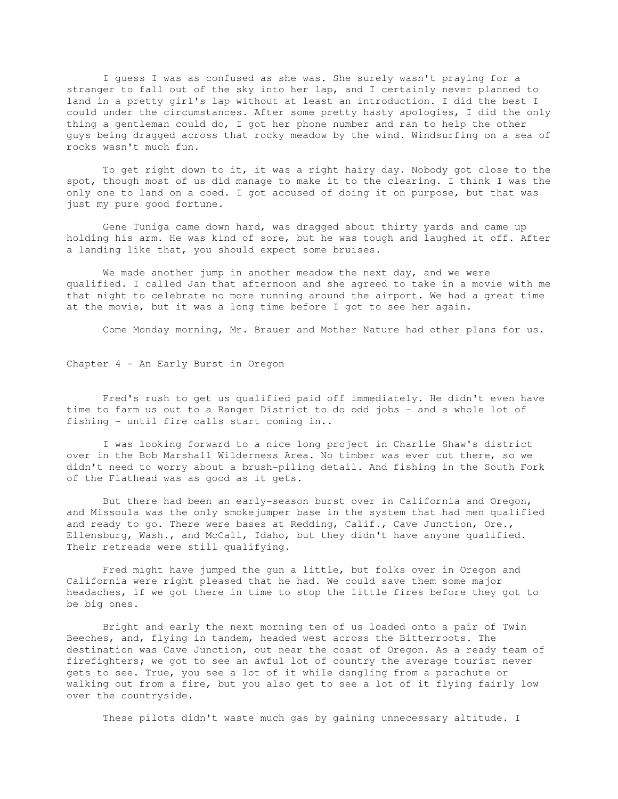I guess I was as confused as she was. She surely wasn't praying for a stranger to fall out of the sky into her lap, and I certainly never planned to land in a pretty girl's lap without at least an introduction. I did the best I could under the circumstances. After some pretty hasty apologies, I did the only thing a gentleman could do, I got her phone number and ran to help the other guys being dragged across that rocky meadow by the wind. Windsurfing on a sea of rocks wasn't much fun.

 To get right down to it, it was a right hairy day. Nobody got close to the spot, though most of us did manage to make it to the clearing. I think I was the only one to land on a coed. I got accused of doing it on purpose, but that was just my pure good fortune.

 Gene Tuniga came down hard, was dragged about thirty yards and came up holding his arm. He was kind of sore, but he was tough and laughed it off. After a landing like that, you should expect some bruises.

 We made another jump in another meadow the next day, and we were qualified. I called Jan that afternoon and she agreed to take in a movie with me that night to celebrate no more running around the airport. We had a great time at the movie, but it was a long time before I got to see her again.

Come Monday morning, Mr. Brauer and Mother Nature had other plans for us.

Chapter 4 - An Early Burst in Oregon

 Fred's rush to get us qualified paid off immediately. He didn't even have time to farm us out to a Ranger District to do odd jobs - and a whole lot of fishing - until fire calls start coming in..

 I was looking forward to a nice long project in Charlie Shaw's district over in the Bob Marshall Wilderness Area. No timber was ever cut there, so we didn't need to worry about a brush-piling detail. And fishing in the South Fork of the Flathead was as good as it gets.

 But there had been an early-season burst over in California and Oregon, and Missoula was the only smokejumper base in the system that had men qualified and ready to go. There were bases at Redding, Calif., Cave Junction, Ore., Ellensburg, Wash., and McCall, Idaho, but they didn't have anyone qualified. Their retreads were still qualifying.

 Fred might have jumped the gun a little, but folks over in Oregon and California were right pleased that he had. We could save them some major headaches, if we got there in time to stop the little fires before they got to be big ones.

 Bright and early the next morning ten of us loaded onto a pair of Twin Beeches, and, flying in tandem, headed west across the Bitterroots. The destination was Cave Junction, out near the coast of Oregon. As a ready team of firefighters; we got to see an awful lot of country the average tourist never gets to see. True, you see a lot of it while dangling from a parachute or walking out from a fire, but you also get to see a lot of it flying fairly low over the countryside.

These pilots didn't waste much gas by gaining unnecessary altitude. I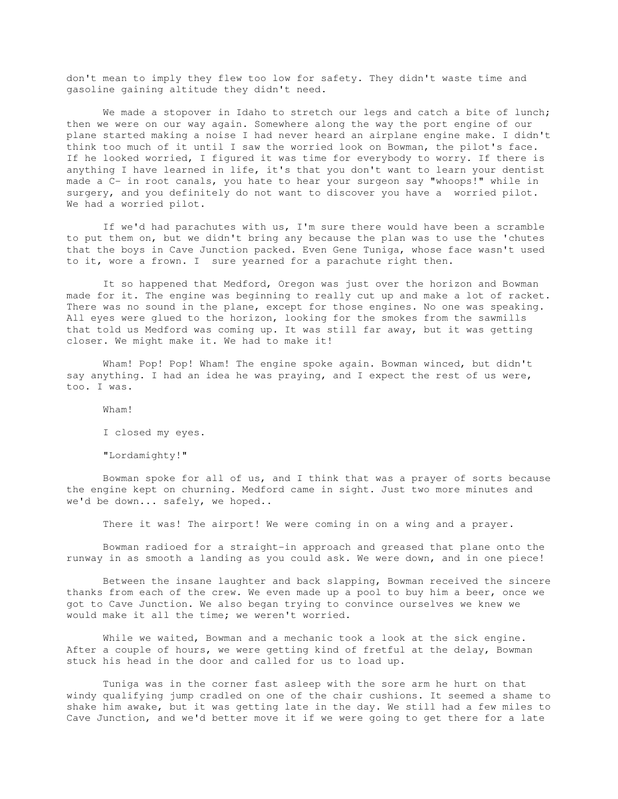don't mean to imply they flew too low for safety. They didn't waste time and gasoline gaining altitude they didn't need.

We made a stopover in Idaho to stretch our legs and catch a bite of lunch; then we were on our way again. Somewhere along the way the port engine of our plane started making a noise I had never heard an airplane engine make. I didn't think too much of it until I saw the worried look on Bowman, the pilot's face. If he looked worried, I figured it was time for everybody to worry. If there is anything I have learned in life, it's that you don't want to learn your dentist made a C- in root canals, you hate to hear your surgeon say "whoops!" while in surgery, and you definitely do not want to discover you have a worried pilot. We had a worried pilot.

 If we'd had parachutes with us, I'm sure there would have been a scramble to put them on, but we didn't bring any because the plan was to use the 'chutes that the boys in Cave Junction packed. Even Gene Tuniga, whose face wasn't used to it, wore a frown. I sure yearned for a parachute right then.

 It so happened that Medford, Oregon was just over the horizon and Bowman made for it. The engine was beginning to really cut up and make a lot of racket. There was no sound in the plane, except for those engines. No one was speaking. All eyes were glued to the horizon, looking for the smokes from the sawmills that told us Medford was coming up. It was still far away, but it was getting closer. We might make it. We had to make it!

 Wham! Pop! Pop! Wham! The engine spoke again. Bowman winced, but didn't say anything. I had an idea he was praying, and I expect the rest of us were, too. I was.

Wham!

I closed my eyes.

"Lordamighty!"

 Bowman spoke for all of us, and I think that was a prayer of sorts because the engine kept on churning. Medford came in sight. Just two more minutes and we'd be down... safely, we hoped..

There it was! The airport! We were coming in on a wing and a prayer.

 Bowman radioed for a straight-in approach and greased that plane onto the runway in as smooth a landing as you could ask. We were down, and in one piece!

 Between the insane laughter and back slapping, Bowman received the sincere thanks from each of the crew. We even made up a pool to buy him a beer, once we got to Cave Junction. We also began trying to convince ourselves we knew we would make it all the time; we weren't worried.

 While we waited, Bowman and a mechanic took a look at the sick engine. After a couple of hours, we were getting kind of fretful at the delay, Bowman stuck his head in the door and called for us to load up.

 Tuniga was in the corner fast asleep with the sore arm he hurt on that windy qualifying jump cradled on one of the chair cushions. It seemed a shame to shake him awake, but it was getting late in the day. We still had a few miles to Cave Junction, and we'd better move it if we were going to get there for a late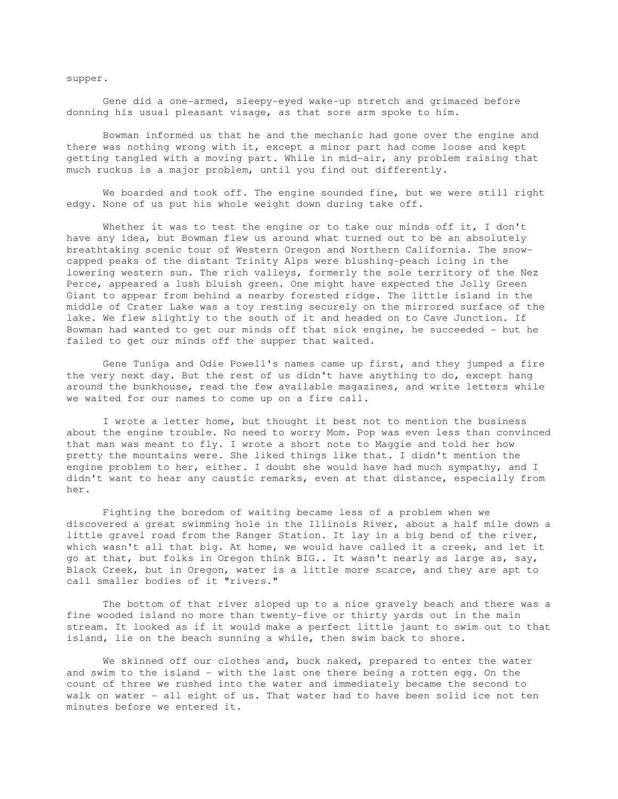supper.

 Gene did a one-armed, sleepy-eyed wake-up stretch and grimaced before donning his usual pleasant visage, as that sore arm spoke to him.

 Bowman informed us that he and the mechanic had gone over the engine and there was nothing wrong with it, except a minor part had come loose and kept getting tangled with a moving part. While in mid-air, any problem raising that much ruckus is a major problem, until you find out differently.

 We boarded and took off. The engine sounded fine, but we were still right edgy. None of us put his whole weight down during take off.

 Whether it was to test the engine or to take our minds off it, I don't have any idea, but Bowman flew us around what turned out to be an absolutely breathtaking scenic tour of Western Oregon and Northern California. The snowcapped peaks of the distant Trinity Alps were blushing-peach icing in the lowering western sun. The rich valleys, formerly the sole territory of the Nez Perce, appeared a lush bluish green. One might have expected the Jolly Green Giant to appear from behind a nearby forested ridge. The little island in the middle of Crater Lake was a toy resting securely on the mirrored surface of the lake. We flew slightly to the south of it and headed on to Cave Junction. If Bowman had wanted to get our minds off that sick engine, he succeeded - but he failed to get our minds off the supper that waited.

 Gene Tuniga and Odie Powell's names came up first, and they jumped a fire the very next day. But the rest of us didn't have anything to do, except hang around the bunkhouse, read the few available magazines, and write letters while we waited for our names to come up on a fire call.

 I wrote a letter home, but thought it best not to mention the business about the engine trouble. No need to worry Mom. Pop was even less than convinced that man was meant to fly. I wrote a short note to Maggie and told her how pretty the mountains were. She liked things like that. I didn't mention the engine problem to her, either. I doubt she would have had much sympathy, and I didn't want to hear any caustic remarks, even at that distance, especially from her.

 Fighting the boredom of waiting became less of a problem when we discovered a great swimming hole in the Illinois River, about a half mile down a little gravel road from the Ranger Station. It lay in a big bend of the river, which wasn't all that big. At home, we would have called it a creek, and let it go at that, but folks in Oregon think BIG.. It wasn't nearly as large as, say, Black Creek, but in Oregon, water is a little more scarce, and they are apt to call smaller bodies of it "rivers."

 The bottom of that river sloped up to a nice gravely beach and there was a fine wooded island no more than twenty-five or thirty yards out in the main stream. It looked as if it would make a perfect little jaunt to swim out to that island, lie on the beach sunning a while, then swim back to shore.

 We skinned off our clothes and, buck naked, prepared to enter the water and swim to the island - with the last one there being a rotten egg. On the count of three we rushed into the water and immediately became the second to walk on water - all eight of us. That water had to have been solid ice not ten minutes before we entered it.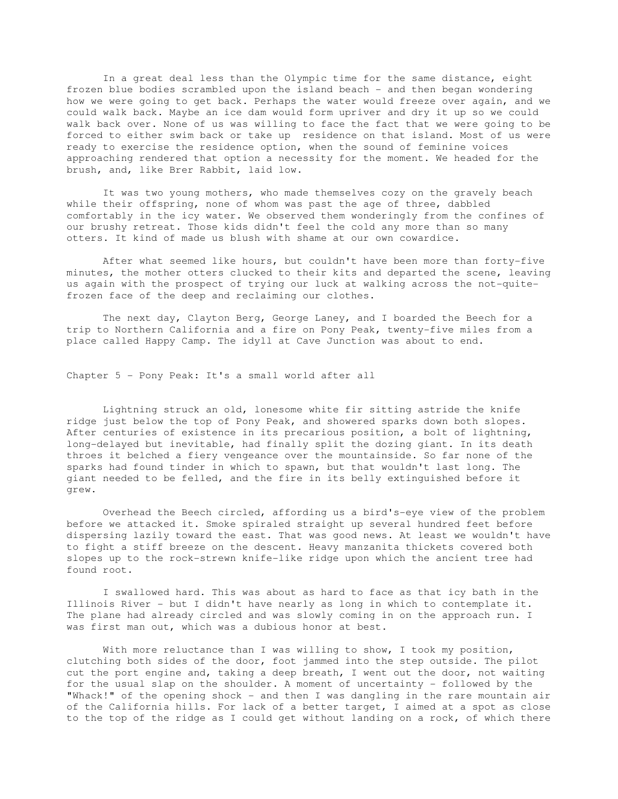In a great deal less than the Olympic time for the same distance, eight frozen blue bodies scrambled upon the island beach - and then began wondering how we were going to get back. Perhaps the water would freeze over again, and we could walk back. Maybe an ice dam would form upriver and dry it up so we could walk back over. None of us was willing to face the fact that we were going to be forced to either swim back or take up residence on that island. Most of us were ready to exercise the residence option, when the sound of feminine voices approaching rendered that option a necessity for the moment. We headed for the brush, and, like Brer Rabbit, laid low.

 It was two young mothers, who made themselves cozy on the gravely beach while their offspring, none of whom was past the age of three, dabbled comfortably in the icy water. We observed them wonderingly from the confines of our brushy retreat. Those kids didn't feel the cold any more than so many otters. It kind of made us blush with shame at our own cowardice.

 After what seemed like hours, but couldn't have been more than forty-five minutes, the mother otters clucked to their kits and departed the scene, leaving us again with the prospect of trying our luck at walking across the not-quitefrozen face of the deep and reclaiming our clothes.

 The next day, Clayton Berg, George Laney, and I boarded the Beech for a trip to Northern California and a fire on Pony Peak, twenty-five miles from a place called Happy Camp. The idyll at Cave Junction was about to end.

Chapter 5 - Pony Peak: It's a small world after all

 Lightning struck an old, lonesome white fir sitting astride the knife ridge just below the top of Pony Peak, and showered sparks down both slopes. After centuries of existence in its precarious position, a bolt of lightning, long-delayed but inevitable, had finally split the dozing giant. In its death throes it belched a fiery vengeance over the mountainside. So far none of the sparks had found tinder in which to spawn, but that wouldn't last long. The giant needed to be felled, and the fire in its belly extinguished before it grew.

 Overhead the Beech circled, affording us a bird's-eye view of the problem before we attacked it. Smoke spiraled straight up several hundred feet before dispersing lazily toward the east. That was good news. At least we wouldn't have to fight a stiff breeze on the descent. Heavy manzanita thickets covered both slopes up to the rock-strewn knife-like ridge upon which the ancient tree had found root.

 I swallowed hard. This was about as hard to face as that icy bath in the Illinois River - but I didn't have nearly as long in which to contemplate it. The plane had already circled and was slowly coming in on the approach run. I was first man out, which was a dubious honor at best.

With more reluctance than I was willing to show, I took my position, clutching both sides of the door, foot jammed into the step outside. The pilot cut the port engine and, taking a deep breath, I went out the door, not waiting for the usual slap on the shoulder. A moment of uncertainty - followed by the "Whack!" of the opening shock - and then I was dangling in the rare mountain air of the California hills. For lack of a better target, I aimed at a spot as close to the top of the ridge as I could get without landing on a rock, of which there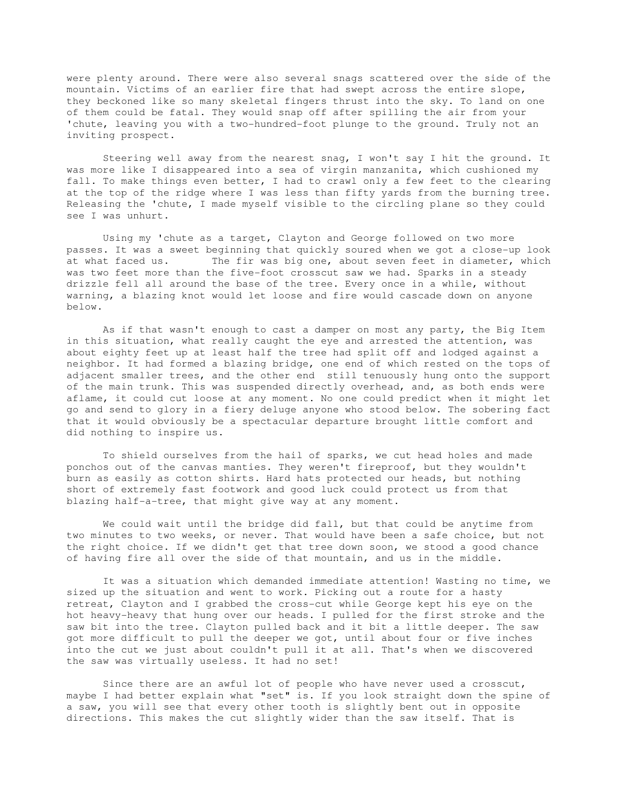were plenty around. There were also several snags scattered over the side of the mountain. Victims of an earlier fire that had swept across the entire slope, they beckoned like so many skeletal fingers thrust into the sky. To land on one of them could be fatal. They would snap off after spilling the air from your 'chute, leaving you with a two-hundred-foot plunge to the ground. Truly not an inviting prospect.

 Steering well away from the nearest snag, I won't say I hit the ground. It was more like I disappeared into a sea of virgin manzanita, which cushioned my fall. To make things even better, I had to crawl only a few feet to the clearing at the top of the ridge where I was less than fifty yards from the burning tree. Releasing the 'chute, I made myself visible to the circling plane so they could see I was unhurt.

 Using my 'chute as a target, Clayton and George followed on two more passes. It was a sweet beginning that quickly soured when we got a close-up look at what faced us. The fir was big one, about seven feet in diameter, which was two feet more than the five-foot crosscut saw we had. Sparks in a steady drizzle fell all around the base of the tree. Every once in a while, without warning, a blazing knot would let loose and fire would cascade down on anyone below.

 As if that wasn't enough to cast a damper on most any party, the Big Item in this situation, what really caught the eye and arrested the attention, was about eighty feet up at least half the tree had split off and lodged against a neighbor. It had formed a blazing bridge, one end of which rested on the tops of adjacent smaller trees, and the other end still tenuously hung onto the support of the main trunk. This was suspended directly overhead, and, as both ends were aflame, it could cut loose at any moment. No one could predict when it might let go and send to glory in a fiery deluge anyone who stood below. The sobering fact that it would obviously be a spectacular departure brought little comfort and did nothing to inspire us.

 To shield ourselves from the hail of sparks, we cut head holes and made ponchos out of the canvas manties. They weren't fireproof, but they wouldn't burn as easily as cotton shirts. Hard hats protected our heads, but nothing short of extremely fast footwork and good luck could protect us from that blazing half-a-tree, that might give way at any moment.

 We could wait until the bridge did fall, but that could be anytime from two minutes to two weeks, or never. That would have been a safe choice, but not the right choice. If we didn't get that tree down soon, we stood a good chance of having fire all over the side of that mountain, and us in the middle.

 It was a situation which demanded immediate attention! Wasting no time, we sized up the situation and went to work. Picking out a route for a hasty retreat, Clayton and I grabbed the cross-cut while George kept his eye on the hot heavy-heavy that hung over our heads. I pulled for the first stroke and the saw bit into the tree. Clayton pulled back and it bit a little deeper. The saw got more difficult to pull the deeper we got, until about four or five inches into the cut we just about couldn't pull it at all. That's when we discovered the saw was virtually useless. It had no set!

 Since there are an awful lot of people who have never used a crosscut, maybe I had better explain what "set" is. If you look straight down the spine of a saw, you will see that every other tooth is slightly bent out in opposite directions. This makes the cut slightly wider than the saw itself. That is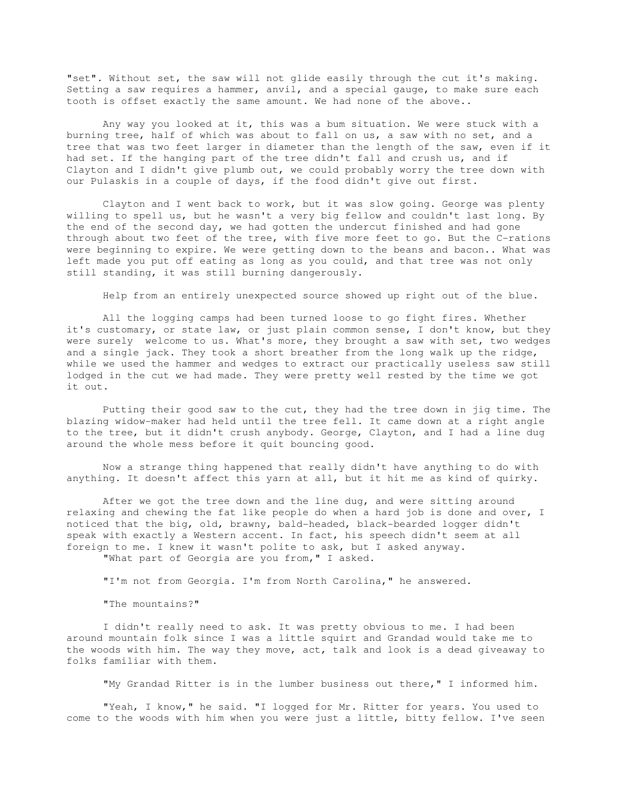"set". Without set, the saw will not glide easily through the cut it's making. Setting a saw requires a hammer, anvil, and a special gauge, to make sure each tooth is offset exactly the same amount. We had none of the above..

 Any way you looked at it, this was a bum situation. We were stuck with a burning tree, half of which was about to fall on us, a saw with no set, and a tree that was two feet larger in diameter than the length of the saw, even if it had set. If the hanging part of the tree didn't fall and crush us, and if Clayton and I didn't give plumb out, we could probably worry the tree down with our Pulaskis in a couple of days, if the food didn't give out first.

 Clayton and I went back to work, but it was slow going. George was plenty willing to spell us, but he wasn't a very big fellow and couldn't last long. By the end of the second day, we had gotten the undercut finished and had gone through about two feet of the tree, with five more feet to go. But the C-rations were beginning to expire. We were getting down to the beans and bacon.. What was left made you put off eating as long as you could, and that tree was not only still standing, it was still burning dangerously.

Help from an entirely unexpected source showed up right out of the blue.

 All the logging camps had been turned loose to go fight fires. Whether it's customary, or state law, or just plain common sense, I don't know, but they were surely welcome to us. What's more, they brought a saw with set, two wedges and a single jack. They took a short breather from the long walk up the ridge, while we used the hammer and wedges to extract our practically useless saw still lodged in the cut we had made. They were pretty well rested by the time we got it out.

 Putting their good saw to the cut, they had the tree down in jig time. The blazing widow-maker had held until the tree fell. It came down at a right angle to the tree, but it didn't crush anybody. George, Clayton, and I had a line dug around the whole mess before it quit bouncing good.

 Now a strange thing happened that really didn't have anything to do with anything. It doesn't affect this yarn at all, but it hit me as kind of quirky.

After we got the tree down and the line dug, and were sitting around relaxing and chewing the fat like people do when a hard job is done and over, I noticed that the big, old, brawny, bald-headed, black-bearded logger didn't speak with exactly a Western accent. In fact, his speech didn't seem at all foreign to me. I knew it wasn't polite to ask, but I asked anyway.

"What part of Georgia are you from," I asked.

"I'm not from Georgia. I'm from North Carolina," he answered.

"The mountains?"

I didn't really need to ask. It was pretty obvious to me. I had been around mountain folk since I was a little squirt and Grandad would take me to the woods with him. The way they move, act, talk and look is a dead giveaway to folks familiar with them.

"My Grandad Ritter is in the lumber business out there," I informed him.

"Yeah, I know," he said. "I logged for Mr. Ritter for years. You used to come to the woods with him when you were just a little, bitty fellow. I've seen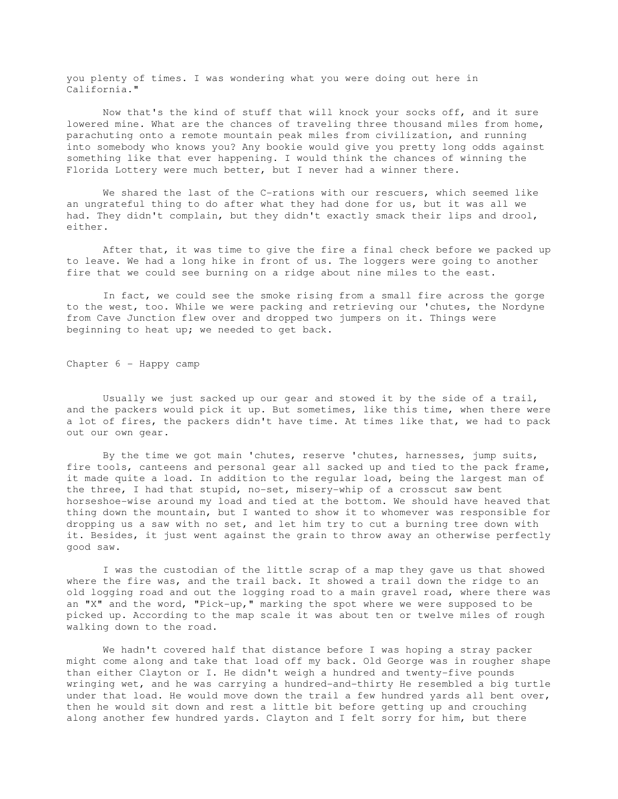you plenty of times. I was wondering what you were doing out here in California."

 Now that's the kind of stuff that will knock your socks off, and it sure lowered mine. What are the chances of traveling three thousand miles from home, parachuting onto a remote mountain peak miles from civilization, and running into somebody who knows you? Any bookie would give you pretty long odds against something like that ever happening. I would think the chances of winning the Florida Lottery were much better, but I never had a winner there.

 We shared the last of the C-rations with our rescuers, which seemed like an ungrateful thing to do after what they had done for us, but it was all we had. They didn't complain, but they didn't exactly smack their lips and drool, either.

 After that, it was time to give the fire a final check before we packed up to leave. We had a long hike in front of us. The loggers were going to another fire that we could see burning on a ridge about nine miles to the east.

 In fact, we could see the smoke rising from a small fire across the gorge to the west, too. While we were packing and retrieving our 'chutes, the Nordyne from Cave Junction flew over and dropped two jumpers on it. Things were beginning to heat up; we needed to get back.

Chapter 6 - Happy camp

 Usually we just sacked up our gear and stowed it by the side of a trail, and the packers would pick it up. But sometimes, like this time, when there were a lot of fires, the packers didn't have time. At times like that, we had to pack out our own gear.

 By the time we got main 'chutes, reserve 'chutes, harnesses, jump suits, fire tools, canteens and personal gear all sacked up and tied to the pack frame, it made quite a load. In addition to the regular load, being the largest man of the three, I had that stupid, no-set, misery-whip of a crosscut saw bent horseshoe-wise around my load and tied at the bottom. We should have heaved that thing down the mountain, but I wanted to show it to whomever was responsible for dropping us a saw with no set, and let him try to cut a burning tree down with it. Besides, it just went against the grain to throw away an otherwise perfectly good saw.

 I was the custodian of the little scrap of a map they gave us that showed where the fire was, and the trail back. It showed a trail down the ridge to an old logging road and out the logging road to a main gravel road, where there was an "X" and the word, "Pick-up," marking the spot where we were supposed to be picked up. According to the map scale it was about ten or twelve miles of rough walking down to the road.

 We hadn't covered half that distance before I was hoping a stray packer might come along and take that load off my back. Old George was in rougher shape than either Clayton or I. He didn't weigh a hundred and twenty-five pounds wringing wet, and he was carrying a hundred-and-thirty He resembled a big turtle under that load. He would move down the trail a few hundred yards all bent over, then he would sit down and rest a little bit before getting up and crouching along another few hundred yards. Clayton and I felt sorry for him, but there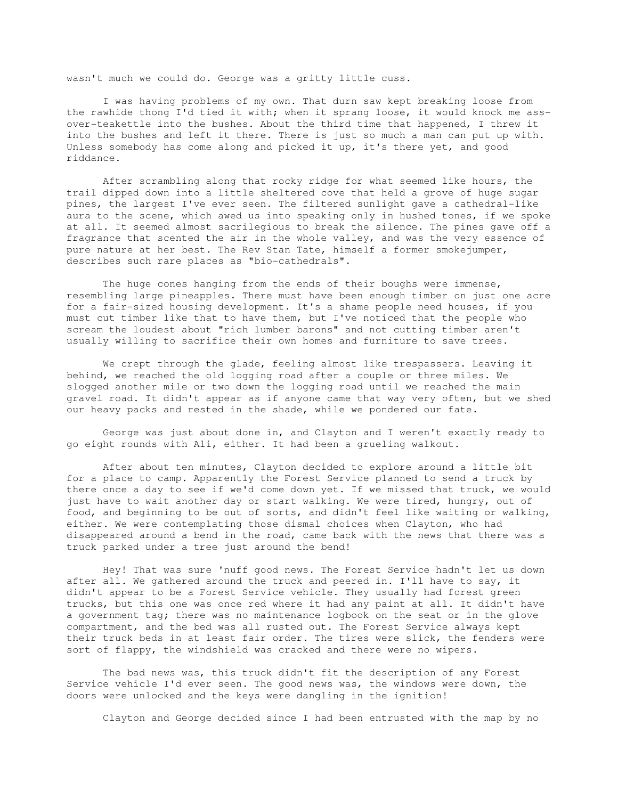wasn't much we could do. George was a gritty little cuss.

 I was having problems of my own. That durn saw kept breaking loose from the rawhide thong I'd tied it with; when it sprang loose, it would knock me assover-teakettle into the bushes. About the third time that happened, I threw it into the bushes and left it there. There is just so much a man can put up with. Unless somebody has come along and picked it up, it's there yet, and good riddance.

 After scrambling along that rocky ridge for what seemed like hours, the trail dipped down into a little sheltered cove that held a grove of huge sugar pines, the largest I've ever seen. The filtered sunlight gave a cathedral-like aura to the scene, which awed us into speaking only in hushed tones, if we spoke at all. It seemed almost sacrilegious to break the silence. The pines gave off a fragrance that scented the air in the whole valley, and was the very essence of pure nature at her best. The Rev Stan Tate, himself a former smokejumper, describes such rare places as "bio-cathedrals".

The huge cones hanging from the ends of their boughs were immense, resembling large pineapples. There must have been enough timber on just one acre for a fair-sized housing development. It's a shame people need houses, if you must cut timber like that to have them, but I've noticed that the people who scream the loudest about "rich lumber barons" and not cutting timber aren't usually willing to sacrifice their own homes and furniture to save trees.

 We crept through the glade, feeling almost like trespassers. Leaving it behind, we reached the old logging road after a couple or three miles. We slogged another mile or two down the logging road until we reached the main gravel road. It didn't appear as if anyone came that way very often, but we shed our heavy packs and rested in the shade, while we pondered our fate.

 George was just about done in, and Clayton and I weren't exactly ready to go eight rounds with Ali, either. It had been a grueling walkout.

 After about ten minutes, Clayton decided to explore around a little bit for a place to camp. Apparently the Forest Service planned to send a truck by there once a day to see if we'd come down yet. If we missed that truck, we would just have to wait another day or start walking. We were tired, hungry, out of food, and beginning to be out of sorts, and didn't feel like waiting or walking, either. We were contemplating those dismal choices when Clayton, who had disappeared around a bend in the road, came back with the news that there was a truck parked under a tree just around the bend!

 Hey! That was sure 'nuff good news. The Forest Service hadn't let us down after all. We gathered around the truck and peered in. I'll have to say, it didn't appear to be a Forest Service vehicle. They usually had forest green trucks, but this one was once red where it had any paint at all. It didn't have a government tag; there was no maintenance logbook on the seat or in the glove compartment, and the bed was all rusted out. The Forest Service always kept their truck beds in at least fair order. The tires were slick, the fenders were sort of flappy, the windshield was cracked and there were no wipers.

 The bad news was, this truck didn't fit the description of any Forest Service vehicle I'd ever seen. The good news was, the windows were down, the doors were unlocked and the keys were dangling in the ignition!

Clayton and George decided since I had been entrusted with the map by no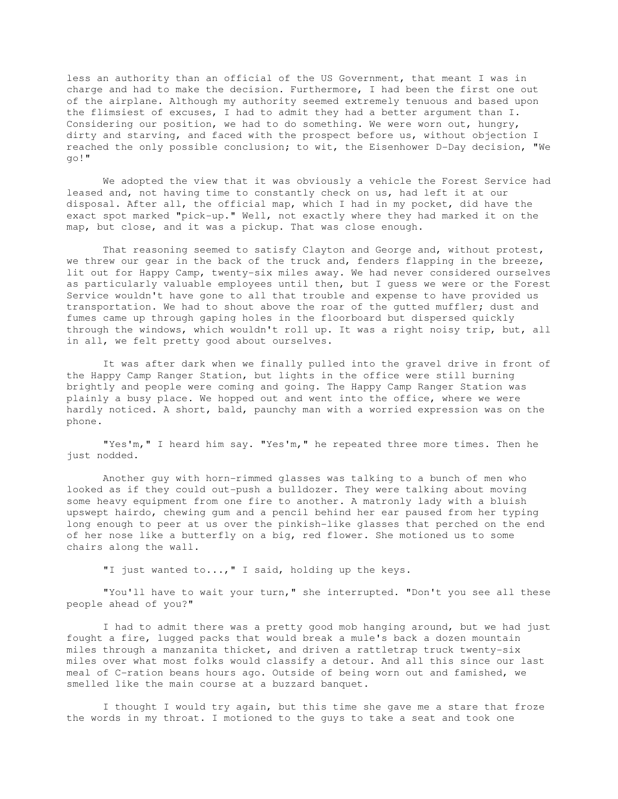less an authority than an official of the US Government, that meant I was in charge and had to make the decision. Furthermore, I had been the first one out of the airplane. Although my authority seemed extremely tenuous and based upon the flimsiest of excuses, I had to admit they had a better argument than I. Considering our position, we had to do something. We were worn out, hungry, dirty and starving, and faced with the prospect before us, without objection I reached the only possible conclusion; to wit, the Eisenhower D-Day decision, "We go!"

 We adopted the view that it was obviously a vehicle the Forest Service had leased and, not having time to constantly check on us, had left it at our disposal. After all, the official map, which I had in my pocket, did have the exact spot marked "pick-up." Well, not exactly where they had marked it on the map, but close, and it was a pickup. That was close enough.

 That reasoning seemed to satisfy Clayton and George and, without protest, we threw our gear in the back of the truck and, fenders flapping in the breeze, lit out for Happy Camp, twenty-six miles away. We had never considered ourselves as particularly valuable employees until then, but I guess we were or the Forest Service wouldn't have gone to all that trouble and expense to have provided us transportation. We had to shout above the roar of the gutted muffler; dust and fumes came up through gaping holes in the floorboard but dispersed quickly through the windows, which wouldn't roll up. It was a right noisy trip, but, all in all, we felt pretty good about ourselves.

 It was after dark when we finally pulled into the gravel drive in front of the Happy Camp Ranger Station, but lights in the office were still burning brightly and people were coming and going. The Happy Camp Ranger Station was plainly a busy place. We hopped out and went into the office, where we were hardly noticed. A short, bald, paunchy man with a worried expression was on the phone.

 "Yes'm," I heard him say. "Yes'm," he repeated three more times. Then he just nodded.

 Another guy with horn-rimmed glasses was talking to a bunch of men who looked as if they could out-push a bulldozer. They were talking about moving some heavy equipment from one fire to another. A matronly lady with a bluish upswept hairdo, chewing gum and a pencil behind her ear paused from her typing long enough to peer at us over the pinkish-like glasses that perched on the end of her nose like a butterfly on a big, red flower. She motioned us to some chairs along the wall.

"I just wanted to...," I said, holding up the keys.

 "You'll have to wait your turn," she interrupted. "Don't you see all these people ahead of you?"

 I had to admit there was a pretty good mob hanging around, but we had just fought a fire, lugged packs that would break a mule's back a dozen mountain miles through a manzanita thicket, and driven a rattletrap truck twenty-six miles over what most folks would classify a detour. And all this since our last meal of C-ration beans hours ago. Outside of being worn out and famished, we smelled like the main course at a buzzard banquet.

 I thought I would try again, but this time she gave me a stare that froze the words in my throat. I motioned to the guys to take a seat and took one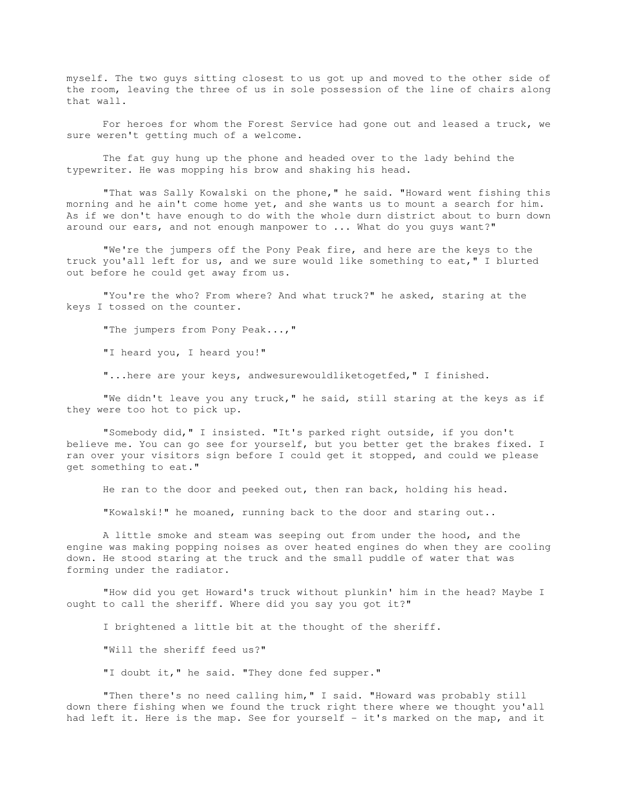myself. The two guys sitting closest to us got up and moved to the other side of the room, leaving the three of us in sole possession of the line of chairs along that wall.

 For heroes for whom the Forest Service had gone out and leased a truck, we sure weren't getting much of a welcome.

 The fat guy hung up the phone and headed over to the lady behind the typewriter. He was mopping his brow and shaking his head.

 "That was Sally Kowalski on the phone," he said. "Howard went fishing this morning and he ain't come home yet, and she wants us to mount a search for him. As if we don't have enough to do with the whole durn district about to burn down around our ears, and not enough manpower to ... What do you guys want?"

 "We're the jumpers off the Pony Peak fire, and here are the keys to the truck you'all left for us, and we sure would like something to eat," I blurted out before he could get away from us.

 "You're the who? From where? And what truck?" he asked, staring at the keys I tossed on the counter.

"The jumpers from Pony Peak...,"

"I heard you, I heard you!"

"...here are your keys, andwesurewouldliketogetfed," I finished.

 "We didn't leave you any truck," he said, still staring at the keys as if they were too hot to pick up.

 "Somebody did," I insisted. "It's parked right outside, if you don't believe me. You can go see for yourself, but you better get the brakes fixed. I ran over your visitors sign before I could get it stopped, and could we please get something to eat."

He ran to the door and peeked out, then ran back, holding his head.

"Kowalski!" he moaned, running back to the door and staring out..

 A little smoke and steam was seeping out from under the hood, and the engine was making popping noises as over heated engines do when they are cooling down. He stood staring at the truck and the small puddle of water that was forming under the radiator.

 "How did you get Howard's truck without plunkin' him in the head? Maybe I ought to call the sheriff. Where did you say you got it?"

I brightened a little bit at the thought of the sheriff.

"Will the sheriff feed us?"

"I doubt it," he said. "They done fed supper."

 "Then there's no need calling him," I said. "Howard was probably still down there fishing when we found the truck right there where we thought you'all had left it. Here is the map. See for yourself - it's marked on the map, and it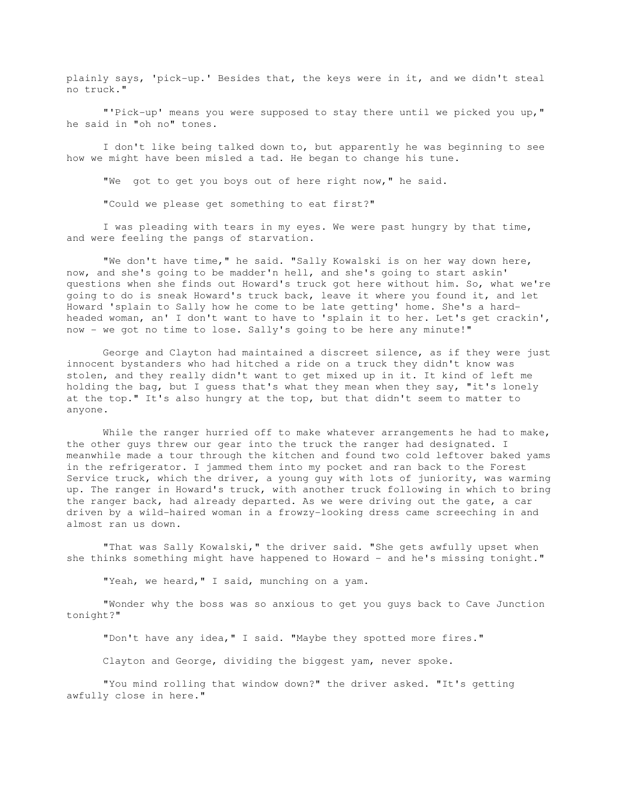plainly says, 'pick-up.' Besides that, the keys were in it, and we didn't steal no truck."

 "'Pick-up' means you were supposed to stay there until we picked you up," he said in "oh no" tones.

 I don't like being talked down to, but apparently he was beginning to see how we might have been misled a tad. He began to change his tune.

"We got to get you boys out of here right now," he said.

"Could we please get something to eat first?"

 I was pleading with tears in my eyes. We were past hungry by that time, and were feeling the pangs of starvation.

 "We don't have time," he said. "Sally Kowalski is on her way down here, now, and she's going to be madder'n hell, and she's going to start askin' questions when she finds out Howard's truck got here without him. So, what we're going to do is sneak Howard's truck back, leave it where you found it, and let Howard 'splain to Sally how he come to be late getting' home. She's a hardheaded woman, an' I don't want to have to 'splain it to her. Let's get crackin', now - we got no time to lose. Sally's going to be here any minute!"

 George and Clayton had maintained a discreet silence, as if they were just innocent bystanders who had hitched a ride on a truck they didn't know was stolen, and they really didn't want to get mixed up in it. It kind of left me holding the bag, but I guess that's what they mean when they say, "it's lonely at the top." It's also hungry at the top, but that didn't seem to matter to anyone.

While the ranger hurried off to make whatever arrangements he had to make, the other guys threw our gear into the truck the ranger had designated. I meanwhile made a tour through the kitchen and found two cold leftover baked yams in the refrigerator. I jammed them into my pocket and ran back to the Forest Service truck, which the driver, a young guy with lots of juniority, was warming up. The ranger in Howard's truck, with another truck following in which to bring the ranger back, had already departed. As we were driving out the gate, a car driven by a wild-haired woman in a frowzy-looking dress came screeching in and almost ran us down.

 "That was Sally Kowalski," the driver said. "She gets awfully upset when she thinks something might have happened to Howard - and he's missing tonight."

"Yeah, we heard, " I said, munching on a yam.

 "Wonder why the boss was so anxious to get you guys back to Cave Junction tonight?"

"Don't have any idea," I said. "Maybe they spotted more fires."

Clayton and George, dividing the biggest yam, never spoke.

 "You mind rolling that window down?" the driver asked. "It's getting awfully close in here."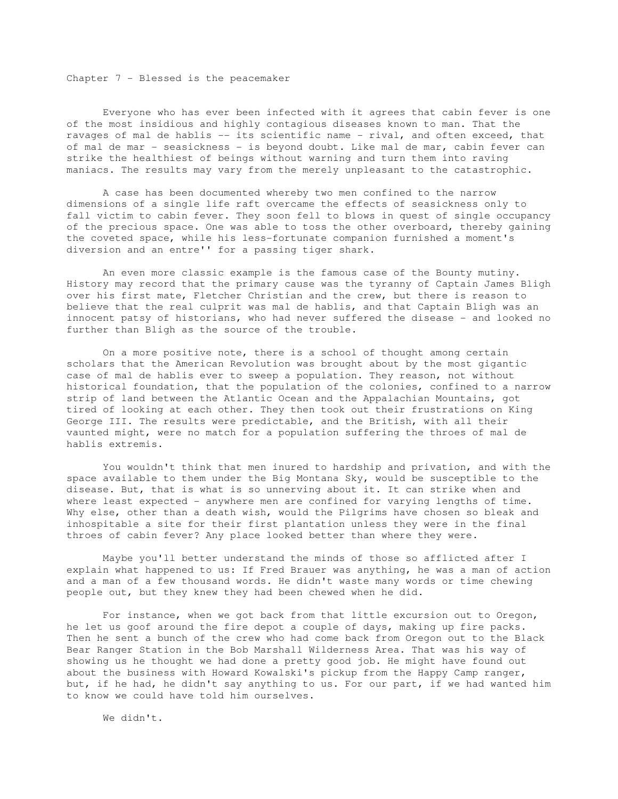Chapter 7 - Blessed is the peacemaker

 Everyone who has ever been infected with it agrees that cabin fever is one of the most insidious and highly contagious diseases known to man. That the ravages of mal de hablis -- its scientific name - rival, and often exceed, that of mal de mar - seasickness - is beyond doubt. Like mal de mar, cabin fever can strike the healthiest of beings without warning and turn them into raving maniacs. The results may vary from the merely unpleasant to the catastrophic.

 A case has been documented whereby two men confined to the narrow dimensions of a single life raft overcame the effects of seasickness only to fall victim to cabin fever. They soon fell to blows in quest of single occupancy of the precious space. One was able to toss the other overboard, thereby gaining the coveted space, while his less-fortunate companion furnished a moment's diversion and an entre'' for a passing tiger shark.

 An even more classic example is the famous case of the Bounty mutiny. History may record that the primary cause was the tyranny of Captain James Bligh over his first mate, Fletcher Christian and the crew, but there is reason to believe that the real culprit was mal de hablis, and that Captain Bligh was an innocent patsy of historians, who had never suffered the disease - and looked no further than Bligh as the source of the trouble.

 On a more positive note, there is a school of thought among certain scholars that the American Revolution was brought about by the most gigantic case of mal de hablis ever to sweep a population. They reason, not without historical foundation, that the population of the colonies, confined to a narrow strip of land between the Atlantic Ocean and the Appalachian Mountains, got tired of looking at each other. They then took out their frustrations on King George III. The results were predictable, and the British, with all their vaunted might, were no match for a population suffering the throes of mal de hablis extremis.

 You wouldn't think that men inured to hardship and privation, and with the space available to them under the Big Montana Sky, would be susceptible to the disease. But, that is what is so unnerving about it. It can strike when and where least expected - anywhere men are confined for varying lengths of time. Why else, other than a death wish, would the Pilgrims have chosen so bleak and inhospitable a site for their first plantation unless they were in the final throes of cabin fever? Any place looked better than where they were.

 Maybe you'll better understand the minds of those so afflicted after I explain what happened to us: If Fred Brauer was anything, he was a man of action and a man of a few thousand words. He didn't waste many words or time chewing people out, but they knew they had been chewed when he did.

 For instance, when we got back from that little excursion out to Oregon, he let us goof around the fire depot a couple of days, making up fire packs. Then he sent a bunch of the crew who had come back from Oregon out to the Black Bear Ranger Station in the Bob Marshall Wilderness Area. That was his way of showing us he thought we had done a pretty good job. He might have found out about the business with Howard Kowalski's pickup from the Happy Camp ranger, but, if he had, he didn't say anything to us. For our part, if we had wanted him to know we could have told him ourselves.

We didn't.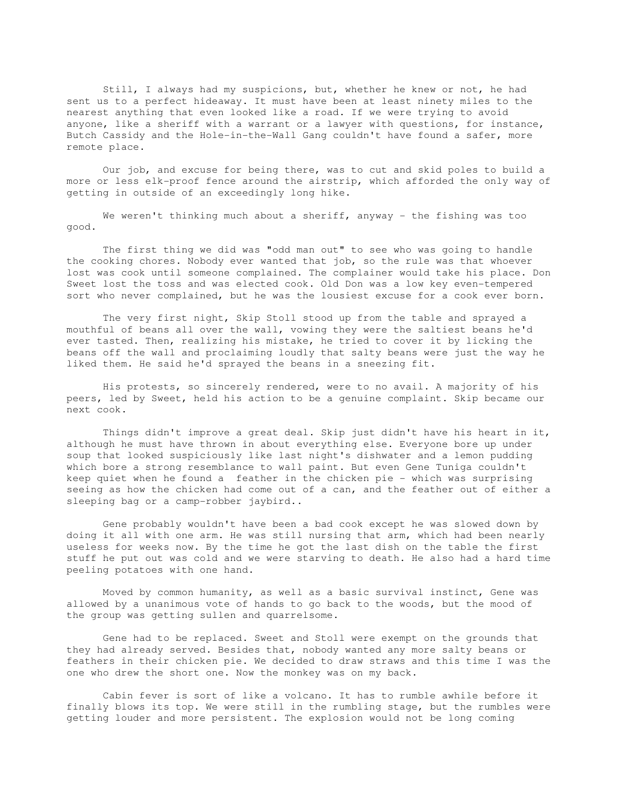Still, I always had my suspicions, but, whether he knew or not, he had sent us to a perfect hideaway. It must have been at least ninety miles to the nearest anything that even looked like a road. If we were trying to avoid anyone, like a sheriff with a warrant or a lawyer with questions, for instance, Butch Cassidy and the Hole-in-the-Wall Gang couldn't have found a safer, more remote place.

 Our job, and excuse for being there, was to cut and skid poles to build a more or less elk-proof fence around the airstrip, which afforded the only way of getting in outside of an exceedingly long hike.

We weren't thinking much about a sheriff, anyway - the fishing was too good.

 The first thing we did was "odd man out" to see who was going to handle the cooking chores. Nobody ever wanted that job, so the rule was that whoever lost was cook until someone complained. The complainer would take his place. Don Sweet lost the toss and was elected cook. Old Don was a low key even-tempered sort who never complained, but he was the lousiest excuse for a cook ever born.

 The very first night, Skip Stoll stood up from the table and sprayed a mouthful of beans all over the wall, vowing they were the saltiest beans he'd ever tasted. Then, realizing his mistake, he tried to cover it by licking the beans off the wall and proclaiming loudly that salty beans were just the way he liked them. He said he'd sprayed the beans in a sneezing fit.

 His protests, so sincerely rendered, were to no avail. A majority of his peers, led by Sweet, held his action to be a genuine complaint. Skip became our next cook.

 Things didn't improve a great deal. Skip just didn't have his heart in it, although he must have thrown in about everything else. Everyone bore up under soup that looked suspiciously like last night's dishwater and a lemon pudding which bore a strong resemblance to wall paint. But even Gene Tuniga couldn't keep quiet when he found a feather in the chicken pie - which was surprising seeing as how the chicken had come out of a can, and the feather out of either a sleeping bag or a camp-robber jaybird..

 Gene probably wouldn't have been a bad cook except he was slowed down by doing it all with one arm. He was still nursing that arm, which had been nearly useless for weeks now. By the time he got the last dish on the table the first stuff he put out was cold and we were starving to death. He also had a hard time peeling potatoes with one hand.

 Moved by common humanity, as well as a basic survival instinct, Gene was allowed by a unanimous vote of hands to go back to the woods, but the mood of the group was getting sullen and quarrelsome.

 Gene had to be replaced. Sweet and Stoll were exempt on the grounds that they had already served. Besides that, nobody wanted any more salty beans or feathers in their chicken pie. We decided to draw straws and this time I was the one who drew the short one. Now the monkey was on my back.

 Cabin fever is sort of like a volcano. It has to rumble awhile before it finally blows its top. We were still in the rumbling stage, but the rumbles were getting louder and more persistent. The explosion would not be long coming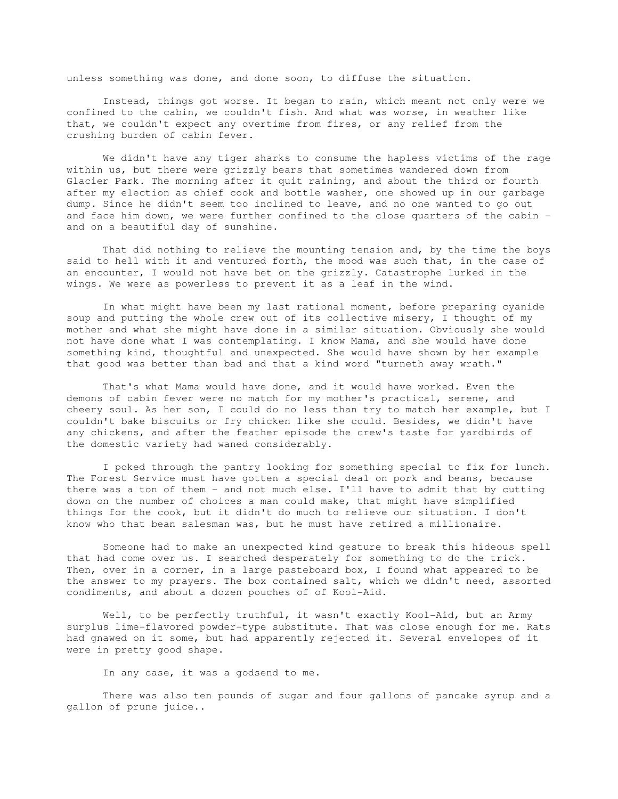unless something was done, and done soon, to diffuse the situation.

 Instead, things got worse. It began to rain, which meant not only were we confined to the cabin, we couldn't fish. And what was worse, in weather like that, we couldn't expect any overtime from fires, or any relief from the crushing burden of cabin fever.

 We didn't have any tiger sharks to consume the hapless victims of the rage within us, but there were grizzly bears that sometimes wandered down from Glacier Park. The morning after it quit raining, and about the third or fourth after my election as chief cook and bottle washer, one showed up in our garbage dump. Since he didn't seem too inclined to leave, and no one wanted to go out and face him down, we were further confined to the close quarters of the cabin and on a beautiful day of sunshine.

 That did nothing to relieve the mounting tension and, by the time the boys said to hell with it and ventured forth, the mood was such that, in the case of an encounter, I would not have bet on the grizzly. Catastrophe lurked in the wings. We were as powerless to prevent it as a leaf in the wind.

 In what might have been my last rational moment, before preparing cyanide soup and putting the whole crew out of its collective misery, I thought of my mother and what she might have done in a similar situation. Obviously she would not have done what I was contemplating. I know Mama, and she would have done something kind, thoughtful and unexpected. She would have shown by her example that good was better than bad and that a kind word "turneth away wrath."

 That's what Mama would have done, and it would have worked. Even the demons of cabin fever were no match for my mother's practical, serene, and cheery soul. As her son, I could do no less than try to match her example, but I couldn't bake biscuits or fry chicken like she could. Besides, we didn't have any chickens, and after the feather episode the crew's taste for yardbirds of the domestic variety had waned considerably.

 I poked through the pantry looking for something special to fix for lunch. The Forest Service must have gotten a special deal on pork and beans, because there was a ton of them - and not much else. I'll have to admit that by cutting down on the number of choices a man could make, that might have simplified things for the cook, but it didn't do much to relieve our situation. I don't know who that bean salesman was, but he must have retired a millionaire.

 Someone had to make an unexpected kind gesture to break this hideous spell that had come over us. I searched desperately for something to do the trick. Then, over in a corner, in a large pasteboard box, I found what appeared to be the answer to my prayers. The box contained salt, which we didn't need, assorted condiments, and about a dozen pouches of of Kool-Aid.

 Well, to be perfectly truthful, it wasn't exactly Kool-Aid, but an Army surplus lime-flavored powder-type substitute. That was close enough for me. Rats had gnawed on it some, but had apparently rejected it. Several envelopes of it were in pretty good shape.

In any case, it was a godsend to me.

 There was also ten pounds of sugar and four gallons of pancake syrup and a gallon of prune juice..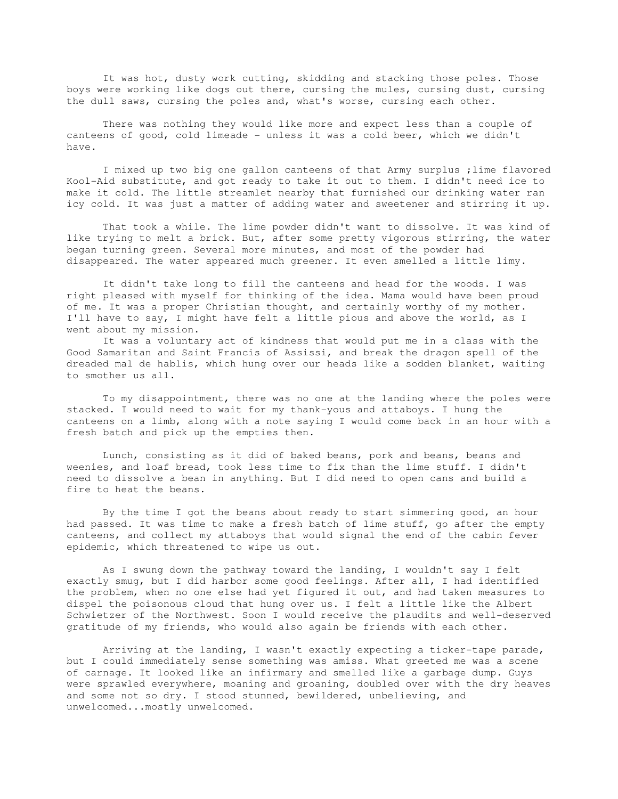It was hot, dusty work cutting, skidding and stacking those poles. Those boys were working like dogs out there, cursing the mules, cursing dust, cursing the dull saws, cursing the poles and, what's worse, cursing each other.

 There was nothing they would like more and expect less than a couple of canteens of good, cold limeade - unless it was a cold beer, which we didn't have.

 I mixed up two big one gallon canteens of that Army surplus ;lime flavored Kool-Aid substitute, and got ready to take it out to them. I didn't need ice to make it cold. The little streamlet nearby that furnished our drinking water ran icy cold. It was just a matter of adding water and sweetener and stirring it up.

 That took a while. The lime powder didn't want to dissolve. It was kind of like trying to melt a brick. But, after some pretty vigorous stirring, the water began turning green. Several more minutes, and most of the powder had disappeared. The water appeared much greener. It even smelled a little limy.

 It didn't take long to fill the canteens and head for the woods. I was right pleased with myself for thinking of the idea. Mama would have been proud of me. It was a proper Christian thought, and certainly worthy of my mother. I'll have to say, I might have felt a little pious and above the world, as I went about my mission.

 It was a voluntary act of kindness that would put me in a class with the Good Samaritan and Saint Francis of Assissi, and break the dragon spell of the dreaded mal de hablis, which hung over our heads like a sodden blanket, waiting to smother us all.

 To my disappointment, there was no one at the landing where the poles were stacked. I would need to wait for my thank-yous and attaboys. I hung the canteens on a limb, along with a note saying I would come back in an hour with a fresh batch and pick up the empties then.

 Lunch, consisting as it did of baked beans, pork and beans, beans and weenies, and loaf bread, took less time to fix than the lime stuff. I didn't need to dissolve a bean in anything. But I did need to open cans and build a fire to heat the beans.

 By the time I got the beans about ready to start simmering good, an hour had passed. It was time to make a fresh batch of lime stuff, go after the empty canteens, and collect my attaboys that would signal the end of the cabin fever epidemic, which threatened to wipe us out.

 As I swung down the pathway toward the landing, I wouldn't say I felt exactly smug, but I did harbor some good feelings. After all, I had identified the problem, when no one else had yet figured it out, and had taken measures to dispel the poisonous cloud that hung over us. I felt a little like the Albert Schwietzer of the Northwest. Soon I would receive the plaudits and well-deserved gratitude of my friends, who would also again be friends with each other.

 Arriving at the landing, I wasn't exactly expecting a ticker-tape parade, but I could immediately sense something was amiss. What greeted me was a scene of carnage. It looked like an infirmary and smelled like a garbage dump. Guys were sprawled everywhere, moaning and groaning, doubled over with the dry heaves and some not so dry. I stood stunned, bewildered, unbelieving, and unwelcomed...mostly unwelcomed.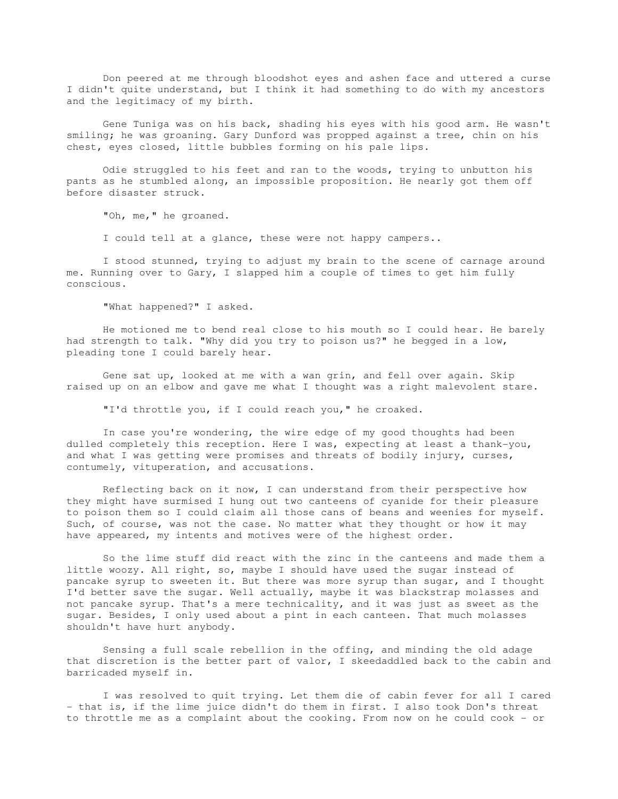Don peered at me through bloodshot eyes and ashen face and uttered a curse I didn't quite understand, but I think it had something to do with my ancestors and the legitimacy of my birth.

 Gene Tuniga was on his back, shading his eyes with his good arm. He wasn't smiling; he was groaning. Gary Dunford was propped against a tree, chin on his chest, eyes closed, little bubbles forming on his pale lips.

 Odie struggled to his feet and ran to the woods, trying to unbutton his pants as he stumbled along, an impossible proposition. He nearly got them off before disaster struck.

"Oh, me," he groaned.

I could tell at a glance, these were not happy campers..

 I stood stunned, trying to adjust my brain to the scene of carnage around me. Running over to Gary, I slapped him a couple of times to get him fully conscious.

"What happened?" I asked.

 He motioned me to bend real close to his mouth so I could hear. He barely had strength to talk. "Why did you try to poison us?" he begged in a low, pleading tone I could barely hear.

 Gene sat up, looked at me with a wan grin, and fell over again. Skip raised up on an elbow and gave me what I thought was a right malevolent stare.

"I'd throttle you, if I could reach you," he croaked.

 In case you're wondering, the wire edge of my good thoughts had been dulled completely this reception. Here I was, expecting at least a thank-you, and what I was getting were promises and threats of bodily injury, curses, contumely, vituperation, and accusations.

 Reflecting back on it now, I can understand from their perspective how they might have surmised I hung out two canteens of cyanide for their pleasure to poison them so I could claim all those cans of beans and weenies for myself. Such, of course, was not the case. No matter what they thought or how it may have appeared, my intents and motives were of the highest order.

 So the lime stuff did react with the zinc in the canteens and made them a little woozy. All right, so, maybe I should have used the sugar instead of pancake syrup to sweeten it. But there was more syrup than sugar, and I thought I'd better save the sugar. Well actually, maybe it was blackstrap molasses and not pancake syrup. That's a mere technicality, and it was just as sweet as the sugar. Besides, I only used about a pint in each canteen. That much molasses shouldn't have hurt anybody.

 Sensing a full scale rebellion in the offing, and minding the old adage that discretion is the better part of valor, I skeedaddled back to the cabin and barricaded myself in.

 I was resolved to quit trying. Let them die of cabin fever for all I cared - that is, if the lime juice didn't do them in first. I also took Don's threat to throttle me as a complaint about the cooking. From now on he could cook - or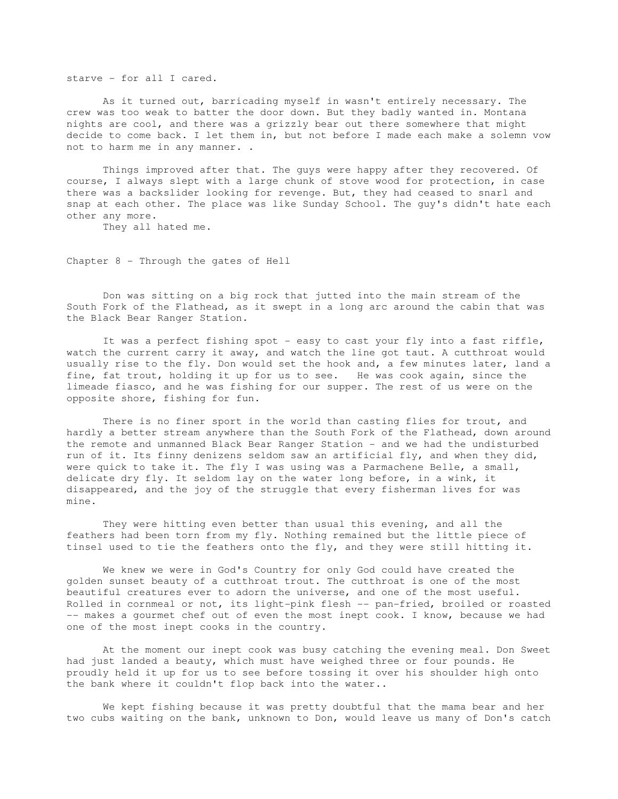starve - for all I cared.

 As it turned out, barricading myself in wasn't entirely necessary. The crew was too weak to batter the door down. But they badly wanted in. Montana nights are cool, and there was a grizzly bear out there somewhere that might decide to come back. I let them in, but not before I made each make a solemn vow not to harm me in any manner. .

 Things improved after that. The guys were happy after they recovered. Of course, I always slept with a large chunk of stove wood for protection, in case there was a backslider looking for revenge. But, they had ceased to snarl and snap at each other. The place was like Sunday School. The guy's didn't hate each other any more.

They all hated me.

Chapter 8 - Through the gates of Hell

 Don was sitting on a big rock that jutted into the main stream of the South Fork of the Flathead, as it swept in a long arc around the cabin that was the Black Bear Ranger Station.

It was a perfect fishing spot - easy to cast your fly into a fast riffle, watch the current carry it away, and watch the line got taut. A cutthroat would usually rise to the fly. Don would set the hook and, a few minutes later, land a fine, fat trout, holding it up for us to see. He was cook again, since the limeade fiasco, and he was fishing for our supper. The rest of us were on the opposite shore, fishing for fun.

There is no finer sport in the world than casting flies for trout, and hardly a better stream anywhere than the South Fork of the Flathead, down around the remote and unmanned Black Bear Ranger Station - and we had the undisturbed run of it. Its finny denizens seldom saw an artificial fly, and when they did, were quick to take it. The fly I was using was a Parmachene Belle, a small, delicate dry fly. It seldom lay on the water long before, in a wink, it disappeared, and the joy of the struggle that every fisherman lives for was mine.

 They were hitting even better than usual this evening, and all the feathers had been torn from my fly. Nothing remained but the little piece of tinsel used to tie the feathers onto the fly, and they were still hitting it.

 We knew we were in God's Country for only God could have created the golden sunset beauty of a cutthroat trout. The cutthroat is one of the most beautiful creatures ever to adorn the universe, and one of the most useful. Rolled in cornmeal or not, its light-pink flesh -- pan-fried, broiled or roasted -- makes a gourmet chef out of even the most inept cook. I know, because we had one of the most inept cooks in the country.

 At the moment our inept cook was busy catching the evening meal. Don Sweet had just landed a beauty, which must have weighed three or four pounds. He proudly held it up for us to see before tossing it over his shoulder high onto the bank where it couldn't flop back into the water..

 We kept fishing because it was pretty doubtful that the mama bear and her two cubs waiting on the bank, unknown to Don, would leave us many of Don's catch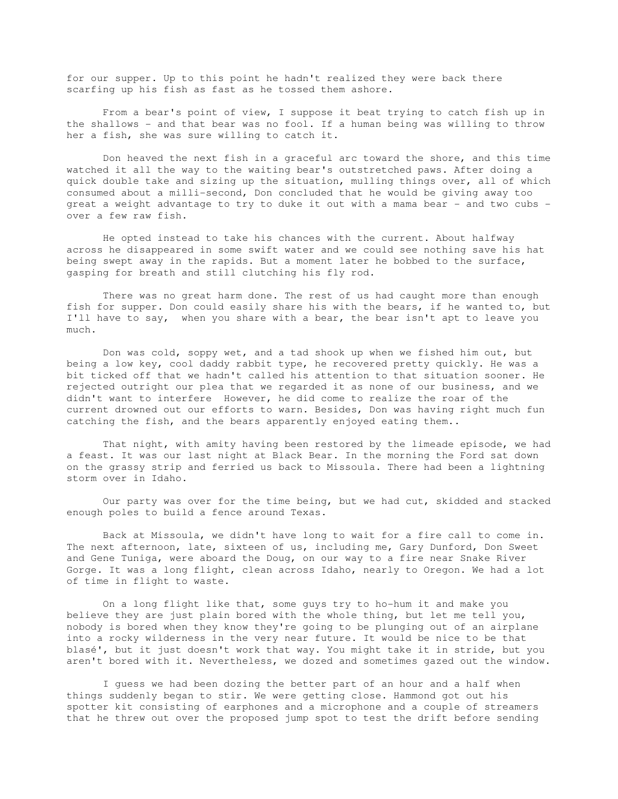for our supper. Up to this point he hadn't realized they were back there scarfing up his fish as fast as he tossed them ashore.

 From a bear's point of view, I suppose it beat trying to catch fish up in the shallows - and that bear was no fool. If a human being was willing to throw her a fish, she was sure willing to catch it.

 Don heaved the next fish in a graceful arc toward the shore, and this time watched it all the way to the waiting bear's outstretched paws. After doing a quick double take and sizing up the situation, mulling things over, all of which consumed about a milli-second, Don concluded that he would be giving away too great a weight advantage to try to duke it out with a mama bear - and two cubs over a few raw fish.

 He opted instead to take his chances with the current. About halfway across he disappeared in some swift water and we could see nothing save his hat being swept away in the rapids. But a moment later he bobbed to the surface, gasping for breath and still clutching his fly rod.

 There was no great harm done. The rest of us had caught more than enough fish for supper. Don could easily share his with the bears, if he wanted to, but I'll have to say, when you share with a bear, the bear isn't apt to leave you much.

 Don was cold, soppy wet, and a tad shook up when we fished him out, but being a low key, cool daddy rabbit type, he recovered pretty quickly. He was a bit ticked off that we hadn't called his attention to that situation sooner. He rejected outright our plea that we regarded it as none of our business, and we didn't want to interfere However, he did come to realize the roar of the current drowned out our efforts to warn. Besides, Don was having right much fun catching the fish, and the bears apparently enjoyed eating them..

 That night, with amity having been restored by the limeade episode, we had a feast. It was our last night at Black Bear. In the morning the Ford sat down on the grassy strip and ferried us back to Missoula. There had been a lightning storm over in Idaho.

 Our party was over for the time being, but we had cut, skidded and stacked enough poles to build a fence around Texas.

 Back at Missoula, we didn't have long to wait for a fire call to come in. The next afternoon, late, sixteen of us, including me, Gary Dunford, Don Sweet and Gene Tuniga, were aboard the Doug, on our way to a fire near Snake River Gorge. It was a long flight, clean across Idaho, nearly to Oregon. We had a lot of time in flight to waste.

 On a long flight like that, some guys try to ho-hum it and make you believe they are just plain bored with the whole thing, but let me tell you, nobody is bored when they know they're going to be plunging out of an airplane into a rocky wilderness in the very near future. It would be nice to be that blasé', but it just doesn't work that way. You might take it in stride, but you aren't bored with it. Nevertheless, we dozed and sometimes gazed out the window.

 I guess we had been dozing the better part of an hour and a half when things suddenly began to stir. We were getting close. Hammond got out his spotter kit consisting of earphones and a microphone and a couple of streamers that he threw out over the proposed jump spot to test the drift before sending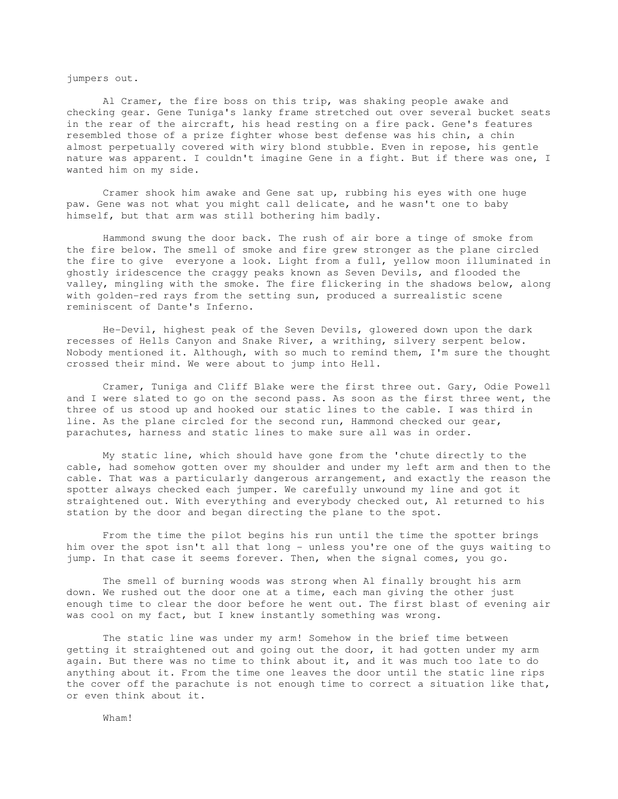jumpers out.

 Al Cramer, the fire boss on this trip, was shaking people awake and checking gear. Gene Tuniga's lanky frame stretched out over several bucket seats in the rear of the aircraft, his head resting on a fire pack. Gene's features resembled those of a prize fighter whose best defense was his chin, a chin almost perpetually covered with wiry blond stubble. Even in repose, his gentle nature was apparent. I couldn't imagine Gene in a fight. But if there was one, I wanted him on my side.

 Cramer shook him awake and Gene sat up, rubbing his eyes with one huge paw. Gene was not what you might call delicate, and he wasn't one to baby himself, but that arm was still bothering him badly.

 Hammond swung the door back. The rush of air bore a tinge of smoke from the fire below. The smell of smoke and fire grew stronger as the plane circled the fire to give everyone a look. Light from a full, yellow moon illuminated in ghostly iridescence the craggy peaks known as Seven Devils, and flooded the valley, mingling with the smoke. The fire flickering in the shadows below, along with golden-red rays from the setting sun, produced a surrealistic scene reminiscent of Dante's Inferno.

 He-Devil, highest peak of the Seven Devils, glowered down upon the dark recesses of Hells Canyon and Snake River, a writhing, silvery serpent below. Nobody mentioned it. Although, with so much to remind them, I'm sure the thought crossed their mind. We were about to jump into Hell.

 Cramer, Tuniga and Cliff Blake were the first three out. Gary, Odie Powell and I were slated to go on the second pass. As soon as the first three went, the three of us stood up and hooked our static lines to the cable. I was third in line. As the plane circled for the second run, Hammond checked our gear, parachutes, harness and static lines to make sure all was in order.

 My static line, which should have gone from the 'chute directly to the cable, had somehow gotten over my shoulder and under my left arm and then to the cable. That was a particularly dangerous arrangement, and exactly the reason the spotter always checked each jumper. We carefully unwound my line and got it straightened out. With everything and everybody checked out, Al returned to his station by the door and began directing the plane to the spot.

 From the time the pilot begins his run until the time the spotter brings him over the spot isn't all that long - unless you're one of the guys waiting to jump. In that case it seems forever. Then, when the signal comes, you go.

 The smell of burning woods was strong when Al finally brought his arm down. We rushed out the door one at a time, each man giving the other just enough time to clear the door before he went out. The first blast of evening air was cool on my fact, but I knew instantly something was wrong.

 The static line was under my arm! Somehow in the brief time between getting it straightened out and going out the door, it had gotten under my arm again. But there was no time to think about it, and it was much too late to do anything about it. From the time one leaves the door until the static line rips the cover off the parachute is not enough time to correct a situation like that, or even think about it.

Wham!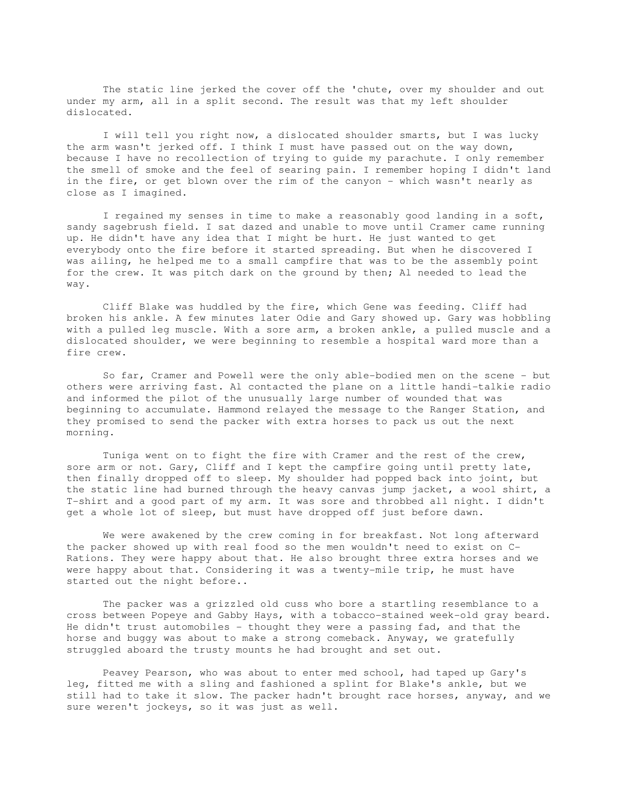The static line jerked the cover off the 'chute, over my shoulder and out under my arm, all in a split second. The result was that my left shoulder dislocated.

 I will tell you right now, a dislocated shoulder smarts, but I was lucky the arm wasn't jerked off. I think I must have passed out on the way down, because I have no recollection of trying to guide my parachute. I only remember the smell of smoke and the feel of searing pain. I remember hoping I didn't land in the fire, or get blown over the rim of the canyon - which wasn't nearly as close as I imagined.

 I regained my senses in time to make a reasonably good landing in a soft, sandy sagebrush field. I sat dazed and unable to move until Cramer came running up. He didn't have any idea that I might be hurt. He just wanted to get everybody onto the fire before it started spreading. But when he discovered I was ailing, he helped me to a small campfire that was to be the assembly point for the crew. It was pitch dark on the ground by then; Al needed to lead the way.

 Cliff Blake was huddled by the fire, which Gene was feeding. Cliff had broken his ankle. A few minutes later Odie and Gary showed up. Gary was hobbling with a pulled leg muscle. With a sore arm, a broken ankle, a pulled muscle and a dislocated shoulder, we were beginning to resemble a hospital ward more than a fire crew.

 So far, Cramer and Powell were the only able-bodied men on the scene - but others were arriving fast. Al contacted the plane on a little handi-talkie radio and informed the pilot of the unusually large number of wounded that was beginning to accumulate. Hammond relayed the message to the Ranger Station, and they promised to send the packer with extra horses to pack us out the next morning.

 Tuniga went on to fight the fire with Cramer and the rest of the crew, sore arm or not. Gary, Cliff and I kept the campfire going until pretty late, then finally dropped off to sleep. My shoulder had popped back into joint, but the static line had burned through the heavy canvas jump jacket, a wool shirt, a T-shirt and a good part of my arm. It was sore and throbbed all night. I didn't get a whole lot of sleep, but must have dropped off just before dawn.

 We were awakened by the crew coming in for breakfast. Not long afterward the packer showed up with real food so the men wouldn't need to exist on C-Rations. They were happy about that. He also brought three extra horses and we were happy about that. Considering it was a twenty-mile trip, he must have started out the night before..

 The packer was a grizzled old cuss who bore a startling resemblance to a cross between Popeye and Gabby Hays, with a tobacco-stained week-old gray beard. He didn't trust automobiles - thought they were a passing fad, and that the horse and buggy was about to make a strong comeback. Anyway, we gratefully struggled aboard the trusty mounts he had brought and set out.

 Peavey Pearson, who was about to enter med school, had taped up Gary's leg, fitted me with a sling and fashioned a splint for Blake's ankle, but we still had to take it slow. The packer hadn't brought race horses, anyway, and we sure weren't jockeys, so it was just as well.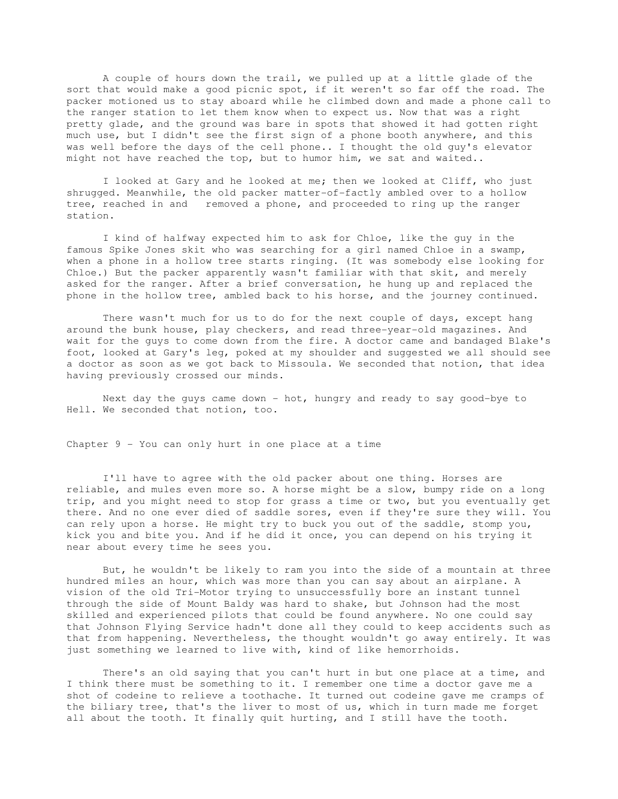A couple of hours down the trail, we pulled up at a little glade of the sort that would make a good picnic spot, if it weren't so far off the road. The packer motioned us to stay aboard while he climbed down and made a phone call to the ranger station to let them know when to expect us. Now that was a right pretty glade, and the ground was bare in spots that showed it had gotten right much use, but I didn't see the first sign of a phone booth anywhere, and this was well before the days of the cell phone.. I thought the old guy's elevator might not have reached the top, but to humor him, we sat and waited..

 I looked at Gary and he looked at me; then we looked at Cliff, who just shrugged. Meanwhile, the old packer matter-of-factly ambled over to a hollow tree, reached in and removed a phone, and proceeded to ring up the ranger station.

 I kind of halfway expected him to ask for Chloe, like the guy in the famous Spike Jones skit who was searching for a girl named Chloe in a swamp, when a phone in a hollow tree starts ringing. (It was somebody else looking for Chloe.) But the packer apparently wasn't familiar with that skit, and merely asked for the ranger. After a brief conversation, he hung up and replaced the phone in the hollow tree, ambled back to his horse, and the journey continued.

 There wasn't much for us to do for the next couple of days, except hang around the bunk house, play checkers, and read three-year-old magazines. And wait for the guys to come down from the fire. A doctor came and bandaged Blake's foot, looked at Gary's leg, poked at my shoulder and suggested we all should see a doctor as soon as we got back to Missoula. We seconded that notion, that idea having previously crossed our minds.

Next day the guys came down - hot, hungry and ready to say good-bye to Hell. We seconded that notion, too.

Chapter 9 - You can only hurt in one place at a time

 I'll have to agree with the old packer about one thing. Horses are reliable, and mules even more so. A horse might be a slow, bumpy ride on a long trip, and you might need to stop for grass a time or two, but you eventually get there. And no one ever died of saddle sores, even if they're sure they will. You can rely upon a horse. He might try to buck you out of the saddle, stomp you, kick you and bite you. And if he did it once, you can depend on his trying it near about every time he sees you.

 But, he wouldn't be likely to ram you into the side of a mountain at three hundred miles an hour, which was more than you can say about an airplane. A vision of the old Tri-Motor trying to unsuccessfully bore an instant tunnel through the side of Mount Baldy was hard to shake, but Johnson had the most skilled and experienced pilots that could be found anywhere. No one could say that Johnson Flying Service hadn't done all they could to keep accidents such as that from happening. Nevertheless, the thought wouldn't go away entirely. It was just something we learned to live with, kind of like hemorrhoids.

 There's an old saying that you can't hurt in but one place at a time, and I think there must be something to it. I remember one time a doctor gave me a shot of codeine to relieve a toothache. It turned out codeine gave me cramps of the biliary tree, that's the liver to most of us, which in turn made me forget all about the tooth. It finally quit hurting, and I still have the tooth.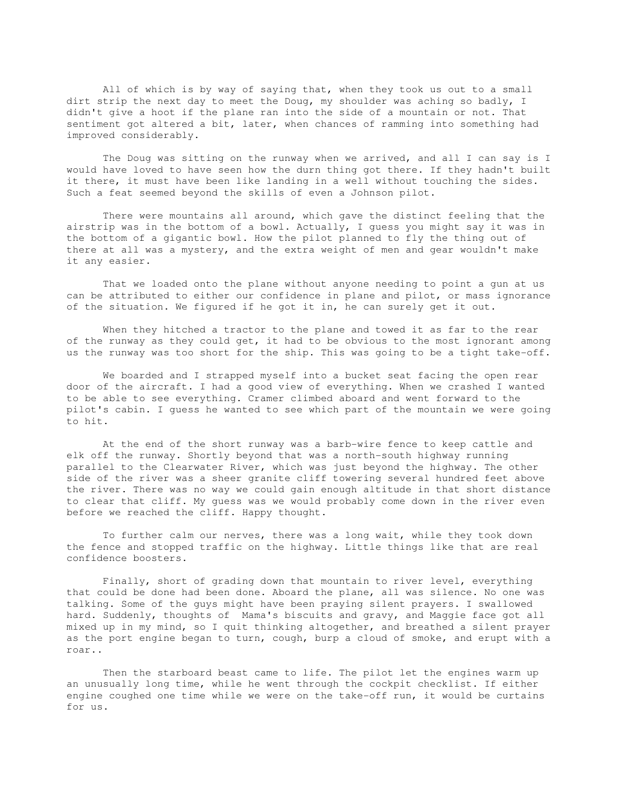All of which is by way of saying that, when they took us out to a small dirt strip the next day to meet the Doug, my shoulder was aching so badly, I didn't give a hoot if the plane ran into the side of a mountain or not. That sentiment got altered a bit, later, when chances of ramming into something had improved considerably.

 The Doug was sitting on the runway when we arrived, and all I can say is I would have loved to have seen how the durn thing got there. If they hadn't built it there, it must have been like landing in a well without touching the sides. Such a feat seemed beyond the skills of even a Johnson pilot.

 There were mountains all around, which gave the distinct feeling that the airstrip was in the bottom of a bowl. Actually, I guess you might say it was in the bottom of a gigantic bowl. How the pilot planned to fly the thing out of there at all was a mystery, and the extra weight of men and gear wouldn't make it any easier.

 That we loaded onto the plane without anyone needing to point a gun at us can be attributed to either our confidence in plane and pilot, or mass ignorance of the situation. We figured if he got it in, he can surely get it out.

 When they hitched a tractor to the plane and towed it as far to the rear of the runway as they could get, it had to be obvious to the most ignorant among us the runway was too short for the ship. This was going to be a tight take-off.

 We boarded and I strapped myself into a bucket seat facing the open rear door of the aircraft. I had a good view of everything. When we crashed I wanted to be able to see everything. Cramer climbed aboard and went forward to the pilot's cabin. I guess he wanted to see which part of the mountain we were going to hit.

 At the end of the short runway was a barb-wire fence to keep cattle and elk off the runway. Shortly beyond that was a north-south highway running parallel to the Clearwater River, which was just beyond the highway. The other side of the river was a sheer granite cliff towering several hundred feet above the river. There was no way we could gain enough altitude in that short distance to clear that cliff. My guess was we would probably come down in the river even before we reached the cliff. Happy thought.

 To further calm our nerves, there was a long wait, while they took down the fence and stopped traffic on the highway. Little things like that are real confidence boosters.

 Finally, short of grading down that mountain to river level, everything that could be done had been done. Aboard the plane, all was silence. No one was talking. Some of the guys might have been praying silent prayers. I swallowed hard. Suddenly, thoughts of Mama's biscuits and gravy, and Maggie face got all mixed up in my mind, so I quit thinking altogether, and breathed a silent prayer as the port engine began to turn, cough, burp a cloud of smoke, and erupt with a roar..

 Then the starboard beast came to life. The pilot let the engines warm up an unusually long time, while he went through the cockpit checklist. If either engine coughed one time while we were on the take-off run, it would be curtains for us.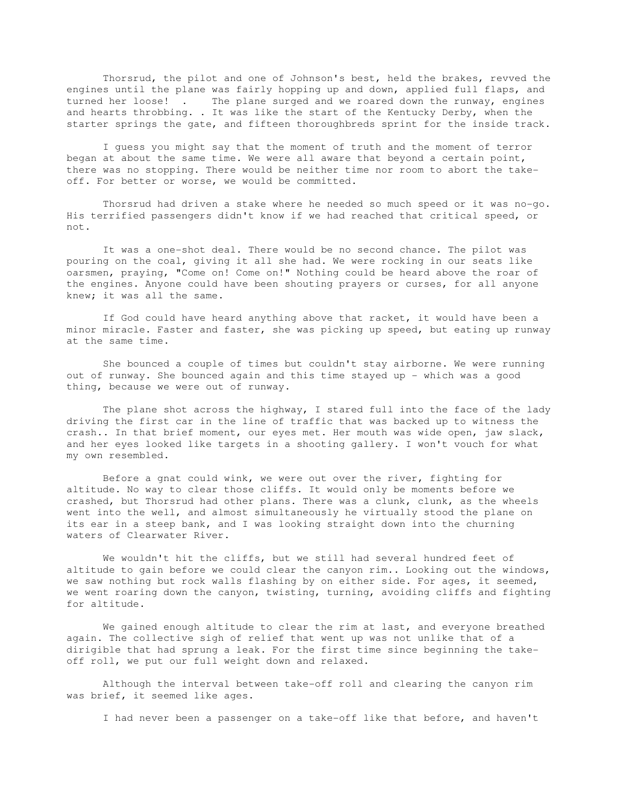Thorsrud, the pilot and one of Johnson's best, held the brakes, revved the engines until the plane was fairly hopping up and down, applied full flaps, and turned her loose! . The plane surged and we roared down the runway, engines and hearts throbbing. . It was like the start of the Kentucky Derby, when the starter springs the gate, and fifteen thoroughbreds sprint for the inside track.

 I guess you might say that the moment of truth and the moment of terror began at about the same time. We were all aware that beyond a certain point, there was no stopping. There would be neither time nor room to abort the takeoff. For better or worse, we would be committed.

 Thorsrud had driven a stake where he needed so much speed or it was no-go. His terrified passengers didn't know if we had reached that critical speed, or not.

 It was a one-shot deal. There would be no second chance. The pilot was pouring on the coal, giving it all she had. We were rocking in our seats like oarsmen, praying, "Come on! Come on!" Nothing could be heard above the roar of the engines. Anyone could have been shouting prayers or curses, for all anyone knew; it was all the same.

 If God could have heard anything above that racket, it would have been a minor miracle. Faster and faster, she was picking up speed, but eating up runway at the same time.

 She bounced a couple of times but couldn't stay airborne. We were running out of runway. She bounced again and this time stayed up - which was a good thing, because we were out of runway.

 The plane shot across the highway, I stared full into the face of the lady driving the first car in the line of traffic that was backed up to witness the crash.. In that brief moment, our eyes met. Her mouth was wide open, jaw slack, and her eyes looked like targets in a shooting gallery. I won't vouch for what my own resembled.

 Before a gnat could wink, we were out over the river, fighting for altitude. No way to clear those cliffs. It would only be moments before we crashed, but Thorsrud had other plans. There was a clunk, clunk, as the wheels went into the well, and almost simultaneously he virtually stood the plane on its ear in a steep bank, and I was looking straight down into the churning waters of Clearwater River.

 We wouldn't hit the cliffs, but we still had several hundred feet of altitude to gain before we could clear the canyon rim.. Looking out the windows, we saw nothing but rock walls flashing by on either side. For ages, it seemed, we went roaring down the canyon, twisting, turning, avoiding cliffs and fighting for altitude.

 We gained enough altitude to clear the rim at last, and everyone breathed again. The collective sigh of relief that went up was not unlike that of a dirigible that had sprung a leak. For the first time since beginning the takeoff roll, we put our full weight down and relaxed.

 Although the interval between take-off roll and clearing the canyon rim was brief, it seemed like ages.

I had never been a passenger on a take-off like that before, and haven't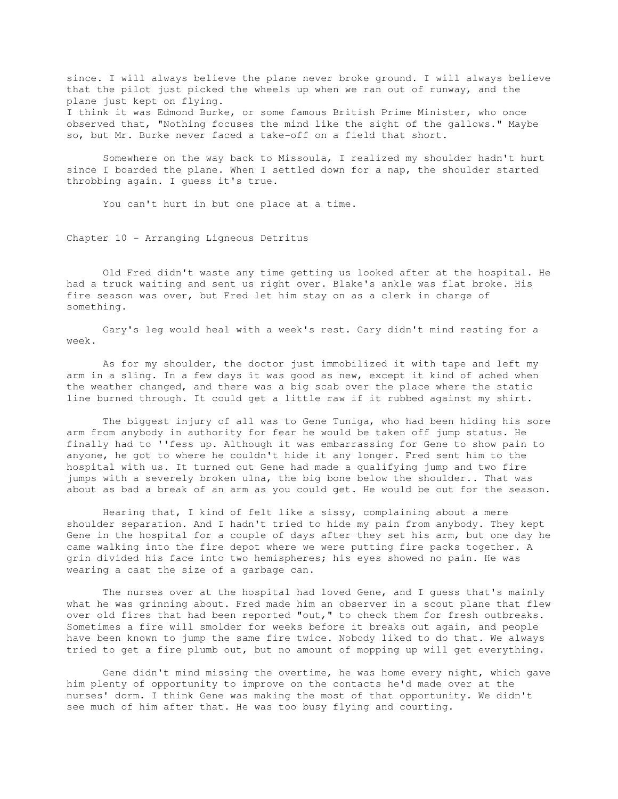since. I will always believe the plane never broke ground. I will always believe that the pilot just picked the wheels up when we ran out of runway, and the plane just kept on flying. I think it was Edmond Burke, or some famous British Prime Minister, who once observed that, "Nothing focuses the mind like the sight of the gallows." Maybe so, but Mr. Burke never faced a take-off on a field that short.

 Somewhere on the way back to Missoula, I realized my shoulder hadn't hurt since I boarded the plane. When I settled down for a nap, the shoulder started throbbing again. I guess it's true.

You can't hurt in but one place at a time.

Chapter 10 - Arranging Ligneous Detritus

 Old Fred didn't waste any time getting us looked after at the hospital. He had a truck waiting and sent us right over. Blake's ankle was flat broke. His fire season was over, but Fred let him stay on as a clerk in charge of something.

 Gary's leg would heal with a week's rest. Gary didn't mind resting for a week.

 As for my shoulder, the doctor just immobilized it with tape and left my arm in a sling. In a few days it was good as new, except it kind of ached when the weather changed, and there was a big scab over the place where the static line burned through. It could get a little raw if it rubbed against my shirt.

 The biggest injury of all was to Gene Tuniga, who had been hiding his sore arm from anybody in authority for fear he would be taken off jump status. He finally had to ''fess up. Although it was embarrassing for Gene to show pain to anyone, he got to where he couldn't hide it any longer. Fred sent him to the hospital with us. It turned out Gene had made a qualifying jump and two fire jumps with a severely broken ulna, the big bone below the shoulder.. That was about as bad a break of an arm as you could get. He would be out for the season.

 Hearing that, I kind of felt like a sissy, complaining about a mere shoulder separation. And I hadn't tried to hide my pain from anybody. They kept Gene in the hospital for a couple of days after they set his arm, but one day he came walking into the fire depot where we were putting fire packs together. A grin divided his face into two hemispheres; his eyes showed no pain. He was wearing a cast the size of a garbage can.

The nurses over at the hospital had loved Gene, and I guess that's mainly what he was grinning about. Fred made him an observer in a scout plane that flew over old fires that had been reported "out," to check them for fresh outbreaks. Sometimes a fire will smolder for weeks before it breaks out again, and people have been known to jump the same fire twice. Nobody liked to do that. We always tried to get a fire plumb out, but no amount of mopping up will get everything.

 Gene didn't mind missing the overtime, he was home every night, which gave him plenty of opportunity to improve on the contacts he'd made over at the nurses' dorm. I think Gene was making the most of that opportunity. We didn't see much of him after that. He was too busy flying and courting.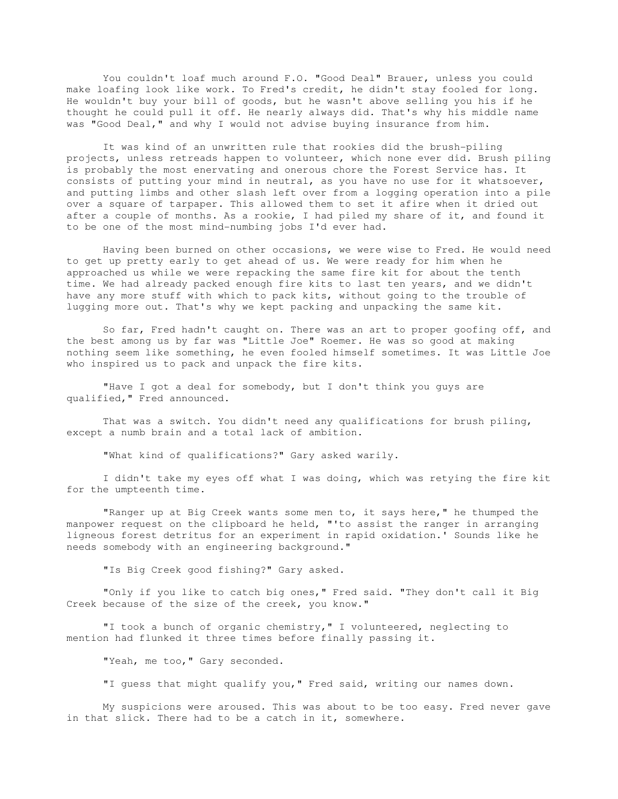You couldn't loaf much around F.O. "Good Deal" Brauer, unless you could make loafing look like work. To Fred's credit, he didn't stay fooled for long. He wouldn't buy your bill of goods, but he wasn't above selling you his if he thought he could pull it off. He nearly always did. That's why his middle name was "Good Deal," and why I would not advise buying insurance from him.

 It was kind of an unwritten rule that rookies did the brush-piling projects, unless retreads happen to volunteer, which none ever did. Brush piling is probably the most enervating and onerous chore the Forest Service has. It consists of putting your mind in neutral, as you have no use for it whatsoever, and putting limbs and other slash left over from a logging operation into a pile over a square of tarpaper. This allowed them to set it afire when it dried out after a couple of months. As a rookie, I had piled my share of it, and found it to be one of the most mind-numbing jobs I'd ever had.

 Having been burned on other occasions, we were wise to Fred. He would need to get up pretty early to get ahead of us. We were ready for him when he approached us while we were repacking the same fire kit for about the tenth time. We had already packed enough fire kits to last ten years, and we didn't have any more stuff with which to pack kits, without going to the trouble of lugging more out. That's why we kept packing and unpacking the same kit.

 So far, Fred hadn't caught on. There was an art to proper goofing off, and the best among us by far was "Little Joe" Roemer. He was so good at making nothing seem like something, he even fooled himself sometimes. It was Little Joe who inspired us to pack and unpack the fire kits.

 "Have I got a deal for somebody, but I don't think you guys are qualified," Fred announced.

 That was a switch. You didn't need any qualifications for brush piling, except a numb brain and a total lack of ambition.

"What kind of qualifications?" Gary asked warily.

 I didn't take my eyes off what I was doing, which was retying the fire kit for the umpteenth time.

 "Ranger up at Big Creek wants some men to, it says here," he thumped the manpower request on the clipboard he held, "'to assist the ranger in arranging ligneous forest detritus for an experiment in rapid oxidation.' Sounds like he needs somebody with an engineering background."

"Is Big Creek good fishing?" Gary asked.

 "Only if you like to catch big ones," Fred said. "They don't call it Big Creek because of the size of the creek, you know."

"I took a bunch of organic chemistry," I volunteered, neglecting to mention had flunked it three times before finally passing it.

"Yeah, me too," Gary seconded.

"I guess that might qualify you," Fred said, writing our names down.

 My suspicions were aroused. This was about to be too easy. Fred never gave in that slick. There had to be a catch in it, somewhere.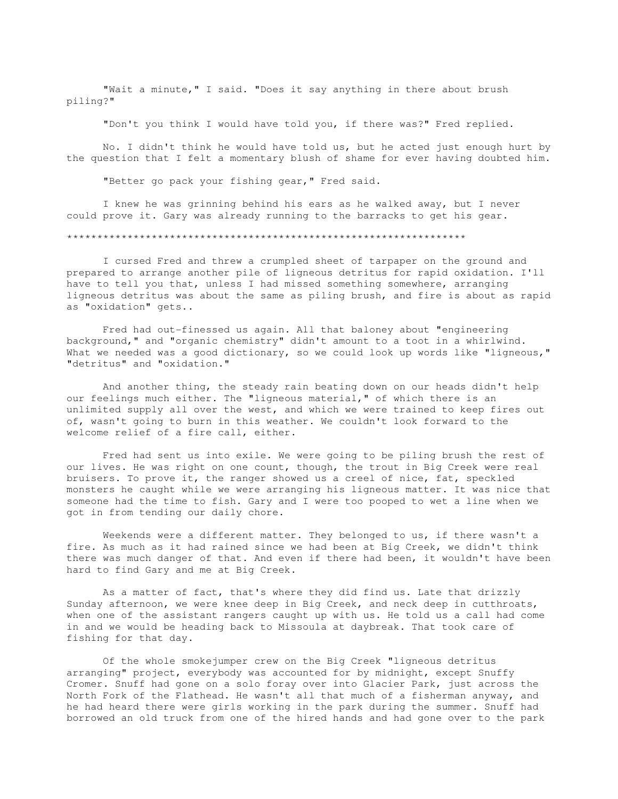"Wait a minute," I said. "Does it say anything in there about brush piling?"

"Don't you think I would have told you, if there was?" Fred replied.

 No. I didn't think he would have told us, but he acted just enough hurt by the question that I felt a momentary blush of shame for ever having doubted him.

"Better go pack your fishing gear," Fred said.

 I knew he was grinning behind his ears as he walked away, but I never could prove it. Gary was already running to the barracks to get his gear.

## \*\*\*\*\*\*\*\*\*\*\*\*\*\*\*\*\*\*\*\*\*\*\*\*\*\*\*\*\*\*\*\*\*\*\*\*\*\*\*\*\*\*\*\*\*\*\*\*\*\*\*\*\*\*\*\*\*\*\*\*\*\*\*\*\*\*

 I cursed Fred and threw a crumpled sheet of tarpaper on the ground and prepared to arrange another pile of ligneous detritus for rapid oxidation. I'll have to tell you that, unless I had missed something somewhere, arranging ligneous detritus was about the same as piling brush, and fire is about as rapid as "oxidation" gets..

 Fred had out-finessed us again. All that baloney about "engineering background," and "organic chemistry" didn't amount to a toot in a whirlwind. What we needed was a good dictionary, so we could look up words like "ligneous," "detritus" and "oxidation."

 And another thing, the steady rain beating down on our heads didn't help our feelings much either. The "ligneous material," of which there is an unlimited supply all over the west, and which we were trained to keep fires out of, wasn't going to burn in this weather. We couldn't look forward to the welcome relief of a fire call, either.

 Fred had sent us into exile. We were going to be piling brush the rest of our lives. He was right on one count, though, the trout in Big Creek were real bruisers. To prove it, the ranger showed us a creel of nice, fat, speckled monsters he caught while we were arranging his ligneous matter. It was nice that someone had the time to fish. Gary and I were too pooped to wet a line when we got in from tending our daily chore.

Weekends were a different matter. They belonged to us, if there wasn't a fire. As much as it had rained since we had been at Big Creek, we didn't think there was much danger of that. And even if there had been, it wouldn't have been hard to find Gary and me at Big Creek.

 As a matter of fact, that's where they did find us. Late that drizzly Sunday afternoon, we were knee deep in Big Creek, and neck deep in cutthroats, when one of the assistant rangers caught up with us. He told us a call had come in and we would be heading back to Missoula at daybreak. That took care of fishing for that day.

 Of the whole smokejumper crew on the Big Creek "ligneous detritus arranging" project, everybody was accounted for by midnight, except Snuffy Cromer. Snuff had gone on a solo foray over into Glacier Park, just across the North Fork of the Flathead. He wasn't all that much of a fisherman anyway, and he had heard there were girls working in the park during the summer. Snuff had borrowed an old truck from one of the hired hands and had gone over to the park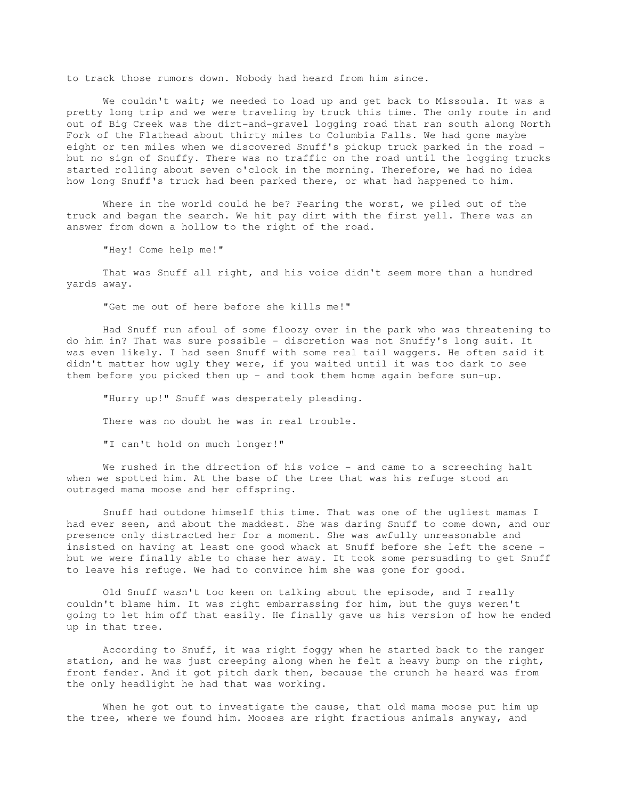to track those rumors down. Nobody had heard from him since.

We couldn't wait; we needed to load up and get back to Missoula. It was a pretty long trip and we were traveling by truck this time. The only route in and out of Big Creek was the dirt-and-gravel logging road that ran south along North Fork of the Flathead about thirty miles to Columbia Falls. We had gone maybe eight or ten miles when we discovered Snuff's pickup truck parked in the road but no sign of Snuffy. There was no traffic on the road until the logging trucks started rolling about seven o'clock in the morning. Therefore, we had no idea how long Snuff's truck had been parked there, or what had happened to him.

 Where in the world could he be? Fearing the worst, we piled out of the truck and began the search. We hit pay dirt with the first yell. There was an answer from down a hollow to the right of the road.

"Hey! Come help me!"

 That was Snuff all right, and his voice didn't seem more than a hundred yards away.

"Get me out of here before she kills me!"

 Had Snuff run afoul of some floozy over in the park who was threatening to do him in? That was sure possible - discretion was not Snuffy's long suit. It was even likely. I had seen Snuff with some real tail waggers. He often said it didn't matter how ugly they were, if you waited until it was too dark to see them before you picked then up - and took them home again before sun-up.

 "Hurry up!" Snuff was desperately pleading. There was no doubt he was in real trouble.

"I can't hold on much longer!"

We rushed in the direction of his voice - and came to a screeching halt when we spotted him. At the base of the tree that was his refuge stood an outraged mama moose and her offspring.

 Snuff had outdone himself this time. That was one of the ugliest mamas I had ever seen, and about the maddest. She was daring Snuff to come down, and our presence only distracted her for a moment. She was awfully unreasonable and insisted on having at least one good whack at Snuff before she left the scene but we were finally able to chase her away. It took some persuading to get Snuff to leave his refuge. We had to convince him she was gone for good.

 Old Snuff wasn't too keen on talking about the episode, and I really couldn't blame him. It was right embarrassing for him, but the guys weren't going to let him off that easily. He finally gave us his version of how he ended up in that tree.

 According to Snuff, it was right foggy when he started back to the ranger station, and he was just creeping along when he felt a heavy bump on the right, front fender. And it got pitch dark then, because the crunch he heard was from the only headlight he had that was working.

When he got out to investigate the cause, that old mama moose put him up the tree, where we found him. Mooses are right fractious animals anyway, and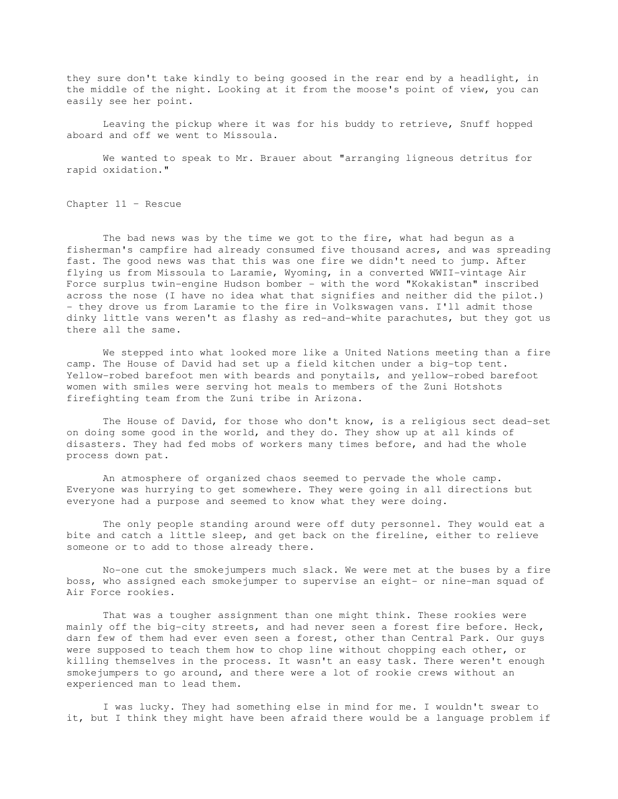they sure don't take kindly to being goosed in the rear end by a headlight, in the middle of the night. Looking at it from the moose's point of view, you can easily see her point.

 Leaving the pickup where it was for his buddy to retrieve, Snuff hopped aboard and off we went to Missoula.

 We wanted to speak to Mr. Brauer about "arranging ligneous detritus for rapid oxidation."

Chapter 11 – Rescue

 The bad news was by the time we got to the fire, what had begun as a fisherman's campfire had already consumed five thousand acres, and was spreading fast. The good news was that this was one fire we didn't need to jump. After flying us from Missoula to Laramie, Wyoming, in a converted WWII-vintage Air Force surplus twin-engine Hudson bomber - with the word "Kokakistan" inscribed across the nose (I have no idea what that signifies and neither did the pilot.) - they drove us from Laramie to the fire in Volkswagen vans. I'll admit those dinky little vans weren't as flashy as red-and-white parachutes, but they got us there all the same.

 We stepped into what looked more like a United Nations meeting than a fire camp. The House of David had set up a field kitchen under a big-top tent. Yellow-robed barefoot men with beards and ponytails, and yellow-robed barefoot women with smiles were serving hot meals to members of the Zuni Hotshots firefighting team from the Zuni tribe in Arizona.

 The House of David, for those who don't know, is a religious sect dead-set on doing some good in the world, and they do. They show up at all kinds of disasters. They had fed mobs of workers many times before, and had the whole process down pat.

 An atmosphere of organized chaos seemed to pervade the whole camp. Everyone was hurrying to get somewhere. They were going in all directions but everyone had a purpose and seemed to know what they were doing.

 The only people standing around were off duty personnel. They would eat a bite and catch a little sleep, and get back on the fireline, either to relieve someone or to add to those already there.

 No-one cut the smokejumpers much slack. We were met at the buses by a fire boss, who assigned each smokejumper to supervise an eight- or nine-man squad of Air Force rookies.

 That was a tougher assignment than one might think. These rookies were mainly off the big-city streets, and had never seen a forest fire before. Heck, darn few of them had ever even seen a forest, other than Central Park. Our guys were supposed to teach them how to chop line without chopping each other, or killing themselves in the process. It wasn't an easy task. There weren't enough smokejumpers to go around, and there were a lot of rookie crews without an experienced man to lead them.

 I was lucky. They had something else in mind for me. I wouldn't swear to it, but I think they might have been afraid there would be a language problem if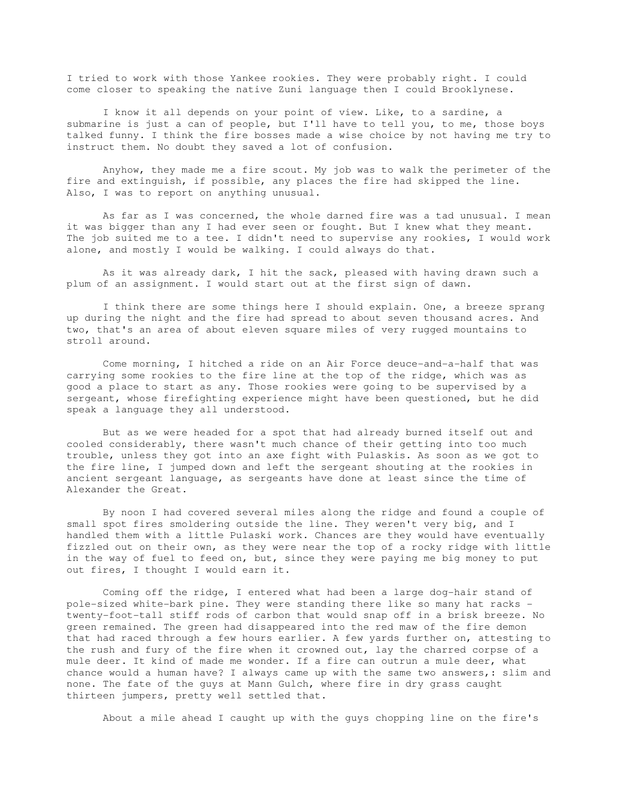I tried to work with those Yankee rookies. They were probably right. I could come closer to speaking the native Zuni language then I could Brooklynese.

I know it all depends on your point of view. Like, to a sardine, a submarine is just a can of people, but I'll have to tell you, to me, those boys talked funny. I think the fire bosses made a wise choice by not having me try to instruct them. No doubt they saved a lot of confusion.

 Anyhow, they made me a fire scout. My job was to walk the perimeter of the fire and extinguish, if possible, any places the fire had skipped the line. Also, I was to report on anything unusual.

 As far as I was concerned, the whole darned fire was a tad unusual. I mean it was bigger than any I had ever seen or fought. But I knew what they meant. The job suited me to a tee. I didn't need to supervise any rookies, I would work alone, and mostly I would be walking. I could always do that.

 As it was already dark, I hit the sack, pleased with having drawn such a plum of an assignment. I would start out at the first sign of dawn.

 I think there are some things here I should explain. One, a breeze sprang up during the night and the fire had spread to about seven thousand acres. And two, that's an area of about eleven square miles of very rugged mountains to stroll around.

 Come morning, I hitched a ride on an Air Force deuce-and-a-half that was carrying some rookies to the fire line at the top of the ridge, which was as good a place to start as any. Those rookies were going to be supervised by a sergeant, whose firefighting experience might have been questioned, but he did speak a language they all understood.

 But as we were headed for a spot that had already burned itself out and cooled considerably, there wasn't much chance of their getting into too much trouble, unless they got into an axe fight with Pulaskis. As soon as we got to the fire line, I jumped down and left the sergeant shouting at the rookies in ancient sergeant language, as sergeants have done at least since the time of Alexander the Great.

 By noon I had covered several miles along the ridge and found a couple of small spot fires smoldering outside the line. They weren't very big, and I handled them with a little Pulaski work. Chances are they would have eventually fizzled out on their own, as they were near the top of a rocky ridge with little in the way of fuel to feed on, but, since they were paying me big money to put out fires, I thought I would earn it.

 Coming off the ridge, I entered what had been a large dog-hair stand of pole-sized white-bark pine. They were standing there like so many hat racks twenty-foot-tall stiff rods of carbon that would snap off in a brisk breeze. No green remained. The green had disappeared into the red maw of the fire demon that had raced through a few hours earlier. A few yards further on, attesting to the rush and fury of the fire when it crowned out, lay the charred corpse of a mule deer. It kind of made me wonder. If a fire can outrun a mule deer, what chance would a human have? I always came up with the same two answers, : slim and none. The fate of the guys at Mann Gulch, where fire in dry grass caught thirteen jumpers, pretty well settled that.

About a mile ahead I caught up with the guys chopping line on the fire's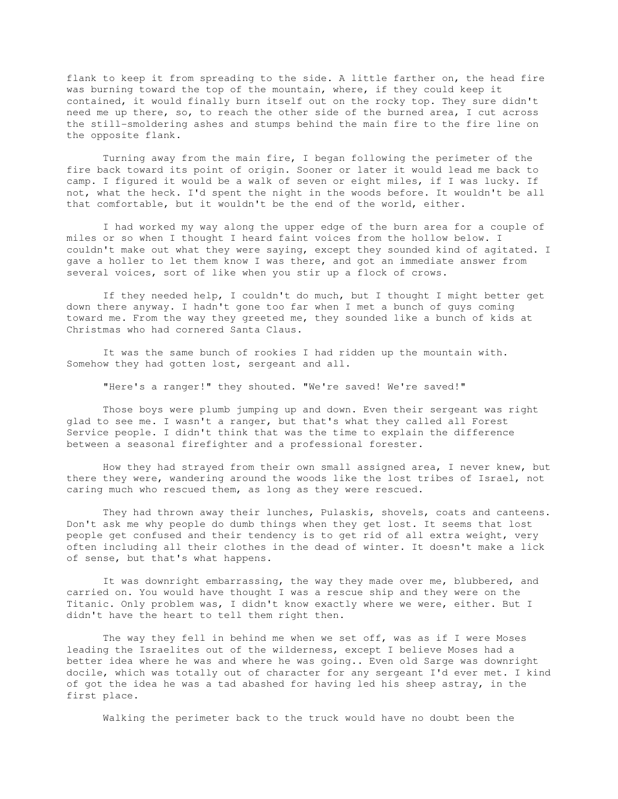flank to keep it from spreading to the side. A little farther on, the head fire was burning toward the top of the mountain, where, if they could keep it contained, it would finally burn itself out on the rocky top. They sure didn't need me up there, so, to reach the other side of the burned area, I cut across the still-smoldering ashes and stumps behind the main fire to the fire line on the opposite flank.

 Turning away from the main fire, I began following the perimeter of the fire back toward its point of origin. Sooner or later it would lead me back to camp. I figured it would be a walk of seven or eight miles, if I was lucky. If not, what the heck. I'd spent the night in the woods before. It wouldn't be all that comfortable, but it wouldn't be the end of the world, either.

 I had worked my way along the upper edge of the burn area for a couple of miles or so when I thought I heard faint voices from the hollow below. I couldn't make out what they were saying, except they sounded kind of agitated. I gave a holler to let them know I was there, and got an immediate answer from several voices, sort of like when you stir up a flock of crows.

 If they needed help, I couldn't do much, but I thought I might better get down there anyway. I hadn't gone too far when I met a bunch of guys coming toward me. From the way they greeted me, they sounded like a bunch of kids at Christmas who had cornered Santa Claus.

 It was the same bunch of rookies I had ridden up the mountain with. Somehow they had gotten lost, sergeant and all.

"Here's a ranger!" they shouted. "We're saved! We're saved!"

 Those boys were plumb jumping up and down. Even their sergeant was right glad to see me. I wasn't a ranger, but that's what they called all Forest Service people. I didn't think that was the time to explain the difference between a seasonal firefighter and a professional forester.

 How they had strayed from their own small assigned area, I never knew, but there they were, wandering around the woods like the lost tribes of Israel, not caring much who rescued them, as long as they were rescued.

 They had thrown away their lunches, Pulaskis, shovels, coats and canteens. Don't ask me why people do dumb things when they get lost. It seems that lost people get confused and their tendency is to get rid of all extra weight, very often including all their clothes in the dead of winter. It doesn't make a lick of sense, but that's what happens.

 It was downright embarrassing, the way they made over me, blubbered, and carried on. You would have thought I was a rescue ship and they were on the Titanic. Only problem was, I didn't know exactly where we were, either. But I didn't have the heart to tell them right then.

The way they fell in behind me when we set off, was as if I were Moses leading the Israelites out of the wilderness, except I believe Moses had a better idea where he was and where he was going.. Even old Sarge was downright docile, which was totally out of character for any sergeant I'd ever met. I kind of got the idea he was a tad abashed for having led his sheep astray, in the first place.

Walking the perimeter back to the truck would have no doubt been the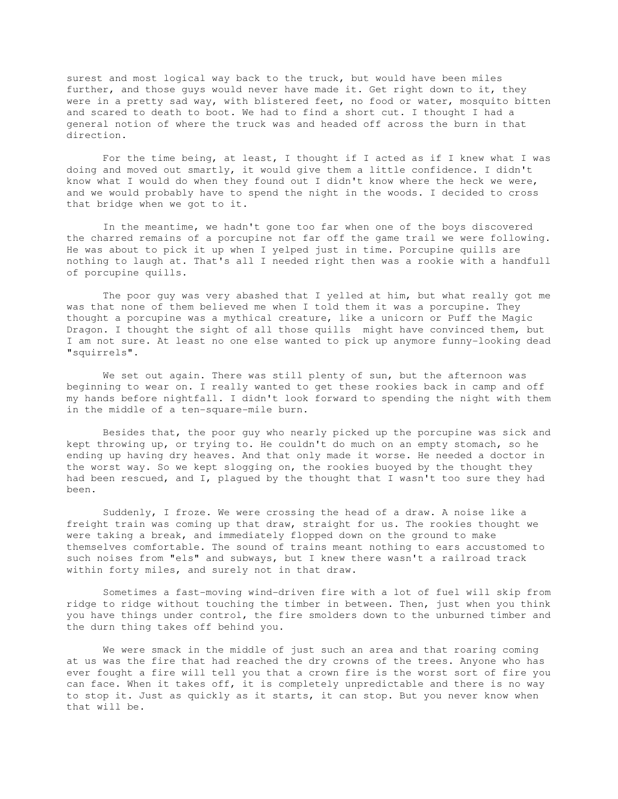surest and most logical way back to the truck, but would have been miles further, and those guys would never have made it. Get right down to it, they were in a pretty sad way, with blistered feet, no food or water, mosquito bitten and scared to death to boot. We had to find a short cut. I thought I had a general notion of where the truck was and headed off across the burn in that direction.

 For the time being, at least, I thought if I acted as if I knew what I was doing and moved out smartly, it would give them a little confidence. I didn't know what I would do when they found out I didn't know where the heck we were, and we would probably have to spend the night in the woods. I decided to cross that bridge when we got to it.

 In the meantime, we hadn't gone too far when one of the boys discovered the charred remains of a porcupine not far off the game trail we were following. He was about to pick it up when I yelped just in time. Porcupine quills are nothing to laugh at. That's all I needed right then was a rookie with a handfull of porcupine quills.

 The poor guy was very abashed that I yelled at him, but what really got me was that none of them believed me when I told them it was a porcupine. They thought a porcupine was a mythical creature, like a unicorn or Puff the Magic Dragon. I thought the sight of all those quills might have convinced them, but I am not sure. At least no one else wanted to pick up anymore funny-looking dead "squirrels".

We set out again. There was still plenty of sun, but the afternoon was beginning to wear on. I really wanted to get these rookies back in camp and off my hands before nightfall. I didn't look forward to spending the night with them in the middle of a ten-square-mile burn.

 Besides that, the poor guy who nearly picked up the porcupine was sick and kept throwing up, or trying to. He couldn't do much on an empty stomach, so he ending up having dry heaves. And that only made it worse. He needed a doctor in the worst way. So we kept slogging on, the rookies buoyed by the thought they had been rescued, and I, plagued by the thought that I wasn't too sure they had been.

 Suddenly, I froze. We were crossing the head of a draw. A noise like a freight train was coming up that draw, straight for us. The rookies thought we were taking a break, and immediately flopped down on the ground to make themselves comfortable. The sound of trains meant nothing to ears accustomed to such noises from "els" and subways, but I knew there wasn't a railroad track within forty miles, and surely not in that draw.

 Sometimes a fast-moving wind-driven fire with a lot of fuel will skip from ridge to ridge without touching the timber in between. Then, just when you think you have things under control, the fire smolders down to the unburned timber and the durn thing takes off behind you.

 We were smack in the middle of just such an area and that roaring coming at us was the fire that had reached the dry crowns of the trees. Anyone who has ever fought a fire will tell you that a crown fire is the worst sort of fire you can face. When it takes off, it is completely unpredictable and there is no way to stop it. Just as quickly as it starts, it can stop. But you never know when that will be.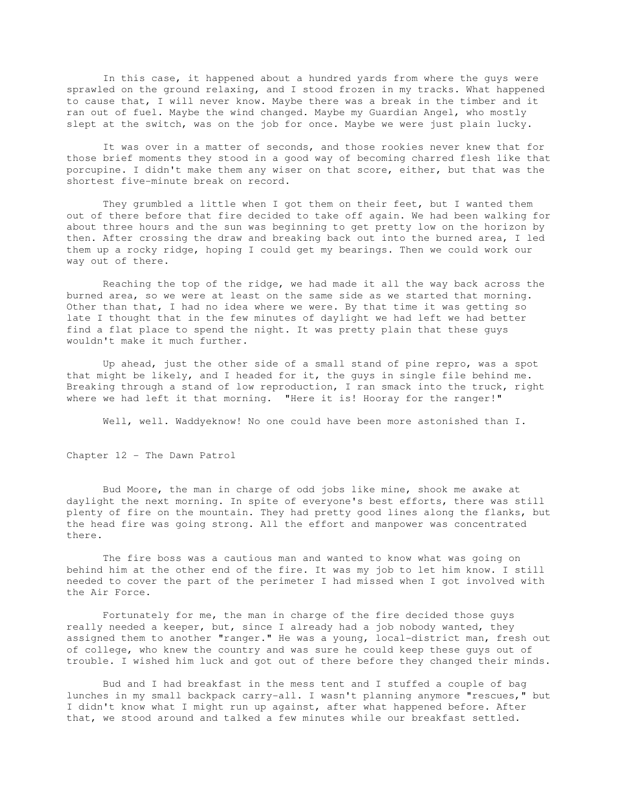In this case, it happened about a hundred yards from where the guys were sprawled on the ground relaxing, and I stood frozen in my tracks. What happened to cause that, I will never know. Maybe there was a break in the timber and it ran out of fuel. Maybe the wind changed. Maybe my Guardian Angel, who mostly slept at the switch, was on the job for once. Maybe we were just plain lucky.

 It was over in a matter of seconds, and those rookies never knew that for those brief moments they stood in a good way of becoming charred flesh like that porcupine. I didn't make them any wiser on that score, either, but that was the shortest five-minute break on record.

 They grumbled a little when I got them on their feet, but I wanted them out of there before that fire decided to take off again. We had been walking for about three hours and the sun was beginning to get pretty low on the horizon by then. After crossing the draw and breaking back out into the burned area, I led them up a rocky ridge, hoping I could get my bearings. Then we could work our way out of there.

 Reaching the top of the ridge, we had made it all the way back across the burned area, so we were at least on the same side as we started that morning. Other than that, I had no idea where we were. By that time it was getting so late I thought that in the few minutes of daylight we had left we had better find a flat place to spend the night. It was pretty plain that these guys wouldn't make it much further.

 Up ahead, just the other side of a small stand of pine repro, was a spot that might be likely, and I headed for it, the guys in single file behind me. Breaking through a stand of low reproduction, I ran smack into the truck, right where we had left it that morning. "Here it is! Hooray for the ranger!"

Well, well. Waddyeknow! No one could have been more astonished than I.

Chapter 12 - The Dawn Patrol

 Bud Moore, the man in charge of odd jobs like mine, shook me awake at daylight the next morning. In spite of everyone's best efforts, there was still plenty of fire on the mountain. They had pretty good lines along the flanks, but the head fire was going strong. All the effort and manpower was concentrated there.

 The fire boss was a cautious man and wanted to know what was going on behind him at the other end of the fire. It was my job to let him know. I still needed to cover the part of the perimeter I had missed when I got involved with the Air Force.

 Fortunately for me, the man in charge of the fire decided those guys really needed a keeper, but, since I already had a job nobody wanted, they assigned them to another "ranger." He was a young, local-district man, fresh out of college, who knew the country and was sure he could keep these guys out of trouble. I wished him luck and got out of there before they changed their minds.

 Bud and I had breakfast in the mess tent and I stuffed a couple of bag lunches in my small backpack carry-all. I wasn't planning anymore "rescues," but I didn't know what I might run up against, after what happened before. After that, we stood around and talked a few minutes while our breakfast settled.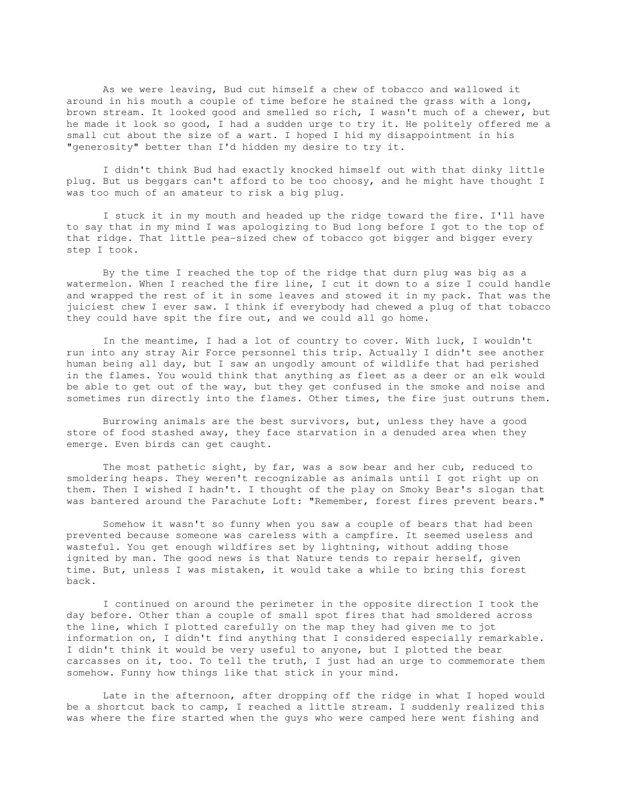As we were leaving, Bud cut himself a chew of tobacco and wallowed it around in his mouth a couple of time before he stained the grass with a long, brown stream. It looked good and smelled so rich, I wasn't much of a chewer, but he made it look so good, I had a sudden urge to try it. He politely offered me a small cut about the size of a wart. I hoped I hid my disappointment in his "generosity" better than I'd hidden my desire to try it.

 I didn't think Bud had exactly knocked himself out with that dinky little plug. But us beggars can't afford to be too choosy, and he might have thought I was too much of an amateur to risk a big plug.

 I stuck it in my mouth and headed up the ridge toward the fire. I'll have to say that in my mind I was apologizing to Bud long before I got to the top of that ridge. That little pea-sized chew of tobacco got bigger and bigger every step I took.

 By the time I reached the top of the ridge that durn plug was big as a watermelon. When I reached the fire line, I cut it down to a size I could handle and wrapped the rest of it in some leaves and stowed it in my pack. That was the juiciest chew I ever saw. I think if everybody had chewed a plug of that tobacco they could have spit the fire out, and we could all go home.

 In the meantime, I had a lot of country to cover. With luck, I wouldn't run into any stray Air Force personnel this trip. Actually I didn't see another human being all day, but I saw an ungodly amount of wildlife that had perished in the flames. You would think that anything as fleet as a deer or an elk would be able to get out of the way, but they get confused in the smoke and noise and sometimes run directly into the flames. Other times, the fire just outruns them.

 Burrowing animals are the best survivors, but, unless they have a good store of food stashed away, they face starvation in a denuded area when they emerge. Even birds can get caught.

 The most pathetic sight, by far, was a sow bear and her cub, reduced to smoldering heaps. They weren't recognizable as animals until I got right up on them. Then I wished I hadn't. I thought of the play on Smoky Bear's slogan that was bantered around the Parachute Loft: "Remember, forest fires prevent bears."

 Somehow it wasn't so funny when you saw a couple of bears that had been prevented because someone was careless with a campfire. It seemed useless and wasteful. You get enough wildfires set by lightning, without adding those ignited by man. The good news is that Nature tends to repair herself, given time. But, unless I was mistaken, it would take a while to bring this forest back.

 I continued on around the perimeter in the opposite direction I took the day before. Other than a couple of small spot fires that had smoldered across the line, which I plotted carefully on the map they had given me to jot information on, I didn't find anything that I considered especially remarkable. I didn't think it would be very useful to anyone, but I plotted the bear carcasses on it, too. To tell the truth, I just had an urge to commemorate them somehow. Funny how things like that stick in your mind.

 Late in the afternoon, after dropping off the ridge in what I hoped would be a shortcut back to camp, I reached a little stream. I suddenly realized this was where the fire started when the guys who were camped here went fishing and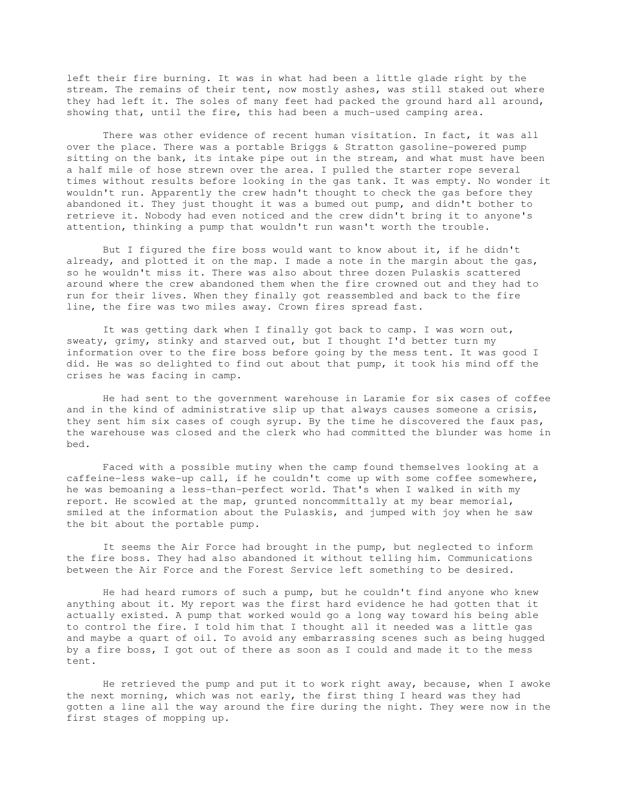left their fire burning. It was in what had been a little glade right by the stream. The remains of their tent, now mostly ashes, was still staked out where they had left it. The soles of many feet had packed the ground hard all around, showing that, until the fire, this had been a much-used camping area.

 There was other evidence of recent human visitation. In fact, it was all over the place. There was a portable Briggs & Stratton gasoline-powered pump sitting on the bank, its intake pipe out in the stream, and what must have been a half mile of hose strewn over the area. I pulled the starter rope several times without results before looking in the gas tank. It was empty. No wonder it wouldn't run. Apparently the crew hadn't thought to check the gas before they abandoned it. They just thought it was a bumed out pump, and didn't bother to retrieve it. Nobody had even noticed and the crew didn't bring it to anyone's attention, thinking a pump that wouldn't run wasn't worth the trouble.

 But I figured the fire boss would want to know about it, if he didn't already, and plotted it on the map. I made a note in the margin about the gas, so he wouldn't miss it. There was also about three dozen Pulaskis scattered around where the crew abandoned them when the fire crowned out and they had to run for their lives. When they finally got reassembled and back to the fire line, the fire was two miles away. Crown fires spread fast.

 It was getting dark when I finally got back to camp. I was worn out, sweaty, grimy, stinky and starved out, but I thought I'd better turn my information over to the fire boss before going by the mess tent. It was good I did. He was so delighted to find out about that pump, it took his mind off the crises he was facing in camp.

 He had sent to the government warehouse in Laramie for six cases of coffee and in the kind of administrative slip up that always causes someone a crisis, they sent him six cases of cough syrup. By the time he discovered the faux pas, the warehouse was closed and the clerk who had committed the blunder was home in bed.

 Faced with a possible mutiny when the camp found themselves looking at a caffeine-less wake-up call, if he couldn't come up with some coffee somewhere, he was bemoaning a less-than-perfect world. That's when I walked in with my report. He scowled at the map, grunted noncommittally at my bear memorial, smiled at the information about the Pulaskis, and jumped with joy when he saw the bit about the portable pump.

 It seems the Air Force had brought in the pump, but neglected to inform the fire boss. They had also abandoned it without telling him. Communications between the Air Force and the Forest Service left something to be desired.

 He had heard rumors of such a pump, but he couldn't find anyone who knew anything about it. My report was the first hard evidence he had gotten that it actually existed. A pump that worked would go a long way toward his being able to control the fire. I told him that I thought all it needed was a little gas and maybe a quart of oil. To avoid any embarrassing scenes such as being hugged by a fire boss, I got out of there as soon as I could and made it to the mess tent.

 He retrieved the pump and put it to work right away, because, when I awoke the next morning, which was not early, the first thing I heard was they had gotten a line all the way around the fire during the night. They were now in the first stages of mopping up.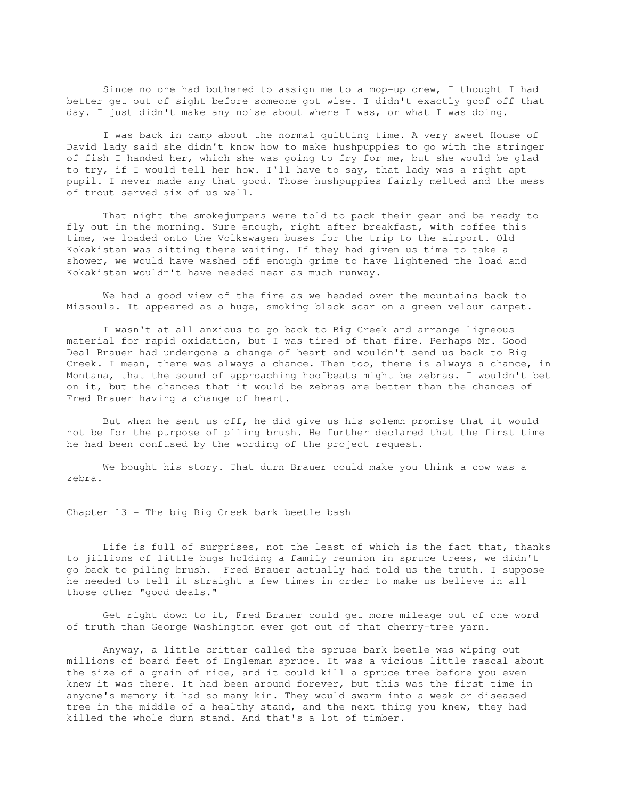Since no one had bothered to assign me to a mop-up crew, I thought I had better get out of sight before someone got wise. I didn't exactly goof off that day. I just didn't make any noise about where I was, or what I was doing.

 I was back in camp about the normal quitting time. A very sweet House of David lady said she didn't know how to make hushpuppies to go with the stringer of fish I handed her, which she was going to fry for me, but she would be glad to try, if I would tell her how. I'll have to say, that lady was a right apt pupil. I never made any that good. Those hushpuppies fairly melted and the mess of trout served six of us well.

 That night the smokejumpers were told to pack their gear and be ready to fly out in the morning. Sure enough, right after breakfast, with coffee this time, we loaded onto the Volkswagen buses for the trip to the airport. Old Kokakistan was sitting there waiting. If they had given us time to take a shower, we would have washed off enough grime to have lightened the load and Kokakistan wouldn't have needed near as much runway.

 We had a good view of the fire as we headed over the mountains back to Missoula. It appeared as a huge, smoking black scar on a green velour carpet.

 I wasn't at all anxious to go back to Big Creek and arrange ligneous material for rapid oxidation, but I was tired of that fire. Perhaps Mr. Good Deal Brauer had undergone a change of heart and wouldn't send us back to Big Creek. I mean, there was always a chance. Then too, there is always a chance, in Montana, that the sound of approaching hoofbeats might be zebras. I wouldn't bet on it, but the chances that it would be zebras are better than the chances of Fred Brauer having a change of heart.

 But when he sent us off, he did give us his solemn promise that it would not be for the purpose of piling brush. He further declared that the first time he had been confused by the wording of the project request.

 We bought his story. That durn Brauer could make you think a cow was a zebra.

Chapter 13 - The big Big Creek bark beetle bash

 Life is full of surprises, not the least of which is the fact that, thanks to jillions of little bugs holding a family reunion in spruce trees, we didn't go back to piling brush. Fred Brauer actually had told us the truth. I suppose he needed to tell it straight a few times in order to make us believe in all those other "good deals."

 Get right down to it, Fred Brauer could get more mileage out of one word of truth than George Washington ever got out of that cherry-tree yarn.

 Anyway, a little critter called the spruce bark beetle was wiping out millions of board feet of Engleman spruce. It was a vicious little rascal about the size of a grain of rice, and it could kill a spruce tree before you even knew it was there. It had been around forever, but this was the first time in anyone's memory it had so many kin. They would swarm into a weak or diseased tree in the middle of a healthy stand, and the next thing you knew, they had killed the whole durn stand. And that's a lot of timber.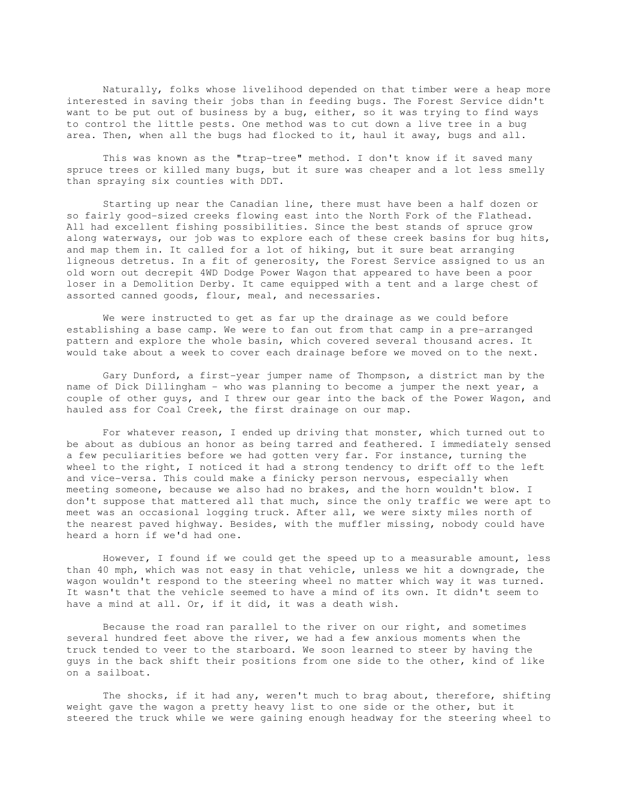Naturally, folks whose livelihood depended on that timber were a heap more interested in saving their jobs than in feeding bugs. The Forest Service didn't want to be put out of business by a bug, either, so it was trying to find ways to control the little pests. One method was to cut down a live tree in a bug area. Then, when all the bugs had flocked to it, haul it away, bugs and all.

 This was known as the "trap-tree" method. I don't know if it saved many spruce trees or killed many bugs, but it sure was cheaper and a lot less smelly than spraying six counties with DDT.

 Starting up near the Canadian line, there must have been a half dozen or so fairly good-sized creeks flowing east into the North Fork of the Flathead. All had excellent fishing possibilities. Since the best stands of spruce grow along waterways, our job was to explore each of these creek basins for bug hits, and map them in. It called for a lot of hiking, but it sure beat arranging ligneous detretus. In a fit of generosity, the Forest Service assigned to us an old worn out decrepit 4WD Dodge Power Wagon that appeared to have been a poor loser in a Demolition Derby. It came equipped with a tent and a large chest of assorted canned goods, flour, meal, and necessaries.

 We were instructed to get as far up the drainage as we could before establishing a base camp. We were to fan out from that camp in a pre-arranged pattern and explore the whole basin, which covered several thousand acres. It would take about a week to cover each drainage before we moved on to the next.

 Gary Dunford, a first-year jumper name of Thompson, a district man by the name of Dick Dillingham - who was planning to become a jumper the next year, a couple of other guys, and I threw our gear into the back of the Power Wagon, and hauled ass for Coal Creek, the first drainage on our map.

 For whatever reason, I ended up driving that monster, which turned out to be about as dubious an honor as being tarred and feathered. I immediately sensed a few peculiarities before we had gotten very far. For instance, turning the wheel to the right, I noticed it had a strong tendency to drift off to the left and vice-versa. This could make a finicky person nervous, especially when meeting someone, because we also had no brakes, and the horn wouldn't blow. I don't suppose that mattered all that much, since the only traffic we were apt to meet was an occasional logging truck. After all, we were sixty miles north of the nearest paved highway. Besides, with the muffler missing, nobody could have heard a horn if we'd had one.

 However, I found if we could get the speed up to a measurable amount, less than 40 mph, which was not easy in that vehicle, unless we hit a downgrade, the wagon wouldn't respond to the steering wheel no matter which way it was turned. It wasn't that the vehicle seemed to have a mind of its own. It didn't seem to have a mind at all. Or, if it did, it was a death wish.

 Because the road ran parallel to the river on our right, and sometimes several hundred feet above the river, we had a few anxious moments when the truck tended to veer to the starboard. We soon learned to steer by having the guys in the back shift their positions from one side to the other, kind of like on a sailboat.

 The shocks, if it had any, weren't much to brag about, therefore, shifting weight gave the wagon a pretty heavy list to one side or the other, but it steered the truck while we were gaining enough headway for the steering wheel to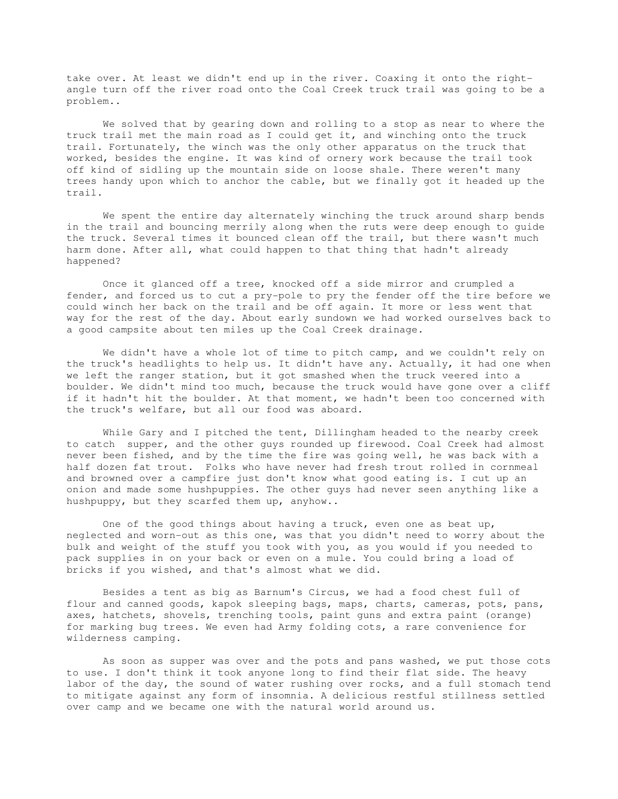take over. At least we didn't end up in the river. Coaxing it onto the rightangle turn off the river road onto the Coal Creek truck trail was going to be a problem..

 We solved that by gearing down and rolling to a stop as near to where the truck trail met the main road as I could get it, and winching onto the truck trail. Fortunately, the winch was the only other apparatus on the truck that worked, besides the engine. It was kind of ornery work because the trail took off kind of sidling up the mountain side on loose shale. There weren't many trees handy upon which to anchor the cable, but we finally got it headed up the trail.

 We spent the entire day alternately winching the truck around sharp bends in the trail and bouncing merrily along when the ruts were deep enough to guide the truck. Several times it bounced clean off the trail, but there wasn't much harm done. After all, what could happen to that thing that hadn't already happened?

 Once it glanced off a tree, knocked off a side mirror and crumpled a fender, and forced us to cut a pry-pole to pry the fender off the tire before we could winch her back on the trail and be off again. It more or less went that way for the rest of the day. About early sundown we had worked ourselves back to a good campsite about ten miles up the Coal Creek drainage.

 We didn't have a whole lot of time to pitch camp, and we couldn't rely on the truck's headlights to help us. It didn't have any. Actually, it had one when we left the ranger station, but it got smashed when the truck veered into a boulder. We didn't mind too much, because the truck would have gone over a cliff if it hadn't hit the boulder. At that moment, we hadn't been too concerned with the truck's welfare, but all our food was aboard.

 While Gary and I pitched the tent, Dillingham headed to the nearby creek to catch supper, and the other guys rounded up firewood. Coal Creek had almost never been fished, and by the time the fire was going well, he was back with a half dozen fat trout. Folks who have never had fresh trout rolled in cornmeal and browned over a campfire just don't know what good eating is. I cut up an onion and made some hushpuppies. The other guys had never seen anything like a hushpuppy, but they scarfed them up, anyhow..

 One of the good things about having a truck, even one as beat up, neglected and worn-out as this one, was that you didn't need to worry about the bulk and weight of the stuff you took with you, as you would if you needed to pack supplies in on your back or even on a mule. You could bring a load of bricks if you wished, and that's almost what we did.

 Besides a tent as big as Barnum's Circus, we had a food chest full of flour and canned goods, kapok sleeping bags, maps, charts, cameras, pots, pans, axes, hatchets, shovels, trenching tools, paint guns and extra paint (orange) for marking bug trees. We even had Army folding cots, a rare convenience for wilderness camping.

 As soon as supper was over and the pots and pans washed, we put those cots to use. I don't think it took anyone long to find their flat side. The heavy labor of the day, the sound of water rushing over rocks, and a full stomach tend to mitigate against any form of insomnia. A delicious restful stillness settled over camp and we became one with the natural world around us.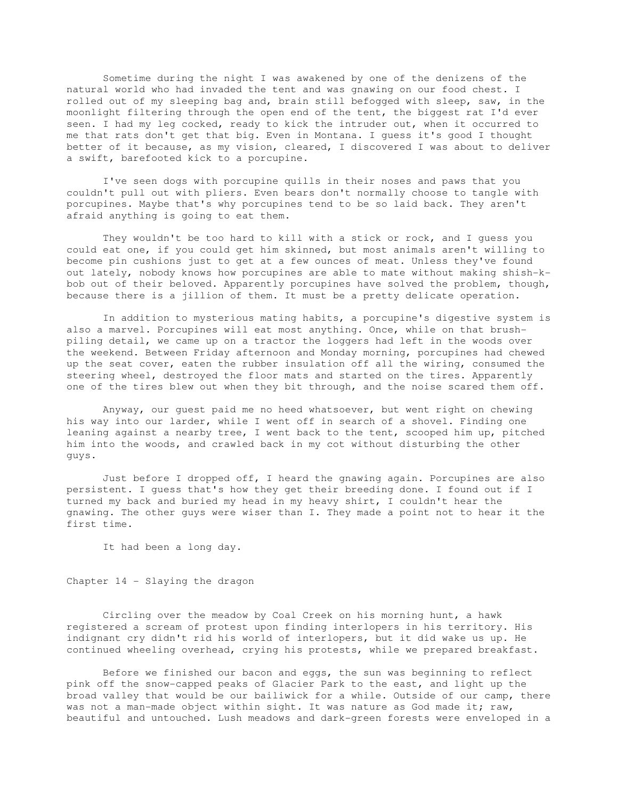Sometime during the night I was awakened by one of the denizens of the natural world who had invaded the tent and was gnawing on our food chest. I rolled out of my sleeping bag and, brain still befogged with sleep, saw, in the moonlight filtering through the open end of the tent, the biggest rat I'd ever seen. I had my leg cocked, ready to kick the intruder out, when it occurred to me that rats don't get that big. Even in Montana. I guess it's good I thought better of it because, as my vision, cleared, I discovered I was about to deliver a swift, barefooted kick to a porcupine.

 I've seen dogs with porcupine quills in their noses and paws that you couldn't pull out with pliers. Even bears don't normally choose to tangle with porcupines. Maybe that's why porcupines tend to be so laid back. They aren't afraid anything is going to eat them.

 They wouldn't be too hard to kill with a stick or rock, and I guess you could eat one, if you could get him skinned, but most animals aren't willing to become pin cushions just to get at a few ounces of meat. Unless they've found out lately, nobody knows how porcupines are able to mate without making shish-kbob out of their beloved. Apparently porcupines have solved the problem, though, because there is a jillion of them. It must be a pretty delicate operation.

 In addition to mysterious mating habits, a porcupine's digestive system is also a marvel. Porcupines will eat most anything. Once, while on that brushpiling detail, we came up on a tractor the loggers had left in the woods over the weekend. Between Friday afternoon and Monday morning, porcupines had chewed up the seat cover, eaten the rubber insulation off all the wiring, consumed the steering wheel, destroyed the floor mats and started on the tires. Apparently one of the tires blew out when they bit through, and the noise scared them off.

 Anyway, our guest paid me no heed whatsoever, but went right on chewing his way into our larder, while I went off in search of a shovel. Finding one leaning against a nearby tree, I went back to the tent, scooped him up, pitched him into the woods, and crawled back in my cot without disturbing the other guys.

 Just before I dropped off, I heard the gnawing again. Porcupines are also persistent. I guess that's how they get their breeding done. I found out if I turned my back and buried my head in my heavy shirt, I couldn't hear the gnawing. The other guys were wiser than I. They made a point not to hear it the first time.

It had been a long day.

Chapter 14 - Slaying the dragon

 Circling over the meadow by Coal Creek on his morning hunt, a hawk registered a scream of protest upon finding interlopers in his territory. His indignant cry didn't rid his world of interlopers, but it did wake us up. He continued wheeling overhead, crying his protests, while we prepared breakfast.

 Before we finished our bacon and eggs, the sun was beginning to reflect pink off the snow-capped peaks of Glacier Park to the east, and light up the broad valley that would be our bailiwick for a while. Outside of our camp, there was not a man-made object within sight. It was nature as God made it; raw, beautiful and untouched. Lush meadows and dark-green forests were enveloped in a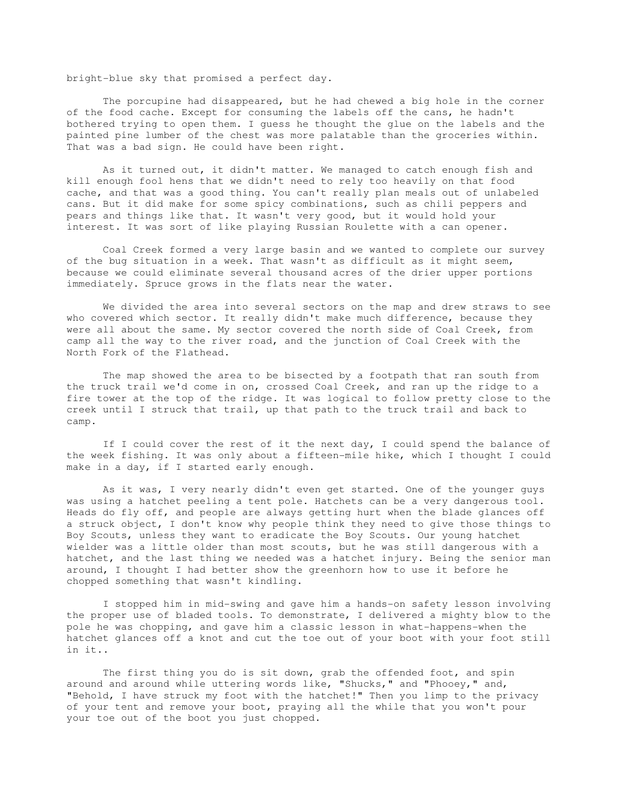bright-blue sky that promised a perfect day.

 The porcupine had disappeared, but he had chewed a big hole in the corner of the food cache. Except for consuming the labels off the cans, he hadn't bothered trying to open them. I guess he thought the glue on the labels and the painted pine lumber of the chest was more palatable than the groceries within. That was a bad sign. He could have been right.

 As it turned out, it didn't matter. We managed to catch enough fish and kill enough fool hens that we didn't need to rely too heavily on that food cache, and that was a good thing. You can't really plan meals out of unlabeled cans. But it did make for some spicy combinations, such as chili peppers and pears and things like that. It wasn't very good, but it would hold your interest. It was sort of like playing Russian Roulette with a can opener.

 Coal Creek formed a very large basin and we wanted to complete our survey of the bug situation in a week. That wasn't as difficult as it might seem, because we could eliminate several thousand acres of the drier upper portions immediately. Spruce grows in the flats near the water.

 We divided the area into several sectors on the map and drew straws to see who covered which sector. It really didn't make much difference, because they were all about the same. My sector covered the north side of Coal Creek, from camp all the way to the river road, and the junction of Coal Creek with the North Fork of the Flathead.

 The map showed the area to be bisected by a footpath that ran south from the truck trail we'd come in on, crossed Coal Creek, and ran up the ridge to a fire tower at the top of the ridge. It was logical to follow pretty close to the creek until I struck that trail, up that path to the truck trail and back to camp.

 If I could cover the rest of it the next day, I could spend the balance of the week fishing. It was only about a fifteen-mile hike, which I thought I could make in a day, if I started early enough.

 As it was, I very nearly didn't even get started. One of the younger guys was using a hatchet peeling a tent pole. Hatchets can be a very dangerous tool. Heads do fly off, and people are always getting hurt when the blade glances off a struck object, I don't know why people think they need to give those things to Boy Scouts, unless they want to eradicate the Boy Scouts. Our young hatchet wielder was a little older than most scouts, but he was still dangerous with a hatchet, and the last thing we needed was a hatchet injury. Being the senior man around, I thought I had better show the greenhorn how to use it before he chopped something that wasn't kindling.

 I stopped him in mid-swing and gave him a hands-on safety lesson involving the proper use of bladed tools. To demonstrate, I delivered a mighty blow to the pole he was chopping, and gave him a classic lesson in what-happens-when the hatchet glances off a knot and cut the toe out of your boot with your foot still in it..

The first thing you do is sit down, grab the offended foot, and spin around and around while uttering words like, "Shucks," and "Phooey," and, "Behold, I have struck my foot with the hatchet!" Then you limp to the privacy of your tent and remove your boot, praying all the while that you won't pour your toe out of the boot you just chopped.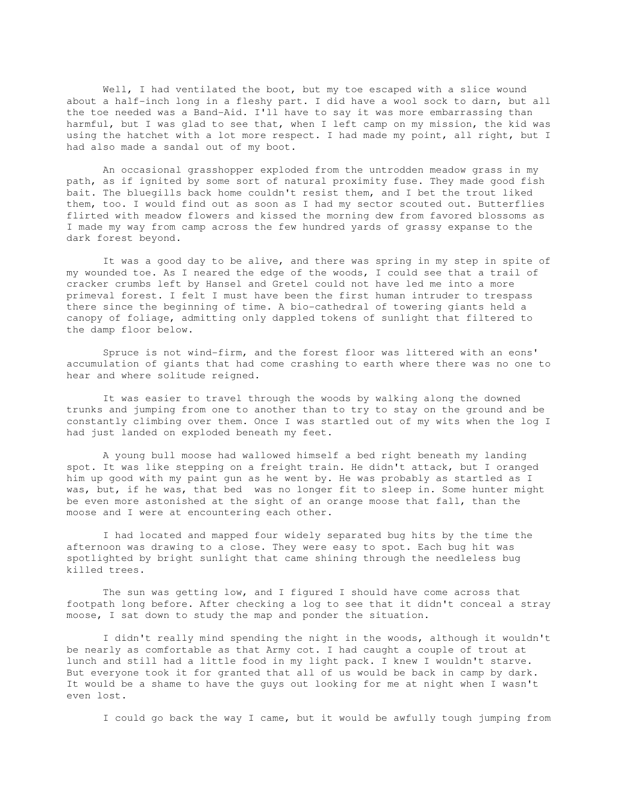Well, I had ventilated the boot, but my toe escaped with a slice wound about a half-inch long in a fleshy part. I did have a wool sock to darn, but all the toe needed was a Band-Aid. I'll have to say it was more embarrassing than harmful, but I was glad to see that, when I left camp on my mission, the kid was using the hatchet with a lot more respect. I had made my point, all right, but I had also made a sandal out of my boot.

 An occasional grasshopper exploded from the untrodden meadow grass in my path, as if ignited by some sort of natural proximity fuse. They made good fish bait. The bluegills back home couldn't resist them, and I bet the trout liked them, too. I would find out as soon as I had my sector scouted out. Butterflies flirted with meadow flowers and kissed the morning dew from favored blossoms as I made my way from camp across the few hundred yards of grassy expanse to the dark forest beyond.

It was a good day to be alive, and there was spring in my step in spite of my wounded toe. As I neared the edge of the woods, I could see that a trail of cracker crumbs left by Hansel and Gretel could not have led me into a more primeval forest. I felt I must have been the first human intruder to trespass there since the beginning of time. A bio-cathedral of towering giants held a canopy of foliage, admitting only dappled tokens of sunlight that filtered to the damp floor below.

 Spruce is not wind-firm, and the forest floor was littered with an eons' accumulation of giants that had come crashing to earth where there was no one to hear and where solitude reigned.

 It was easier to travel through the woods by walking along the downed trunks and jumping from one to another than to try to stay on the ground and be constantly climbing over them. Once I was startled out of my wits when the log I had just landed on exploded beneath my feet.

 A young bull moose had wallowed himself a bed right beneath my landing spot. It was like stepping on a freight train. He didn't attack, but I oranged him up good with my paint gun as he went by. He was probably as startled as I was, but, if he was, that bed was no longer fit to sleep in. Some hunter might be even more astonished at the sight of an orange moose that fall, than the moose and I were at encountering each other.

 I had located and mapped four widely separated bug hits by the time the afternoon was drawing to a close. They were easy to spot. Each bug hit was spotlighted by bright sunlight that came shining through the needleless bug killed trees.

 The sun was getting low, and I figured I should have come across that footpath long before. After checking a log to see that it didn't conceal a stray moose, I sat down to study the map and ponder the situation.

 I didn't really mind spending the night in the woods, although it wouldn't be nearly as comfortable as that Army cot. I had caught a couple of trout at lunch and still had a little food in my light pack. I knew I wouldn't starve. But everyone took it for granted that all of us would be back in camp by dark. It would be a shame to have the guys out looking for me at night when I wasn't even lost.

I could go back the way I came, but it would be awfully tough jumping from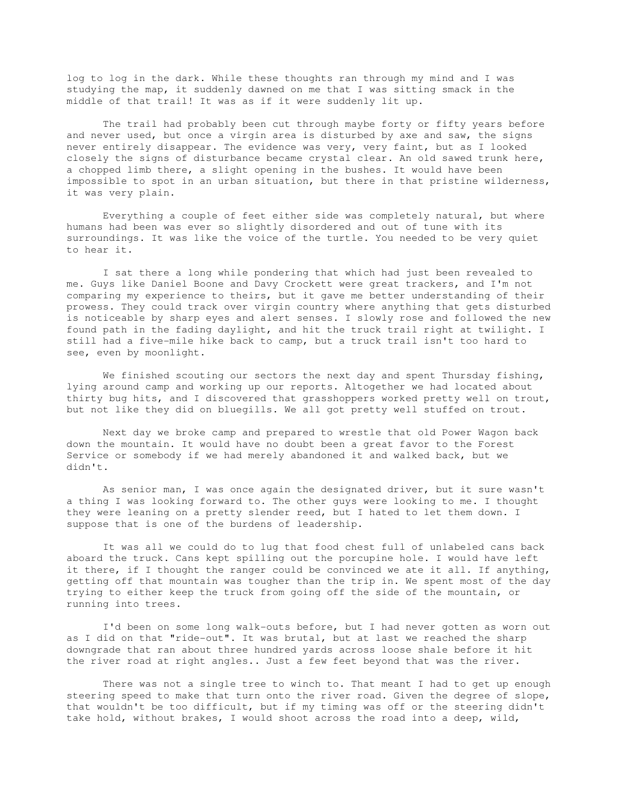log to log in the dark. While these thoughts ran through my mind and I was studying the map, it suddenly dawned on me that I was sitting smack in the middle of that trail! It was as if it were suddenly lit up.

 The trail had probably been cut through maybe forty or fifty years before and never used, but once a virgin area is disturbed by axe and saw, the signs never entirely disappear. The evidence was very, very faint, but as I looked closely the signs of disturbance became crystal clear. An old sawed trunk here, a chopped limb there, a slight opening in the bushes. It would have been impossible to spot in an urban situation, but there in that pristine wilderness, it was very plain.

 Everything a couple of feet either side was completely natural, but where humans had been was ever so slightly disordered and out of tune with its surroundings. It was like the voice of the turtle. You needed to be very quiet to hear it.

 I sat there a long while pondering that which had just been revealed to me. Guys like Daniel Boone and Davy Crockett were great trackers, and I'm not comparing my experience to theirs, but it gave me better understanding of their prowess. They could track over virgin country where anything that gets disturbed is noticeable by sharp eyes and alert senses. I slowly rose and followed the new found path in the fading daylight, and hit the truck trail right at twilight. I still had a five-mile hike back to camp, but a truck trail isn't too hard to see, even by moonlight.

We finished scouting our sectors the next day and spent Thursday fishing, lying around camp and working up our reports. Altogether we had located about thirty bug hits, and I discovered that grasshoppers worked pretty well on trout, but not like they did on bluegills. We all got pretty well stuffed on trout.

 Next day we broke camp and prepared to wrestle that old Power Wagon back down the mountain. It would have no doubt been a great favor to the Forest Service or somebody if we had merely abandoned it and walked back, but we didn't.

 As senior man, I was once again the designated driver, but it sure wasn't a thing I was looking forward to. The other guys were looking to me. I thought they were leaning on a pretty slender reed, but I hated to let them down. I suppose that is one of the burdens of leadership.

 It was all we could do to lug that food chest full of unlabeled cans back aboard the truck. Cans kept spilling out the porcupine hole. I would have left it there, if I thought the ranger could be convinced we ate it all. If anything, getting off that mountain was tougher than the trip in. We spent most of the day trying to either keep the truck from going off the side of the mountain, or running into trees.

 I'd been on some long walk-outs before, but I had never gotten as worn out as I did on that "ride-out". It was brutal, but at last we reached the sharp downgrade that ran about three hundred yards across loose shale before it hit the river road at right angles.. Just a few feet beyond that was the river.

 There was not a single tree to winch to. That meant I had to get up enough steering speed to make that turn onto the river road. Given the degree of slope, that wouldn't be too difficult, but if my timing was off or the steering didn't take hold, without brakes, I would shoot across the road into a deep, wild,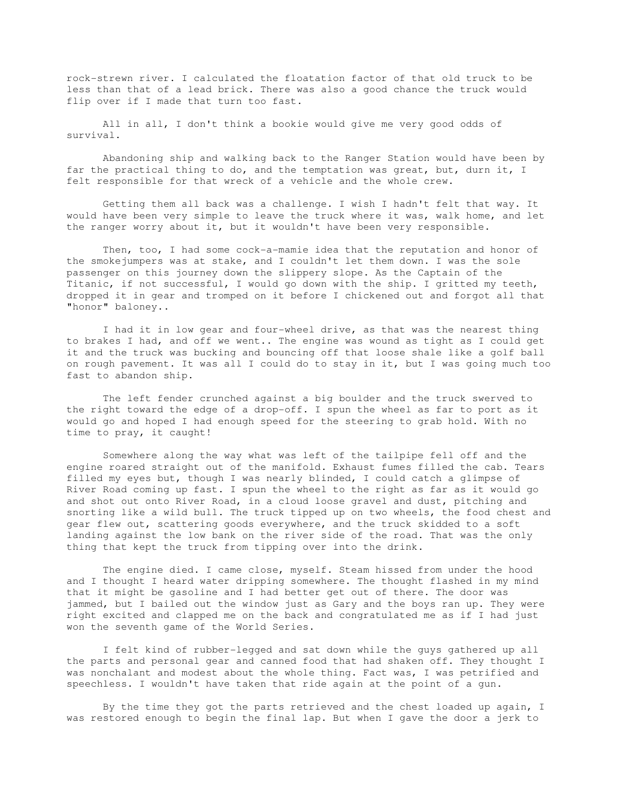rock-strewn river. I calculated the floatation factor of that old truck to be less than that of a lead brick. There was also a good chance the truck would flip over if I made that turn too fast.

 All in all, I don't think a bookie would give me very good odds of survival.

 Abandoning ship and walking back to the Ranger Station would have been by far the practical thing to do, and the temptation was great, but, durn it, I felt responsible for that wreck of a vehicle and the whole crew.

 Getting them all back was a challenge. I wish I hadn't felt that way. It would have been very simple to leave the truck where it was, walk home, and let the ranger worry about it, but it wouldn't have been very responsible.

 Then, too, I had some cock-a-mamie idea that the reputation and honor of the smokejumpers was at stake, and I couldn't let them down. I was the sole passenger on this journey down the slippery slope. As the Captain of the Titanic, if not successful, I would go down with the ship. I gritted my teeth, dropped it in gear and tromped on it before I chickened out and forgot all that "honor" baloney..

 I had it in low gear and four-wheel drive, as that was the nearest thing to brakes I had, and off we went.. The engine was wound as tight as I could get it and the truck was bucking and bouncing off that loose shale like a golf ball on rough pavement. It was all I could do to stay in it, but I was going much too fast to abandon ship.

 The left fender crunched against a big boulder and the truck swerved to the right toward the edge of a drop-off. I spun the wheel as far to port as it would go and hoped I had enough speed for the steering to grab hold. With no time to pray, it caught!

 Somewhere along the way what was left of the tailpipe fell off and the engine roared straight out of the manifold. Exhaust fumes filled the cab. Tears filled my eyes but, though I was nearly blinded, I could catch a glimpse of River Road coming up fast. I spun the wheel to the right as far as it would go and shot out onto River Road, in a cloud loose gravel and dust, pitching and snorting like a wild bull. The truck tipped up on two wheels, the food chest and gear flew out, scattering goods everywhere, and the truck skidded to a soft landing against the low bank on the river side of the road. That was the only thing that kept the truck from tipping over into the drink.

 The engine died. I came close, myself. Steam hissed from under the hood and I thought I heard water dripping somewhere. The thought flashed in my mind that it might be gasoline and I had better get out of there. The door was jammed, but I bailed out the window just as Gary and the boys ran up. They were right excited and clapped me on the back and congratulated me as if I had just won the seventh game of the World Series.

 I felt kind of rubber-legged and sat down while the guys gathered up all the parts and personal gear and canned food that had shaken off. They thought I was nonchalant and modest about the whole thing. Fact was, I was petrified and speechless. I wouldn't have taken that ride again at the point of a gun.

 By the time they got the parts retrieved and the chest loaded up again, I was restored enough to begin the final lap. But when I gave the door a jerk to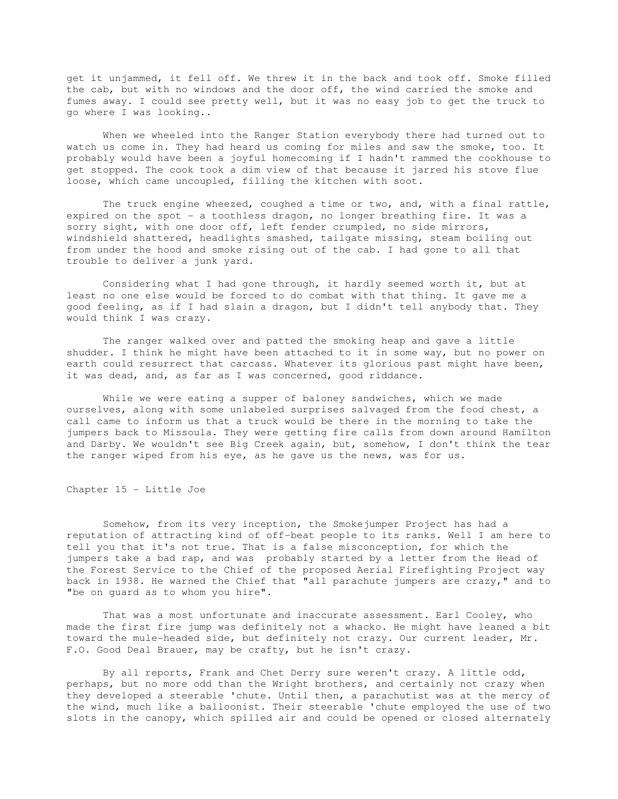get it unjammed, it fell off. We threw it in the back and took off. Smoke filled the cab, but with no windows and the door off, the wind carried the smoke and fumes away. I could see pretty well, but it was no easy job to get the truck to go where I was looking..

 When we wheeled into the Ranger Station everybody there had turned out to watch us come in. They had heard us coming for miles and saw the smoke, too. It probably would have been a joyful homecoming if I hadn't rammed the cookhouse to get stopped. The cook took a dim view of that because it jarred his stove flue loose, which came uncoupled, filling the kitchen with soot.

 The truck engine wheezed, coughed a time or two, and, with a final rattle, expired on the spot - a toothless dragon, no longer breathing fire. It was a sorry sight, with one door off, left fender crumpled, no side mirrors, windshield shattered, headlights smashed, tailgate missing, steam boiling out from under the hood and smoke rising out of the cab. I had gone to all that trouble to deliver a junk yard.

 Considering what I had gone through, it hardly seemed worth it, but at least no one else would be forced to do combat with that thing. It gave me a good feeling, as if I had slain a dragon, but I didn't tell anybody that. They would think I was crazy.

 The ranger walked over and patted the smoking heap and gave a little shudder. I think he might have been attached to it in some way, but no power on earth could resurrect that carcass. Whatever its glorious past might have been, it was dead, and, as far as I was concerned, good riddance.

 While we were eating a supper of baloney sandwiches, which we made ourselves, along with some unlabeled surprises salvaged from the food chest, a call came to inform us that a truck would be there in the morning to take the jumpers back to Missoula. They were getting fire calls from down around Hamilton and Darby. We wouldn't see Big Creek again, but, somehow, I don't think the tear the ranger wiped from his eye, as he gave us the news, was for us.

Chapter 15 - Little Joe

 Somehow, from its very inception, the Smokejumper Project has had a reputation of attracting kind of off-beat people to its ranks. Well I am here to tell you that it's not true. That is a false misconception, for which the jumpers take a bad rap, and was probably started by a letter from the Head of the Forest Service to the Chief of the proposed Aerial Firefighting Project way back in 1938. He warned the Chief that "all parachute jumpers are crazy," and to "be on guard as to whom you hire".

 That was a most unfortunate and inaccurate assessment. Earl Cooley, who made the first fire jump was definitely not a whacko. He might have leaned a bit toward the mule-headed side, but definitely not crazy. Our current leader, Mr. F.O. Good Deal Brauer, may be crafty, but he isn't crazy.

 By all reports, Frank and Chet Derry sure weren't crazy. A little odd, perhaps, but no more odd than the Wright brothers, and certainly not crazy when they developed a steerable 'chute. Until then, a parachutist was at the mercy of the wind, much like a balloonist. Their steerable 'chute employed the use of two slots in the canopy, which spilled air and could be opened or closed alternately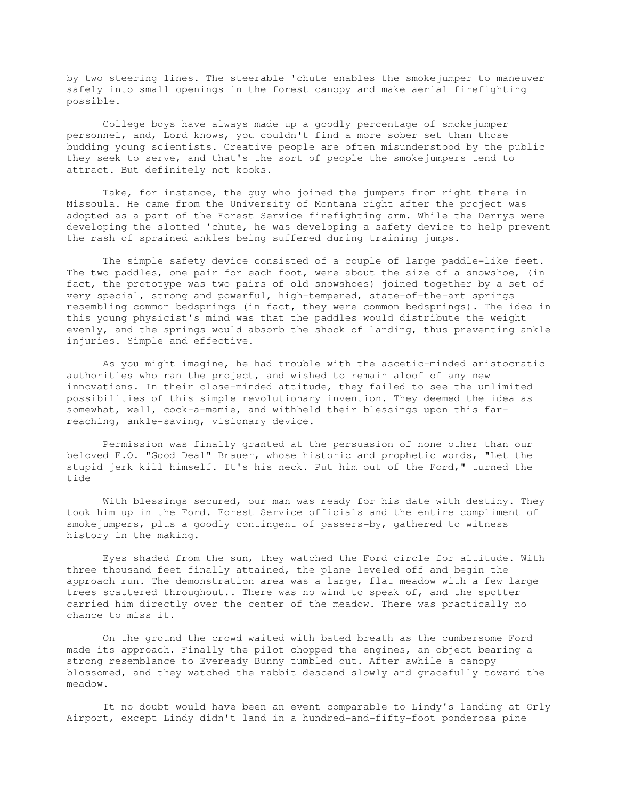by two steering lines. The steerable 'chute enables the smokejumper to maneuver safely into small openings in the forest canopy and make aerial firefighting possible.

 College boys have always made up a goodly percentage of smokejumper personnel, and, Lord knows, you couldn't find a more sober set than those budding young scientists. Creative people are often misunderstood by the public they seek to serve, and that's the sort of people the smokejumpers tend to attract. But definitely not kooks.

 Take, for instance, the guy who joined the jumpers from right there in Missoula. He came from the University of Montana right after the project was adopted as a part of the Forest Service firefighting arm. While the Derrys were developing the slotted 'chute, he was developing a safety device to help prevent the rash of sprained ankles being suffered during training jumps.

 The simple safety device consisted of a couple of large paddle-like feet. The two paddles, one pair for each foot, were about the size of a snowshoe, (in fact, the prototype was two pairs of old snowshoes) joined together by a set of very special, strong and powerful, high-tempered, state-of-the-art springs resembling common bedsprings (in fact, they were common bedsprings). The idea in this young physicist's mind was that the paddles would distribute the weight evenly, and the springs would absorb the shock of landing, thus preventing ankle injuries. Simple and effective.

 As you might imagine, he had trouble with the ascetic-minded aristocratic authorities who ran the project, and wished to remain aloof of any new innovations. In their close-minded attitude, they failed to see the unlimited possibilities of this simple revolutionary invention. They deemed the idea as somewhat, well, cock-a-mamie, and withheld their blessings upon this farreaching, ankle-saving, visionary device.

 Permission was finally granted at the persuasion of none other than our beloved F.O. "Good Deal" Brauer, whose historic and prophetic words, "Let the stupid jerk kill himself. It's his neck. Put him out of the Ford," turned the tide

 With blessings secured, our man was ready for his date with destiny. They took him up in the Ford. Forest Service officials and the entire compliment of smokejumpers, plus a goodly contingent of passers-by, gathered to witness history in the making.

 Eyes shaded from the sun, they watched the Ford circle for altitude. With three thousand feet finally attained, the plane leveled off and begin the approach run. The demonstration area was a large, flat meadow with a few large trees scattered throughout.. There was no wind to speak of, and the spotter carried him directly over the center of the meadow. There was practically no chance to miss it.

 On the ground the crowd waited with bated breath as the cumbersome Ford made its approach. Finally the pilot chopped the engines, an object bearing a strong resemblance to Eveready Bunny tumbled out. After awhile a canopy blossomed, and they watched the rabbit descend slowly and gracefully toward the meadow.

 It no doubt would have been an event comparable to Lindy's landing at Orly Airport, except Lindy didn't land in a hundred-and-fifty-foot ponderosa pine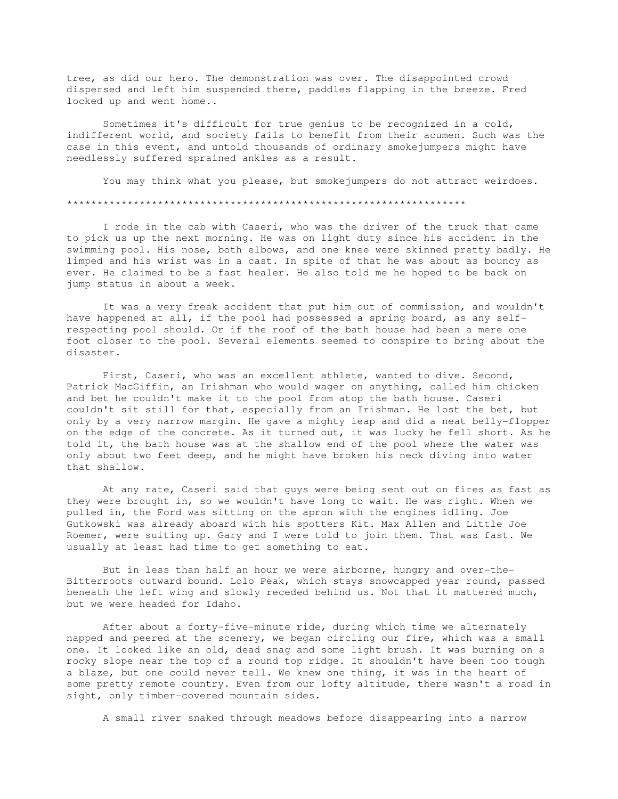tree, as did our hero. The demonstration was over. The disappointed crowd dispersed and left him suspended there, paddles flapping in the breeze. Fred locked up and went home..

 Sometimes it's difficult for true genius to be recognized in a cold, indifferent world, and society fails to benefit from their acumen. Such was the case in this event, and untold thousands of ordinary smokejumpers might have needlessly suffered sprained ankles as a result.

 You may think what you please, but smokejumpers do not attract weirdoes. \*\*\*\*\*\*\*\*\*\*\*\*\*\*\*\*\*\*\*\*\*\*\*\*\*\*\*\*\*\*\*\*\*\*\*\*\*\*\*\*\*\*\*\*\*\*\*\*\*\*\*\*\*\*\*\*\*\*\*\*\*\*\*\*\*\*

 I rode in the cab with Caseri, who was the driver of the truck that came to pick us up the next morning. He was on light duty since his accident in the swimming pool. His nose, both elbows, and one knee were skinned pretty badly. He limped and his wrist was in a cast. In spite of that he was about as bouncy as ever. He claimed to be a fast healer. He also told me he hoped to be back on jump status in about a week.

 It was a very freak accident that put him out of commission, and wouldn't have happened at all, if the pool had possessed a spring board, as any selfrespecting pool should. Or if the roof of the bath house had been a mere one foot closer to the pool. Several elements seemed to conspire to bring about the disaster.

 First, Caseri, who was an excellent athlete, wanted to dive. Second, Patrick MacGiffin, an Irishman who would wager on anything, called him chicken and bet he couldn't make it to the pool from atop the bath house. Caseri couldn't sit still for that, especially from an Irishman. He lost the bet, but only by a very narrow margin. He gave a mighty leap and did a neat belly-flopper on the edge of the concrete. As it turned out, it was lucky he fell short. As he told it, the bath house was at the shallow end of the pool where the water was only about two feet deep, and he might have broken his neck diving into water that shallow.

 At any rate, Caseri said that guys were being sent out on fires as fast as they were brought in, so we wouldn't have long to wait. He was right. When we pulled in, the Ford was sitting on the apron with the engines idling. Joe Gutkowski was already aboard with his spotters Kit. Max Allen and Little Joe Roemer, were suiting up. Gary and I were told to join them. That was fast. We usually at least had time to get something to eat.

 But in less than half an hour we were airborne, hungry and over-the-Bitterroots outward bound. Lolo Peak, which stays snowcapped year round, passed beneath the left wing and slowly receded behind us. Not that it mattered much, but we were headed for Idaho.

 After about a forty-five-minute ride, during which time we alternately napped and peered at the scenery, we began circling our fire, which was a small one. It looked like an old, dead snag and some light brush. It was burning on a rocky slope near the top of a round top ridge. It shouldn't have been too tough a blaze, but one could never tell. We knew one thing, it was in the heart of some pretty remote country. Even from our lofty altitude, there wasn't a road in sight, only timber-covered mountain sides.

A small river snaked through meadows before disappearing into a narrow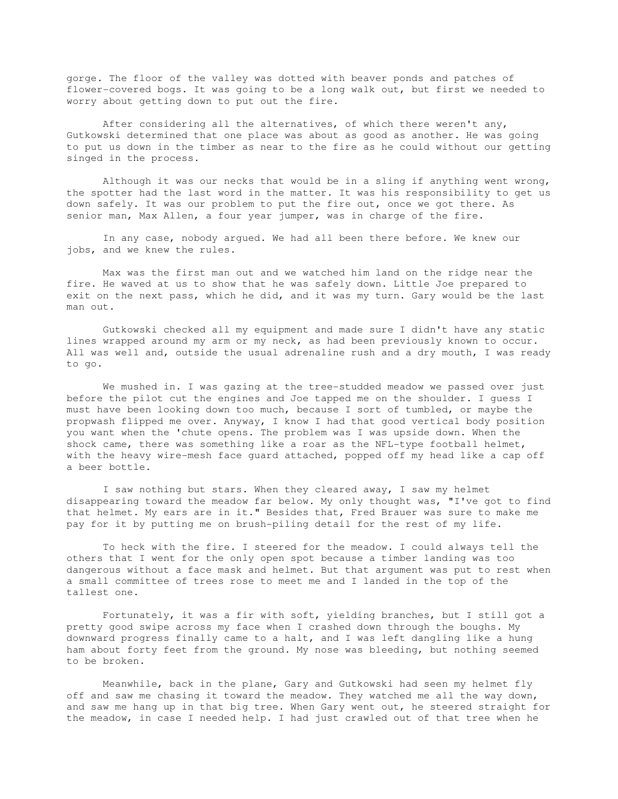gorge. The floor of the valley was dotted with beaver ponds and patches of flower-covered bogs. It was going to be a long walk out, but first we needed to worry about getting down to put out the fire.

 After considering all the alternatives, of which there weren't any, Gutkowski determined that one place was about as good as another. He was going to put us down in the timber as near to the fire as he could without our getting singed in the process.

 Although it was our necks that would be in a sling if anything went wrong, the spotter had the last word in the matter. It was his responsibility to get us down safely. It was our problem to put the fire out, once we got there. As senior man, Max Allen, a four year jumper, was in charge of the fire.

 In any case, nobody argued. We had all been there before. We knew our jobs, and we knew the rules.

 Max was the first man out and we watched him land on the ridge near the fire. He waved at us to show that he was safely down. Little Joe prepared to exit on the next pass, which he did, and it was my turn. Gary would be the last man out.

 Gutkowski checked all my equipment and made sure I didn't have any static lines wrapped around my arm or my neck, as had been previously known to occur. All was well and, outside the usual adrenaline rush and a dry mouth, I was ready to go.

 We mushed in. I was gazing at the tree-studded meadow we passed over just before the pilot cut the engines and Joe tapped me on the shoulder. I guess I must have been looking down too much, because I sort of tumbled, or maybe the propwash flipped me over. Anyway, I know I had that good vertical body position you want when the 'chute opens. The problem was I was upside down. When the shock came, there was something like a roar as the NFL-type football helmet, with the heavy wire-mesh face guard attached, popped off my head like a cap off a beer bottle.

 I saw nothing but stars. When they cleared away, I saw my helmet disappearing toward the meadow far below. My only thought was, "I've got to find that helmet. My ears are in it." Besides that, Fred Brauer was sure to make me pay for it by putting me on brush-piling detail for the rest of my life.

 To heck with the fire. I steered for the meadow. I could always tell the others that I went for the only open spot because a timber landing was too dangerous without a face mask and helmet. But that argument was put to rest when a small committee of trees rose to meet me and I landed in the top of the tallest one.

 Fortunately, it was a fir with soft, yielding branches, but I still got a pretty good swipe across my face when I crashed down through the boughs. My downward progress finally came to a halt, and I was left dangling like a hung ham about forty feet from the ground. My nose was bleeding, but nothing seemed to be broken.

 Meanwhile, back in the plane, Gary and Gutkowski had seen my helmet fly off and saw me chasing it toward the meadow. They watched me all the way down, and saw me hang up in that big tree. When Gary went out, he steered straight for the meadow, in case I needed help. I had just crawled out of that tree when he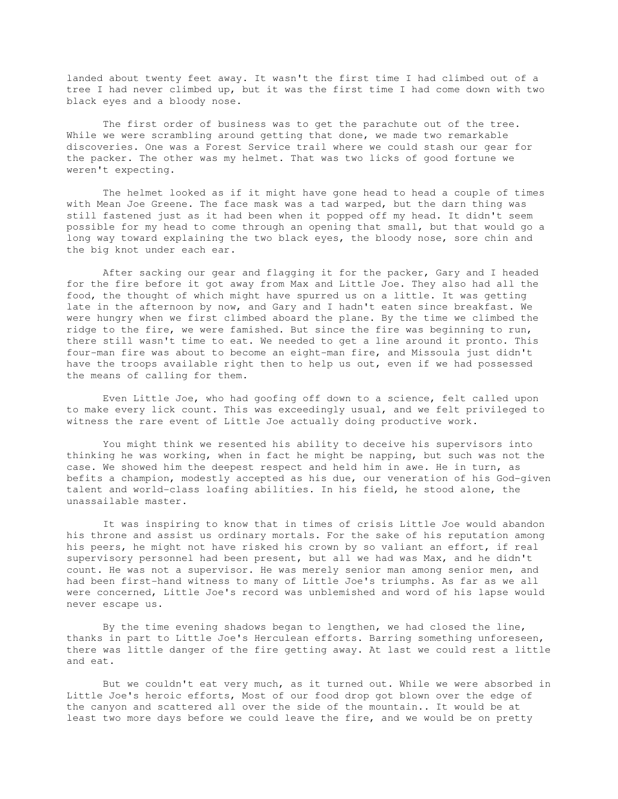landed about twenty feet away. It wasn't the first time I had climbed out of a tree I had never climbed up, but it was the first time I had come down with two black eyes and a bloody nose.

 The first order of business was to get the parachute out of the tree. While we were scrambling around getting that done, we made two remarkable discoveries. One was a Forest Service trail where we could stash our gear for the packer. The other was my helmet. That was two licks of good fortune we weren't expecting.

 The helmet looked as if it might have gone head to head a couple of times with Mean Joe Greene. The face mask was a tad warped, but the darn thing was still fastened just as it had been when it popped off my head. It didn't seem possible for my head to come through an opening that small, but that would go a long way toward explaining the two black eyes, the bloody nose, sore chin and the big knot under each ear.

 After sacking our gear and flagging it for the packer, Gary and I headed for the fire before it got away from Max and Little Joe. They also had all the food, the thought of which might have spurred us on a little. It was getting late in the afternoon by now, and Gary and I hadn't eaten since breakfast. We were hungry when we first climbed aboard the plane. By the time we climbed the ridge to the fire, we were famished. But since the fire was beginning to run, there still wasn't time to eat. We needed to get a line around it pronto. This four-man fire was about to become an eight-man fire, and Missoula just didn't have the troops available right then to help us out, even if we had possessed the means of calling for them.

 Even Little Joe, who had goofing off down to a science, felt called upon to make every lick count. This was exceedingly usual, and we felt privileged to witness the rare event of Little Joe actually doing productive work.

 You might think we resented his ability to deceive his supervisors into thinking he was working, when in fact he might be napping, but such was not the case. We showed him the deepest respect and held him in awe. He in turn, as befits a champion, modestly accepted as his due, our veneration of his God-given talent and world-class loafing abilities. In his field, he stood alone, the unassailable master.

 It was inspiring to know that in times of crisis Little Joe would abandon his throne and assist us ordinary mortals. For the sake of his reputation among his peers, he might not have risked his crown by so valiant an effort, if real supervisory personnel had been present, but all we had was Max, and he didn't count. He was not a supervisor. He was merely senior man among senior men, and had been first-hand witness to many of Little Joe's triumphs. As far as we all were concerned, Little Joe's record was unblemished and word of his lapse would never escape us.

 By the time evening shadows began to lengthen, we had closed the line, thanks in part to Little Joe's Herculean efforts. Barring something unforeseen, there was little danger of the fire getting away. At last we could rest a little and eat.

 But we couldn't eat very much, as it turned out. While we were absorbed in Little Joe's heroic efforts, Most of our food drop got blown over the edge of the canyon and scattered all over the side of the mountain.. It would be at least two more days before we could leave the fire, and we would be on pretty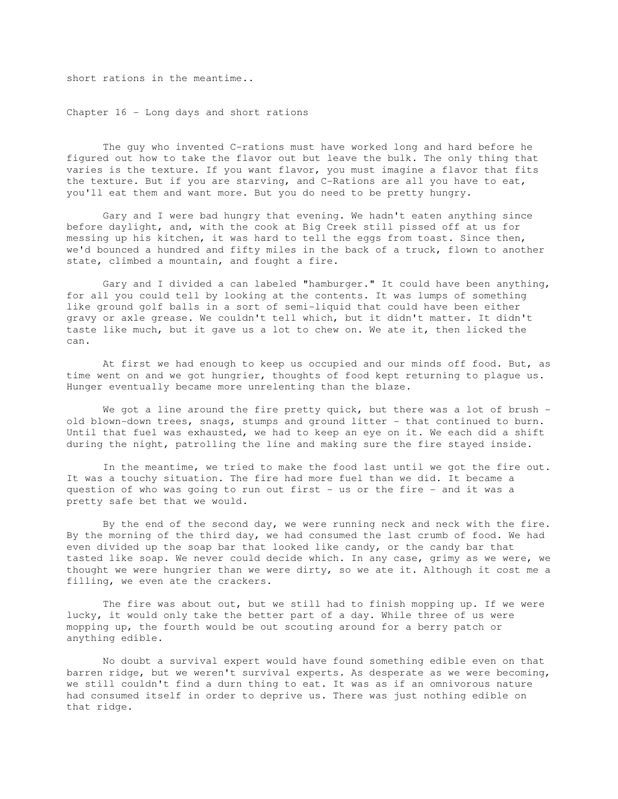short rations in the meantime..

Chapter 16 - Long days and short rations

 The guy who invented C-rations must have worked long and hard before he figured out how to take the flavor out but leave the bulk. The only thing that varies is the texture. If you want flavor, you must imagine a flavor that fits the texture. But if you are starving, and C-Rations are all you have to eat, you'll eat them and want more. But you do need to be pretty hungry.

 Gary and I were bad hungry that evening. We hadn't eaten anything since before daylight, and, with the cook at Big Creek still pissed off at us for messing up his kitchen, it was hard to tell the eggs from toast. Since then, we'd bounced a hundred and fifty miles in the back of a truck, flown to another state, climbed a mountain, and fought a fire.

 Gary and I divided a can labeled "hamburger." It could have been anything, for all you could tell by looking at the contents. It was lumps of something like ground golf balls in a sort of semi-liquid that could have been either gravy or axle grease. We couldn't tell which, but it didn't matter. It didn't taste like much, but it gave us a lot to chew on. We ate it, then licked the can.

 At first we had enough to keep us occupied and our minds off food. But, as time went on and we got hungrier, thoughts of food kept returning to plague us. Hunger eventually became more unrelenting than the blaze.

We got a line around the fire pretty quick, but there was a lot of brush old blown-down trees, snags, stumps and ground litter - that continued to burn. Until that fuel was exhausted, we had to keep an eye on it. We each did a shift during the night, patrolling the line and making sure the fire stayed inside.

 In the meantime, we tried to make the food last until we got the fire out. It was a touchy situation. The fire had more fuel than we did. It became a question of who was going to run out first - us or the fire - and it was a pretty safe bet that we would.

 By the end of the second day, we were running neck and neck with the fire. By the morning of the third day, we had consumed the last crumb of food. We had even divided up the soap bar that looked like candy, or the candy bar that tasted like soap. We never could decide which. In any case, grimy as we were, we thought we were hungrier than we were dirty, so we ate it. Although it cost me a filling, we even ate the crackers.

 The fire was about out, but we still had to finish mopping up. If we were lucky, it would only take the better part of a day. While three of us were mopping up, the fourth would be out scouting around for a berry patch or anything edible.

 No doubt a survival expert would have found something edible even on that barren ridge, but we weren't survival experts. As desperate as we were becoming, we still couldn't find a durn thing to eat. It was as if an omnivorous nature had consumed itself in order to deprive us. There was just nothing edible on that ridge.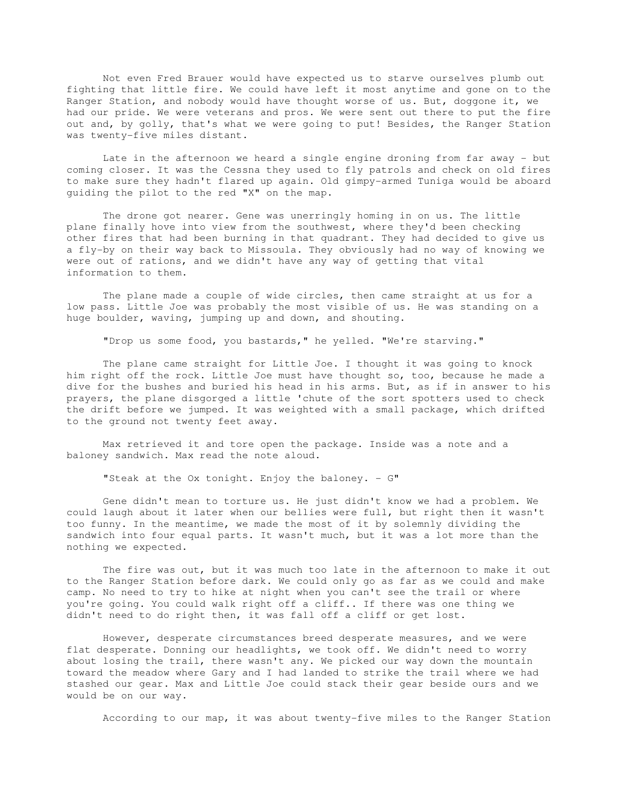Not even Fred Brauer would have expected us to starve ourselves plumb out fighting that little fire. We could have left it most anytime and gone on to the Ranger Station, and nobody would have thought worse of us. But, doggone it, we had our pride. We were veterans and pros. We were sent out there to put the fire out and, by golly, that's what we were going to put! Besides, the Ranger Station was twenty-five miles distant.

 Late in the afternoon we heard a single engine droning from far away - but coming closer. It was the Cessna they used to fly patrols and check on old fires to make sure they hadn't flared up again. Old gimpy-armed Tuniga would be aboard guiding the pilot to the red "X" on the map.

 The drone got nearer. Gene was unerringly homing in on us. The little plane finally hove into view from the southwest, where they'd been checking other fires that had been burning in that quadrant. They had decided to give us a fly-by on their way back to Missoula. They obviously had no way of knowing we were out of rations, and we didn't have any way of getting that vital information to them.

 The plane made a couple of wide circles, then came straight at us for a low pass. Little Joe was probably the most visible of us. He was standing on a huge boulder, waving, jumping up and down, and shouting.

"Drop us some food, you bastards," he yelled. "We're starving."

 The plane came straight for Little Joe. I thought it was going to knock him right off the rock. Little Joe must have thought so, too, because he made a dive for the bushes and buried his head in his arms. But, as if in answer to his prayers, the plane disgorged a little 'chute of the sort spotters used to check the drift before we jumped. It was weighted with a small package, which drifted to the ground not twenty feet away.

 Max retrieved it and tore open the package. Inside was a note and a baloney sandwich. Max read the note aloud.

"Steak at the Ox tonight. Enjoy the baloney. - G"

 Gene didn't mean to torture us. He just didn't know we had a problem. We could laugh about it later when our bellies were full, but right then it wasn't too funny. In the meantime, we made the most of it by solemnly dividing the sandwich into four equal parts. It wasn't much, but it was a lot more than the nothing we expected.

 The fire was out, but it was much too late in the afternoon to make it out to the Ranger Station before dark. We could only go as far as we could and make camp. No need to try to hike at night when you can't see the trail or where you're going. You could walk right off a cliff.. If there was one thing we didn't need to do right then, it was fall off a cliff or get lost.

 However, desperate circumstances breed desperate measures, and we were flat desperate. Donning our headlights, we took off. We didn't need to worry about losing the trail, there wasn't any. We picked our way down the mountain toward the meadow where Gary and I had landed to strike the trail where we had stashed our gear. Max and Little Joe could stack their gear beside ours and we would be on our way.

According to our map, it was about twenty-five miles to the Ranger Station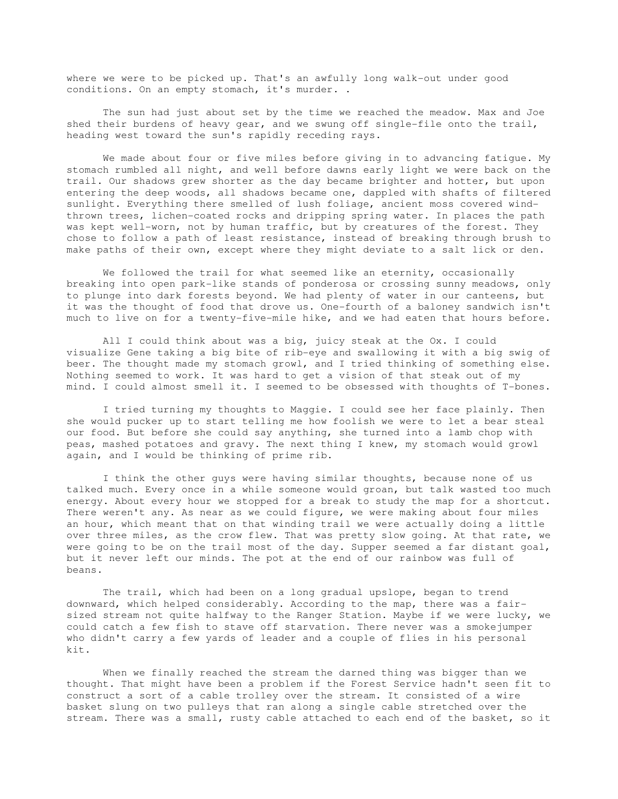where we were to be picked up. That's an awfully long walk-out under good conditions. On an empty stomach, it's murder. .

 The sun had just about set by the time we reached the meadow. Max and Joe shed their burdens of heavy gear, and we swung off single-file onto the trail, heading west toward the sun's rapidly receding rays.

 We made about four or five miles before giving in to advancing fatigue. My stomach rumbled all night, and well before dawns early light we were back on the trail. Our shadows grew shorter as the day became brighter and hotter, but upon entering the deep woods, all shadows became one, dappled with shafts of filtered sunlight. Everything there smelled of lush foliage, ancient moss covered windthrown trees, lichen-coated rocks and dripping spring water. In places the path was kept well-worn, not by human traffic, but by creatures of the forest. They chose to follow a path of least resistance, instead of breaking through brush to make paths of their own, except where they might deviate to a salt lick or den.

We followed the trail for what seemed like an eternity, occasionally breaking into open park-like stands of ponderosa or crossing sunny meadows, only to plunge into dark forests beyond. We had plenty of water in our canteens, but it was the thought of food that drove us. One-fourth of a baloney sandwich isn't much to live on for a twenty-five-mile hike, and we had eaten that hours before.

 All I could think about was a big, juicy steak at the Ox. I could visualize Gene taking a big bite of rib-eye and swallowing it with a big swig of beer. The thought made my stomach growl, and I tried thinking of something else. Nothing seemed to work. It was hard to get a vision of that steak out of my mind. I could almost smell it. I seemed to be obsessed with thoughts of T-bones.

 I tried turning my thoughts to Maggie. I could see her face plainly. Then she would pucker up to start telling me how foolish we were to let a bear steal our food. But before she could say anything, she turned into a lamb chop with peas, mashed potatoes and gravy. The next thing I knew, my stomach would growl again, and I would be thinking of prime rib.

 I think the other guys were having similar thoughts, because none of us talked much. Every once in a while someone would groan, but talk wasted too much energy. About every hour we stopped for a break to study the map for a shortcut. There weren't any. As near as we could figure, we were making about four miles an hour, which meant that on that winding trail we were actually doing a little over three miles, as the crow flew. That was pretty slow going. At that rate, we were going to be on the trail most of the day. Supper seemed a far distant goal, but it never left our minds. The pot at the end of our rainbow was full of beans.

 The trail, which had been on a long gradual upslope, began to trend downward, which helped considerably. According to the map, there was a fairsized stream not quite halfway to the Ranger Station. Maybe if we were lucky, we could catch a few fish to stave off starvation. There never was a smokejumper who didn't carry a few yards of leader and a couple of flies in his personal kit.

 When we finally reached the stream the darned thing was bigger than we thought. That might have been a problem if the Forest Service hadn't seen fit to construct a sort of a cable trolley over the stream. It consisted of a wire basket slung on two pulleys that ran along a single cable stretched over the stream. There was a small, rusty cable attached to each end of the basket, so it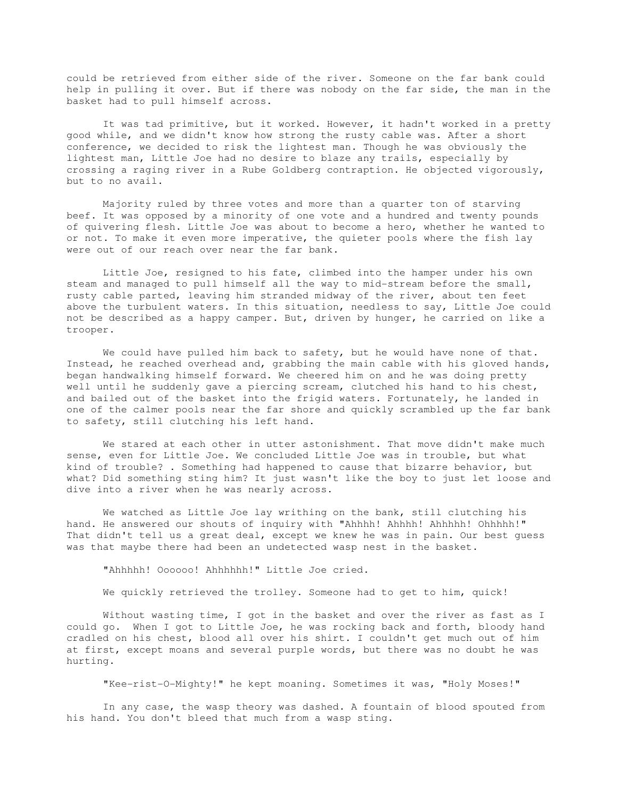could be retrieved from either side of the river. Someone on the far bank could help in pulling it over. But if there was nobody on the far side, the man in the basket had to pull himself across.

 It was tad primitive, but it worked. However, it hadn't worked in a pretty good while, and we didn't know how strong the rusty cable was. After a short conference, we decided to risk the lightest man. Though he was obviously the lightest man, Little Joe had no desire to blaze any trails, especially by crossing a raging river in a Rube Goldberg contraption. He objected vigorously, but to no avail.

 Majority ruled by three votes and more than a quarter ton of starving beef. It was opposed by a minority of one vote and a hundred and twenty pounds of quivering flesh. Little Joe was about to become a hero, whether he wanted to or not. To make it even more imperative, the quieter pools where the fish lay were out of our reach over near the far bank.

 Little Joe, resigned to his fate, climbed into the hamper under his own steam and managed to pull himself all the way to mid-stream before the small, rusty cable parted, leaving him stranded midway of the river, about ten feet above the turbulent waters. In this situation, needless to say, Little Joe could not be described as a happy camper. But, driven by hunger, he carried on like a trooper.

 We could have pulled him back to safety, but he would have none of that. Instead, he reached overhead and, grabbing the main cable with his gloved hands, began handwalking himself forward. We cheered him on and he was doing pretty well until he suddenly gave a piercing scream, clutched his hand to his chest, and bailed out of the basket into the frigid waters. Fortunately, he landed in one of the calmer pools near the far shore and quickly scrambled up the far bank to safety, still clutching his left hand.

 We stared at each other in utter astonishment. That move didn't make much sense, even for Little Joe. We concluded Little Joe was in trouble, but what kind of trouble? . Something had happened to cause that bizarre behavior, but what? Did something sting him? It just wasn't like the boy to just let loose and dive into a river when he was nearly across.

 We watched as Little Joe lay writhing on the bank, still clutching his hand. He answered our shouts of inquiry with "Ahhhh! Ahhhh! Ahhhhh! Ohhhhh!" That didn't tell us a great deal, except we knew he was in pain. Our best guess was that maybe there had been an undetected wasp nest in the basket.

"Ahhhhh! Oooooo! Ahhhhhh!" Little Joe cried.

We quickly retrieved the trolley. Someone had to get to him, quick!

 Without wasting time, I got in the basket and over the river as fast as I could go. When I got to Little Joe, he was rocking back and forth, bloody hand cradled on his chest, blood all over his shirt. I couldn't get much out of him at first, except moans and several purple words, but there was no doubt he was hurting.

"Kee-rist-O-Mighty!" he kept moaning. Sometimes it was, "Holy Moses!"

 In any case, the wasp theory was dashed. A fountain of blood spouted from his hand. You don't bleed that much from a wasp sting.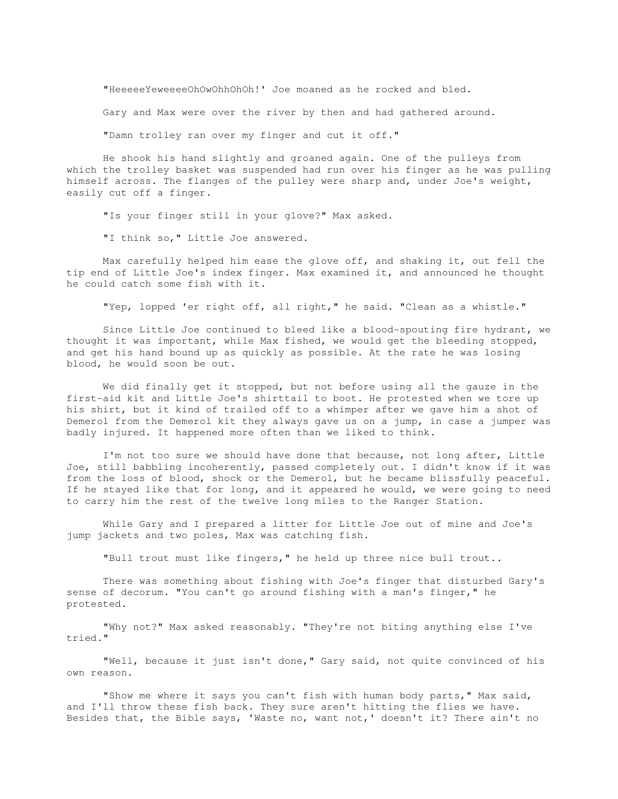"HeeeeeYeweeeeOhOwOhhOhOh!' Joe moaned as he rocked and bled.

Gary and Max were over the river by then and had gathered around.

"Damn trolley ran over my finger and cut it off."

 He shook his hand slightly and groaned again. One of the pulleys from which the trolley basket was suspended had run over his finger as he was pulling himself across. The flanges of the pulley were sharp and, under Joe's weight, easily cut off a finger.

"Is your finger still in your glove?" Max asked.

"I think so," Little Joe answered.

 Max carefully helped him ease the glove off, and shaking it, out fell the tip end of Little Joe's index finger. Max examined it, and announced he thought he could catch some fish with it.

"Yep, lopped 'er right off, all right," he said. "Clean as a whistle."

 Since Little Joe continued to bleed like a blood-spouting fire hydrant, we thought it was important, while Max fished, we would get the bleeding stopped, and get his hand bound up as quickly as possible. At the rate he was losing blood, he would soon be out.

 We did finally get it stopped, but not before using all the gauze in the first-aid kit and Little Joe's shirttail to boot. He protested when we tore up his shirt, but it kind of trailed off to a whimper after we gave him a shot of Demerol from the Demerol kit they always gave us on a jump, in case a jumper was badly injured. It happened more often than we liked to think.

 I'm not too sure we should have done that because, not long after, Little Joe, still babbling incoherently, passed completely out. I didn't know if it was from the loss of blood, shock or the Demerol, but he became blissfully peaceful. If he stayed like that for long, and it appeared he would, we were going to need to carry him the rest of the twelve long miles to the Ranger Station.

 While Gary and I prepared a litter for Little Joe out of mine and Joe's jump jackets and two poles, Max was catching fish.

"Bull trout must like fingers," he held up three nice bull trout..

 There was something about fishing with Joe's finger that disturbed Gary's sense of decorum. "You can't go around fishing with a man's finger," he protested.

 "Why not?" Max asked reasonably. "They're not biting anything else I've tried."

 "Well, because it just isn't done," Gary said, not quite convinced of his own reason.

 "Show me where it says you can't fish with human body parts," Max said, and I'll throw these fish back. They sure aren't hitting the flies we have. Besides that, the Bible says, 'Waste no, want not,' doesn't it? There ain't no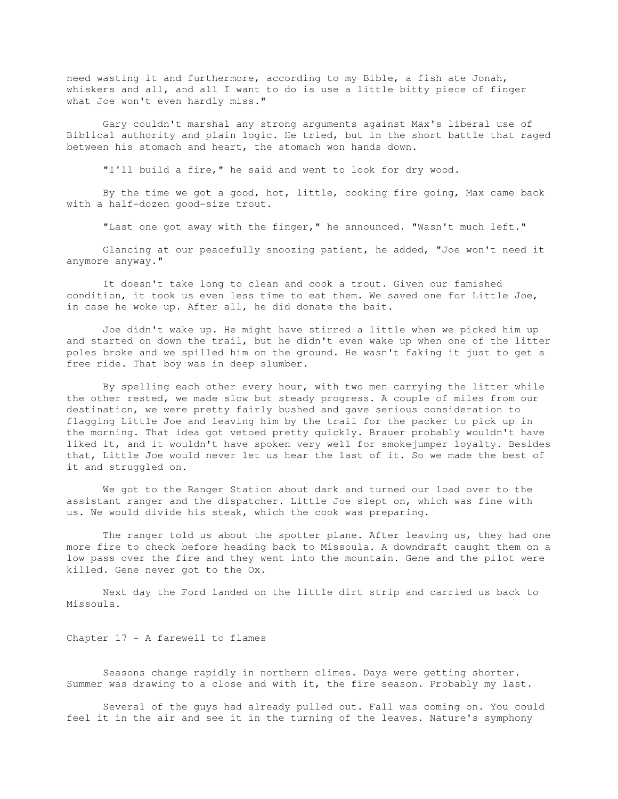need wasting it and furthermore, according to my Bible, a fish ate Jonah, whiskers and all, and all I want to do is use a little bitty piece of finger what Joe won't even hardly miss."

 Gary couldn't marshal any strong arguments against Max's liberal use of Biblical authority and plain logic. He tried, but in the short battle that raged between his stomach and heart, the stomach won hands down.

"I'll build a fire," he said and went to look for dry wood.

 By the time we got a good, hot, little, cooking fire going, Max came back with a half-dozen good-size trout.

"Last one got away with the finger," he announced. "Wasn't much left."

 Glancing at our peacefully snoozing patient, he added, "Joe won't need it anymore anyway."

 It doesn't take long to clean and cook a trout. Given our famished condition, it took us even less time to eat them. We saved one for Little Joe, in case he woke up. After all, he did donate the bait.

 Joe didn't wake up. He might have stirred a little when we picked him up and started on down the trail, but he didn't even wake up when one of the litter poles broke and we spilled him on the ground. He wasn't faking it just to get a free ride. That boy was in deep slumber.

 By spelling each other every hour, with two men carrying the litter while the other rested, we made slow but steady progress. A couple of miles from our destination, we were pretty fairly bushed and gave serious consideration to flagging Little Joe and leaving him by the trail for the packer to pick up in the morning. That idea got vetoed pretty quickly. Brauer probably wouldn't have liked it, and it wouldn't have spoken very well for smokejumper loyalty. Besides that, Little Joe would never let us hear the last of it. So we made the best of it and struggled on.

 We got to the Ranger Station about dark and turned our load over to the assistant ranger and the dispatcher. Little Joe slept on, which was fine with us. We would divide his steak, which the cook was preparing.

 The ranger told us about the spotter plane. After leaving us, they had one more fire to check before heading back to Missoula. A downdraft caught them on a low pass over the fire and they went into the mountain. Gene and the pilot were killed. Gene never got to the Ox.

 Next day the Ford landed on the little dirt strip and carried us back to Missoula.

Chapter 17 - A farewell to flames

 Seasons change rapidly in northern climes. Days were getting shorter. Summer was drawing to a close and with it, the fire season. Probably my last.

 Several of the guys had already pulled out. Fall was coming on. You could feel it in the air and see it in the turning of the leaves. Nature's symphony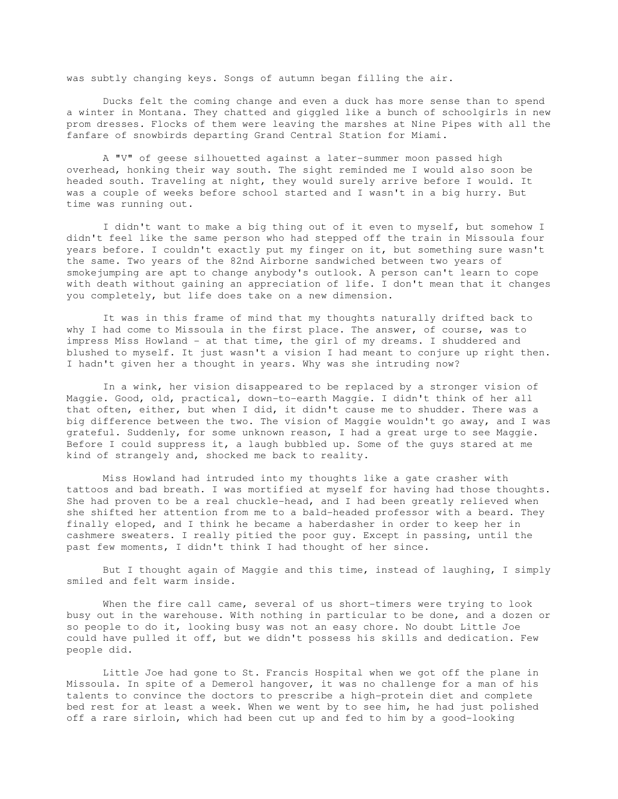was subtly changing keys. Songs of autumn began filling the air.

 Ducks felt the coming change and even a duck has more sense than to spend a winter in Montana. They chatted and giggled like a bunch of schoolgirls in new prom dresses. Flocks of them were leaving the marshes at Nine Pipes with all the fanfare of snowbirds departing Grand Central Station for Miami.

 A "V" of geese silhouetted against a later-summer moon passed high overhead, honking their way south. The sight reminded me I would also soon be headed south. Traveling at night, they would surely arrive before I would. It was a couple of weeks before school started and I wasn't in a big hurry. But time was running out.

 I didn't want to make a big thing out of it even to myself, but somehow I didn't feel like the same person who had stepped off the train in Missoula four years before. I couldn't exactly put my finger on it, but something sure wasn't the same. Two years of the 82nd Airborne sandwiched between two years of smokejumping are apt to change anybody's outlook. A person can't learn to cope with death without gaining an appreciation of life. I don't mean that it changes you completely, but life does take on a new dimension.

 It was in this frame of mind that my thoughts naturally drifted back to why I had come to Missoula in the first place. The answer, of course, was to impress Miss Howland - at that time, the girl of my dreams. I shuddered and blushed to myself. It just wasn't a vision I had meant to conjure up right then. I hadn't given her a thought in years. Why was she intruding now?

 In a wink, her vision disappeared to be replaced by a stronger vision of Maggie. Good, old, practical, down-to-earth Maggie. I didn't think of her all that often, either, but when I did, it didn't cause me to shudder. There was a big difference between the two. The vision of Maggie wouldn't go away, and I was grateful. Suddenly, for some unknown reason, I had a great urge to see Maggie. Before I could suppress it, a laugh bubbled up. Some of the guys stared at me kind of strangely and, shocked me back to reality.

 Miss Howland had intruded into my thoughts like a gate crasher with tattoos and bad breath. I was mortified at myself for having had those thoughts. She had proven to be a real chuckle-head, and I had been greatly relieved when she shifted her attention from me to a bald-headed professor with a beard. They finally eloped, and I think he became a haberdasher in order to keep her in cashmere sweaters. I really pitied the poor guy. Except in passing, until the past few moments, I didn't think I had thought of her since.

 But I thought again of Maggie and this time, instead of laughing, I simply smiled and felt warm inside.

When the fire call came, several of us short-timers were trying to look busy out in the warehouse. With nothing in particular to be done, and a dozen or so people to do it, looking busy was not an easy chore. No doubt Little Joe could have pulled it off, but we didn't possess his skills and dedication. Few people did.

 Little Joe had gone to St. Francis Hospital when we got off the plane in Missoula. In spite of a Demerol hangover, it was no challenge for a man of his talents to convince the doctors to prescribe a high-protein diet and complete bed rest for at least a week. When we went by to see him, he had just polished off a rare sirloin, which had been cut up and fed to him by a good-looking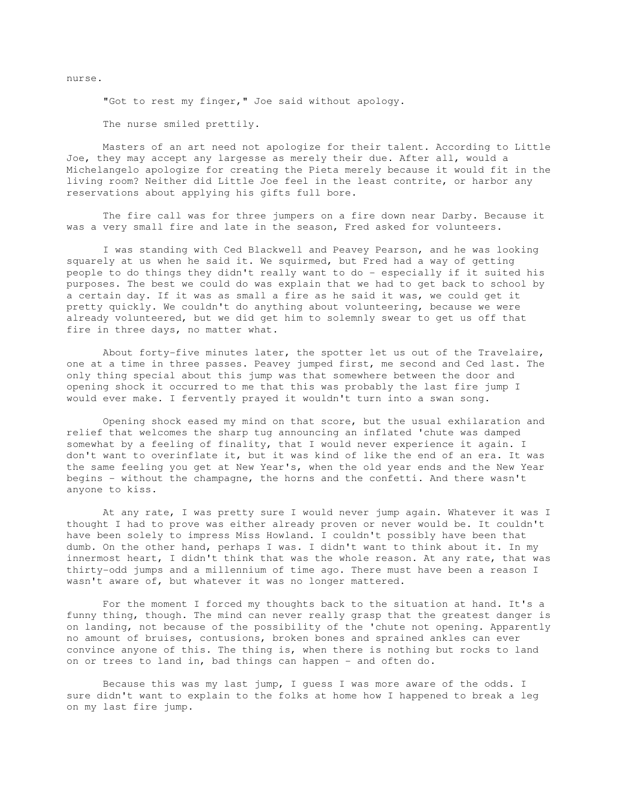nurse.

"Got to rest my finger," Joe said without apology.

The nurse smiled prettily.

 Masters of an art need not apologize for their talent. According to Little Joe, they may accept any largesse as merely their due. After all, would a Michelangelo apologize for creating the Pieta merely because it would fit in the living room? Neither did Little Joe feel in the least contrite, or harbor any reservations about applying his gifts full bore.

 The fire call was for three jumpers on a fire down near Darby. Because it was a very small fire and late in the season, Fred asked for volunteers.

 I was standing with Ced Blackwell and Peavey Pearson, and he was looking squarely at us when he said it. We squirmed, but Fred had a way of getting people to do things they didn't really want to do - especially if it suited his purposes. The best we could do was explain that we had to get back to school by a certain day. If it was as small a fire as he said it was, we could get it pretty quickly. We couldn't do anything about volunteering, because we were already volunteered, but we did get him to solemnly swear to get us off that fire in three days, no matter what.

 About forty-five minutes later, the spotter let us out of the Travelaire, one at a time in three passes. Peavey jumped first, me second and Ced last. The only thing special about this jump was that somewhere between the door and opening shock it occurred to me that this was probably the last fire jump I would ever make. I fervently prayed it wouldn't turn into a swan song.

 Opening shock eased my mind on that score, but the usual exhilaration and relief that welcomes the sharp tug announcing an inflated 'chute was damped somewhat by a feeling of finality, that I would never experience it again. I don't want to overinflate it, but it was kind of like the end of an era. It was the same feeling you get at New Year's, when the old year ends and the New Year begins - without the champagne, the horns and the confetti. And there wasn't anyone to kiss.

 At any rate, I was pretty sure I would never jump again. Whatever it was I thought I had to prove was either already proven or never would be. It couldn't have been solely to impress Miss Howland. I couldn't possibly have been that dumb. On the other hand, perhaps I was. I didn't want to think about it. In my innermost heart, I didn't think that was the whole reason. At any rate, that was thirty-odd jumps and a millennium of time ago. There must have been a reason I wasn't aware of, but whatever it was no longer mattered.

 For the moment I forced my thoughts back to the situation at hand. It's a funny thing, though. The mind can never really grasp that the greatest danger is on landing, not because of the possibility of the 'chute not opening. Apparently no amount of bruises, contusions, broken bones and sprained ankles can ever convince anyone of this. The thing is, when there is nothing but rocks to land on or trees to land in, bad things can happen - and often do.

 Because this was my last jump, I guess I was more aware of the odds. I sure didn't want to explain to the folks at home how I happened to break a leg on my last fire jump.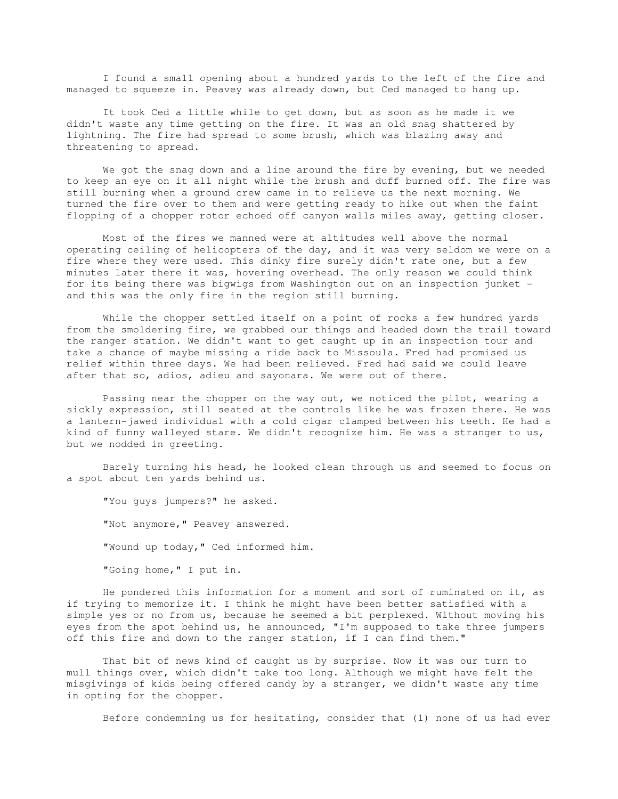I found a small opening about a hundred yards to the left of the fire and managed to squeeze in. Peavey was already down, but Ced managed to hang up.

 It took Ced a little while to get down, but as soon as he made it we didn't waste any time getting on the fire. It was an old snag shattered by lightning. The fire had spread to some brush, which was blazing away and threatening to spread.

 We got the snag down and a line around the fire by evening, but we needed to keep an eye on it all night while the brush and duff burned off. The fire was still burning when a ground crew came in to relieve us the next morning. We turned the fire over to them and were getting ready to hike out when the faint flopping of a chopper rotor echoed off canyon walls miles away, getting closer.

 Most of the fires we manned were at altitudes well above the normal operating ceiling of helicopters of the day, and it was very seldom we were on a fire where they were used. This dinky fire surely didn't rate one, but a few minutes later there it was, hovering overhead. The only reason we could think for its being there was bigwigs from Washington out on an inspection junket and this was the only fire in the region still burning.

 While the chopper settled itself on a point of rocks a few hundred yards from the smoldering fire, we grabbed our things and headed down the trail toward the ranger station. We didn't want to get caught up in an inspection tour and take a chance of maybe missing a ride back to Missoula. Fred had promised us relief within three days. We had been relieved. Fred had said we could leave after that so, adios, adieu and sayonara. We were out of there.

 Passing near the chopper on the way out, we noticed the pilot, wearing a sickly expression, still seated at the controls like he was frozen there. He was a lantern-jawed individual with a cold cigar clamped between his teeth. He had a kind of funny walleyed stare. We didn't recognize him. He was a stranger to us, but we nodded in greeting.

 Barely turning his head, he looked clean through us and seemed to focus on a spot about ten yards behind us.

 "You guys jumpers?" he asked. "Not anymore," Peavey answered. "Wound up today," Ced informed him. "Going home," I put in.

 He pondered this information for a moment and sort of ruminated on it, as if trying to memorize it. I think he might have been better satisfied with a simple yes or no from us, because he seemed a bit perplexed. Without moving his eyes from the spot behind us, he announced, "I'm supposed to take three jumpers off this fire and down to the ranger station, if I can find them."

 That bit of news kind of caught us by surprise. Now it was our turn to mull things over, which didn't take too long. Although we might have felt the misgivings of kids being offered candy by a stranger, we didn't waste any time in opting for the chopper.

Before condemning us for hesitating, consider that (1) none of us had ever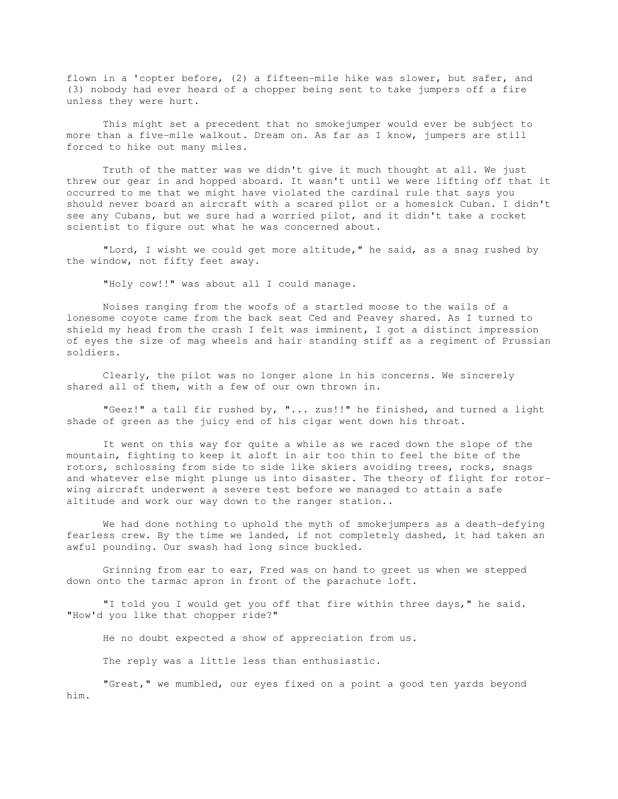flown in a 'copter before, (2) a fifteen-mile hike was slower, but safer, and (3) nobody had ever heard of a chopper being sent to take jumpers off a fire unless they were hurt.

 This might set a precedent that no smokejumper would ever be subject to more than a five-mile walkout. Dream on. As far as I know, jumpers are still forced to hike out many miles.

 Truth of the matter was we didn't give it much thought at all. We just threw our gear in and hopped aboard. It wasn't until we were lifting off that it occurred to me that we might have violated the cardinal rule that says you should never board an aircraft with a scared pilot or a homesick Cuban. I didn't see any Cubans, but we sure had a worried pilot, and it didn't take a rocket scientist to figure out what he was concerned about.

 "Lord, I wisht we could get more altitude," he said, as a snag rushed by the window, not fifty feet away.

"Holy cow!!" was about all I could manage.

 Noises ranging from the woofs of a startled moose to the wails of a lonesome coyote came from the back seat Ced and Peavey shared. As I turned to shield my head from the crash I felt was imminent, I got a distinct impression of eyes the size of mag wheels and hair standing stiff as a regiment of Prussian soldiers.

 Clearly, the pilot was no longer alone in his concerns. We sincerely shared all of them, with a few of our own thrown in.

 "Geez!" a tall fir rushed by, "... zus!!" he finished, and turned a light shade of green as the juicy end of his cigar went down his throat.

 It went on this way for quite a while as we raced down the slope of the mountain, fighting to keep it aloft in air too thin to feel the bite of the rotors, schlossing from side to side like skiers avoiding trees, rocks, snags and whatever else might plunge us into disaster. The theory of flight for rotorwing aircraft underwent a severe test before we managed to attain a safe altitude and work our way down to the ranger station..

 We had done nothing to uphold the myth of smokejumpers as a death-defying fearless crew. By the time we landed, if not completely dashed, it had taken an awful pounding. Our swash had long since buckled.

 Grinning from ear to ear, Fred was on hand to greet us when we stepped down onto the tarmac apron in front of the parachute loft.

 "I told you I would get you off that fire within three days," he said. "How'd you like that chopper ride?"

He no doubt expected a show of appreciation from us.

The reply was a little less than enthusiastic.

 "Great," we mumbled, our eyes fixed on a point a good ten yards beyond him.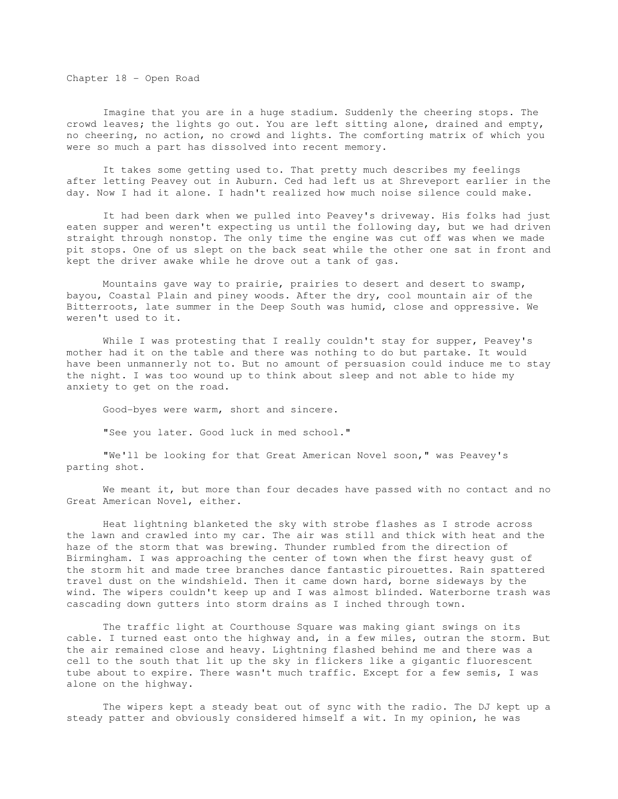Chapter 18 - Open Road

 Imagine that you are in a huge stadium. Suddenly the cheering stops. The crowd leaves; the lights go out. You are left sitting alone, drained and empty, no cheering, no action, no crowd and lights. The comforting matrix of which you were so much a part has dissolved into recent memory.

 It takes some getting used to. That pretty much describes my feelings after letting Peavey out in Auburn. Ced had left us at Shreveport earlier in the day. Now I had it alone. I hadn't realized how much noise silence could make.

 It had been dark when we pulled into Peavey's driveway. His folks had just eaten supper and weren't expecting us until the following day, but we had driven straight through nonstop. The only time the engine was cut off was when we made pit stops. One of us slept on the back seat while the other one sat in front and kept the driver awake while he drove out a tank of gas.

 Mountains gave way to prairie, prairies to desert and desert to swamp, bayou, Coastal Plain and piney woods. After the dry, cool mountain air of the Bitterroots, late summer in the Deep South was humid, close and oppressive. We weren't used to it.

 While I was protesting that I really couldn't stay for supper, Peavey's mother had it on the table and there was nothing to do but partake. It would have been unmannerly not to. But no amount of persuasion could induce me to stay the night. I was too wound up to think about sleep and not able to hide my anxiety to get on the road.

Good-byes were warm, short and sincere.

"See you later. Good luck in med school."

 "We'll be looking for that Great American Novel soon," was Peavey's parting shot.

 We meant it, but more than four decades have passed with no contact and no Great American Novel, either.

 Heat lightning blanketed the sky with strobe flashes as I strode across the lawn and crawled into my car. The air was still and thick with heat and the haze of the storm that was brewing. Thunder rumbled from the direction of Birmingham. I was approaching the center of town when the first heavy gust of the storm hit and made tree branches dance fantastic pirouettes. Rain spattered travel dust on the windshield. Then it came down hard, borne sideways by the wind. The wipers couldn't keep up and I was almost blinded. Waterborne trash was cascading down gutters into storm drains as I inched through town.

 The traffic light at Courthouse Square was making giant swings on its cable. I turned east onto the highway and, in a few miles, outran the storm. But the air remained close and heavy. Lightning flashed behind me and there was a cell to the south that lit up the sky in flickers like a gigantic fluorescent tube about to expire. There wasn't much traffic. Except for a few semis, I was alone on the highway.

 The wipers kept a steady beat out of sync with the radio. The DJ kept up a steady patter and obviously considered himself a wit. In my opinion, he was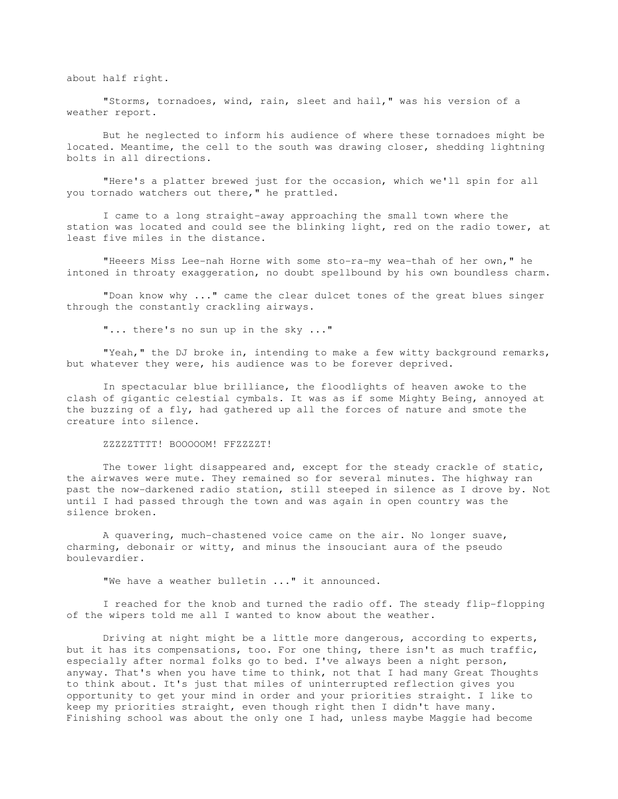about half right.

 "Storms, tornadoes, wind, rain, sleet and hail," was his version of a weather report.

 But he neglected to inform his audience of where these tornadoes might be located. Meantime, the cell to the south was drawing closer, shedding lightning bolts in all directions.

 "Here's a platter brewed just for the occasion, which we'll spin for all you tornado watchers out there," he prattled.

 I came to a long straight-away approaching the small town where the station was located and could see the blinking light, red on the radio tower, at least five miles in the distance.

"Heeers Miss Lee-nah Horne with some sto-ra-my wea-thah of her own," he intoned in throaty exaggeration, no doubt spellbound by his own boundless charm.

 "Doan know why ..." came the clear dulcet tones of the great blues singer through the constantly crackling airways.

"... there's no sun up in the sky ..."

 "Yeah," the DJ broke in, intending to make a few witty background remarks, but whatever they were, his audience was to be forever deprived.

 In spectacular blue brilliance, the floodlights of heaven awoke to the clash of gigantic celestial cymbals. It was as if some Mighty Being, annoyed at the buzzing of a fly, had gathered up all the forces of nature and smote the creature into silence.

ZZZZZTTTT! BOOOOOM! FFZZZZT!

 The tower light disappeared and, except for the steady crackle of static, the airwaves were mute. They remained so for several minutes. The highway ran past the now-darkened radio station, still steeped in silence as I drove by. Not until I had passed through the town and was again in open country was the silence broken.

 A quavering, much-chastened voice came on the air. No longer suave, charming, debonair or witty, and minus the insouciant aura of the pseudo boulevardier.

"We have a weather bulletin ..." it announced.

 I reached for the knob and turned the radio off. The steady flip-flopping of the wipers told me all I wanted to know about the weather.

 Driving at night might be a little more dangerous, according to experts, but it has its compensations, too. For one thing, there isn't as much traffic, especially after normal folks go to bed. I've always been a night person, anyway. That's when you have time to think, not that I had many Great Thoughts to think about. It's just that miles of uninterrupted reflection gives you opportunity to get your mind in order and your priorities straight. I like to keep my priorities straight, even though right then I didn't have many. Finishing school was about the only one I had, unless maybe Maggie had become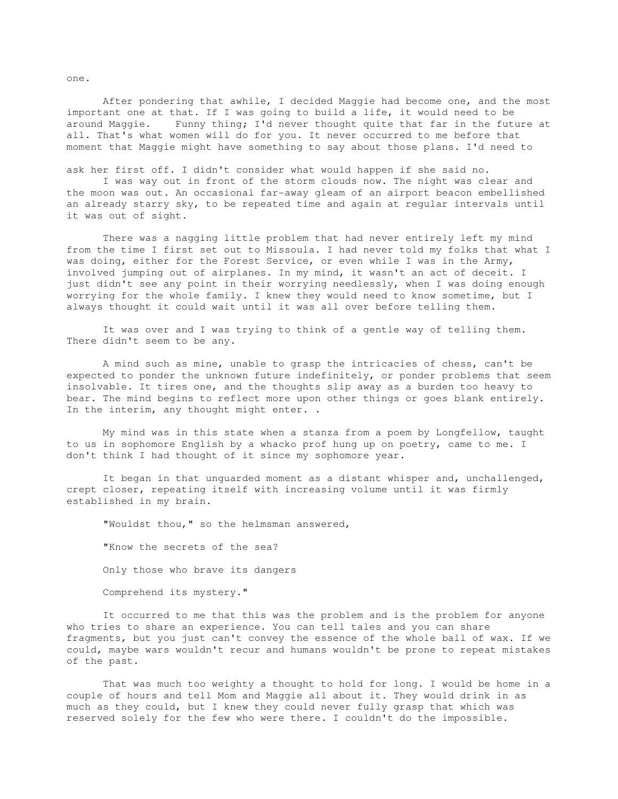After pondering that awhile, I decided Maggie had become one, and the most important one at that. If I was going to build a life, it would need to be around Maggie. Funny thing; I'd never thought quite that far in the future at all. That's what women will do for you. It never occurred to me before that moment that Maggie might have something to say about those plans. I'd need to

ask her first off. I didn't consider what would happen if she said no.

 I was way out in front of the storm clouds now. The night was clear and the moon was out. An occasional far-away gleam of an airport beacon embellished an already starry sky, to be repeated time and again at regular intervals until it was out of sight.

 There was a nagging little problem that had never entirely left my mind from the time I first set out to Missoula. I had never told my folks that what I was doing, either for the Forest Service, or even while I was in the Army, involved jumping out of airplanes. In my mind, it wasn't an act of deceit. I just didn't see any point in their worrying needlessly, when I was doing enough worrying for the whole family. I knew they would need to know sometime, but I always thought it could wait until it was all over before telling them.

 It was over and I was trying to think of a gentle way of telling them. There didn't seem to be any.

 A mind such as mine, unable to grasp the intricacies of chess, can't be expected to ponder the unknown future indefinitely, or ponder problems that seem insolvable. It tires one, and the thoughts slip away as a burden too heavy to bear. The mind begins to reflect more upon other things or goes blank entirely. In the interim, any thought might enter. .

 My mind was in this state when a stanza from a poem by Longfellow, taught to us in sophomore English by a whacko prof hung up on poetry, came to me. I don't think I had thought of it since my sophomore year.

 It began in that unguarded moment as a distant whisper and, unchallenged, crept closer, repeating itself with increasing volume until it was firmly established in my brain.

"Wouldst thou," so the helmsman answered,

 "Know the secrets of the sea? Only those who brave its dangers

Comprehend its mystery."

 It occurred to me that this was the problem and is the problem for anyone who tries to share an experience. You can tell tales and you can share fragments, but you just can't convey the essence of the whole ball of wax. If we could, maybe wars wouldn't recur and humans wouldn't be prone to repeat mistakes of the past.

 That was much too weighty a thought to hold for long. I would be home in a couple of hours and tell Mom and Maggie all about it. They would drink in as much as they could, but I knew they could never fully grasp that which was reserved solely for the few who were there. I couldn't do the impossible.

one.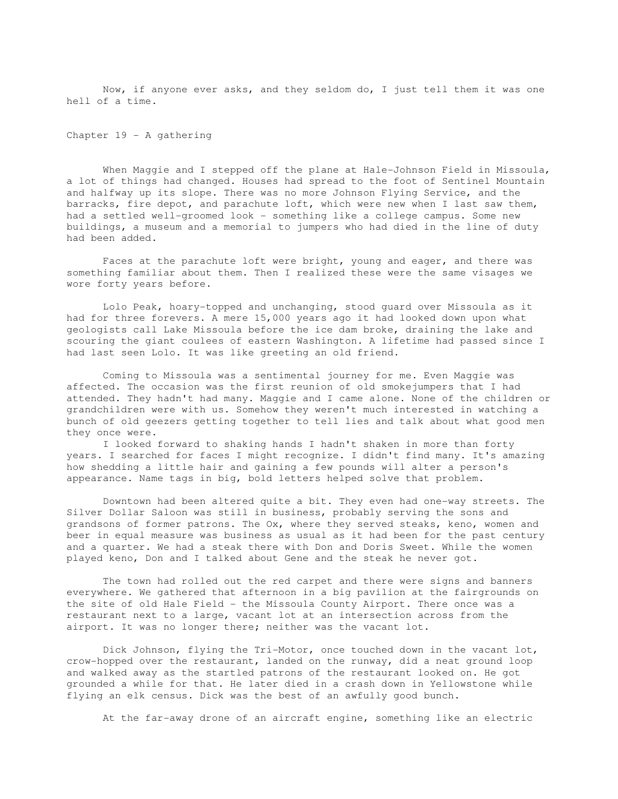Now, if anyone ever asks, and they seldom do, I just tell them it was one hell of a time.

Chapter 19 - A gathering

When Maggie and I stepped off the plane at Hale-Johnson Field in Missoula, a lot of things had changed. Houses had spread to the foot of Sentinel Mountain and halfway up its slope. There was no more Johnson Flying Service, and the barracks, fire depot, and parachute loft, which were new when I last saw them, had a settled well-groomed look - something like a college campus. Some new buildings, a museum and a memorial to jumpers who had died in the line of duty had been added.

 Faces at the parachute loft were bright, young and eager, and there was something familiar about them. Then I realized these were the same visages we wore forty years before.

 Lolo Peak, hoary-topped and unchanging, stood guard over Missoula as it had for three forevers. A mere 15,000 years ago it had looked down upon what geologists call Lake Missoula before the ice dam broke, draining the lake and scouring the giant coulees of eastern Washington. A lifetime had passed since I had last seen Lolo. It was like greeting an old friend.

 Coming to Missoula was a sentimental journey for me. Even Maggie was affected. The occasion was the first reunion of old smokejumpers that I had attended. They hadn't had many. Maggie and I came alone. None of the children or grandchildren were with us. Somehow they weren't much interested in watching a bunch of old geezers getting together to tell lies and talk about what good men they once were.

 I looked forward to shaking hands I hadn't shaken in more than forty years. I searched for faces I might recognize. I didn't find many. It's amazing how shedding a little hair and gaining a few pounds will alter a person's appearance. Name tags in big, bold letters helped solve that problem.

 Downtown had been altered quite a bit. They even had one-way streets. The Silver Dollar Saloon was still in business, probably serving the sons and grandsons of former patrons. The Ox, where they served steaks, keno, women and beer in equal measure was business as usual as it had been for the past century and a quarter. We had a steak there with Don and Doris Sweet. While the women played keno, Don and I talked about Gene and the steak he never got.

 The town had rolled out the red carpet and there were signs and banners everywhere. We gathered that afternoon in a big pavilion at the fairgrounds on the site of old Hale Field - the Missoula County Airport. There once was a restaurant next to a large, vacant lot at an intersection across from the airport. It was no longer there; neither was the vacant lot.

 Dick Johnson, flying the Tri-Motor, once touched down in the vacant lot, crow-hopped over the restaurant, landed on the runway, did a neat ground loop and walked away as the startled patrons of the restaurant looked on. He got grounded a while for that. He later died in a crash down in Yellowstone while flying an elk census. Dick was the best of an awfully good bunch.

At the far-away drone of an aircraft engine, something like an electric